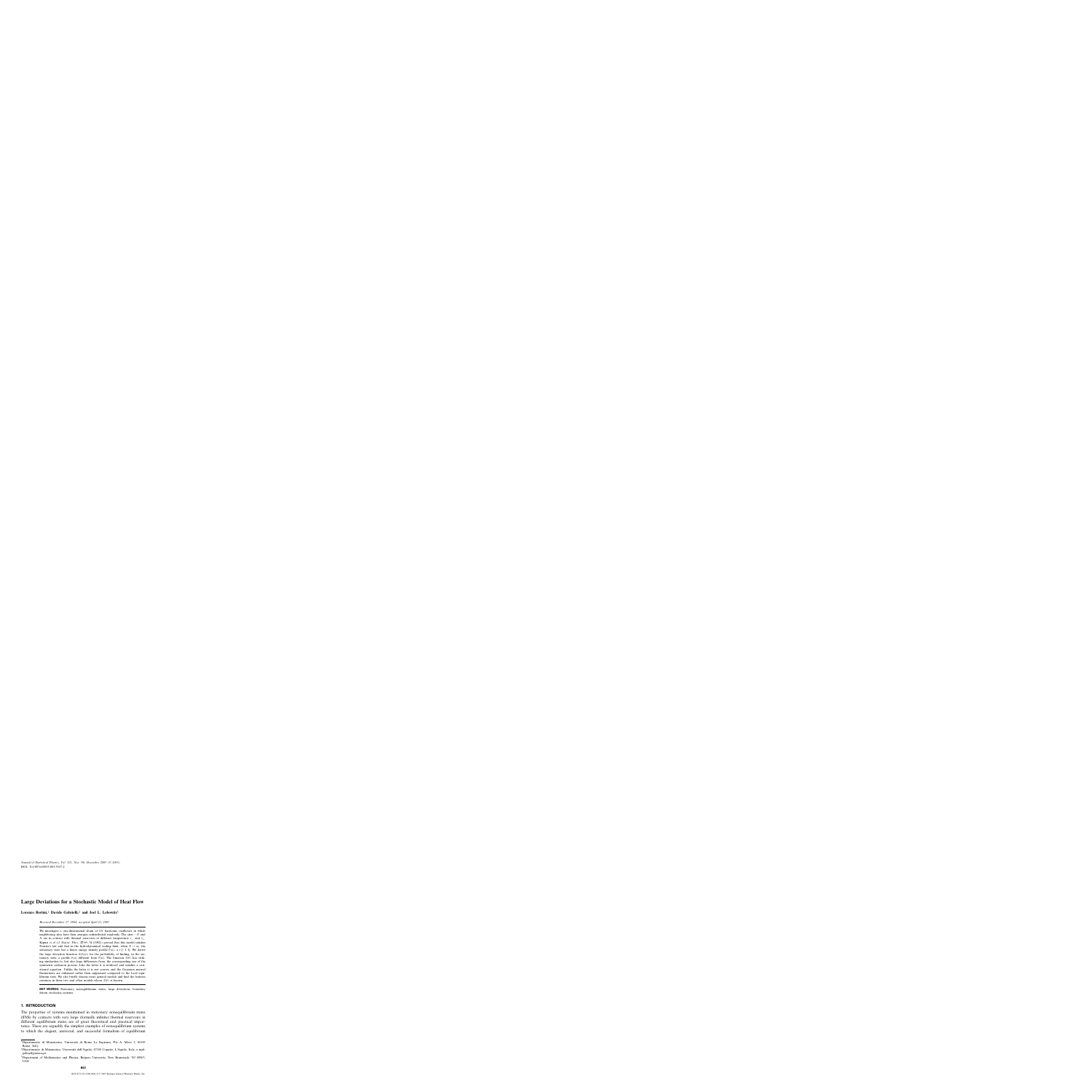DOI: 10.1007/s10955-005-5527-2 *Journal of Statistical Physics, Vol. 121, Nos. 5/6, December 2005 (© 2005)*

# **Large Deviations for a Stochastic Model of Heat Flow**

**Lorenzo Bertini,**<sup>1</sup> **Davide Gabrielli,**<sup>2</sup> **and Joel L. Lebowitz**<sup>3</sup>

*Received December 17, 2004; accepted April 21, 2005*

We investigate a one-dimensional chain of  $2N$  harmonic oscillators in which neighboring sites have their energies redistributed randomly. The sites −N and N are in contact with thermal reservoirs at different temperature  $\tau_-\,$  and  $\tau_+\,$ . Kipnis *et al*. (*J. Statist. Phys.*, **27**:65–74 (1982).) proved that this model satisfies Fourier's law and that in the hydrodynamical scaling limit, when  $N \to \infty$ , the stationary state has a linear energy density profile  $\bar{\theta}(u)$ ,  $u \in [-1, 1]$ . We derive the large deviation function  $S(\theta(u))$  for the probability of finding, in the stationary state, a profile  $\theta(u)$  different from  $\theta(u)$ . The function  $S(\theta)$  has striking similarities to, but also large differences from, the corresponding one of the symmetric exclusion process. Like the latter it is nonlocal and satisfies a variational equation. Unlike the latter it is not convex and the Gaussian normal fluctuations are enhanced rather than suppressed compared to the local equilibrium state. We also briefly discuss more general models and find the features common in these two and other models whose  $S(\theta)$  is known.

**KEY WORDS:** Stationary nonequilibrium states; large deviations; boundary driven stochastic systems.

# **1. INTRODUCTION**

The properties of systems maintained in stationary nonequilibrium states (SNS) by contacts with very large (formally infinite) thermal reservoirs in different equilibrium states are of great theoretical and practical importance. These are arguably the simplest examples of nonequilibrium systems to which the elegant, universal, and successful formalism of equilibrium

<sup>1</sup>Dipartimento di Matematica, Universita di Roma La Sapienza, P.le A. Moro 2, 00185 ` Roma, Italy.

<sup>&</sup>lt;sup>2</sup>Dipartimento di Matematica, Università dell'Aquila, 67100 Coppito, L'Aquila, Italy; e-mail: gabriell@univaq.it

<sup>&</sup>lt;sup>3</sup>Department of Mathematics and Physics, Rutgers University, New Brunswick, NJ 08903, USA.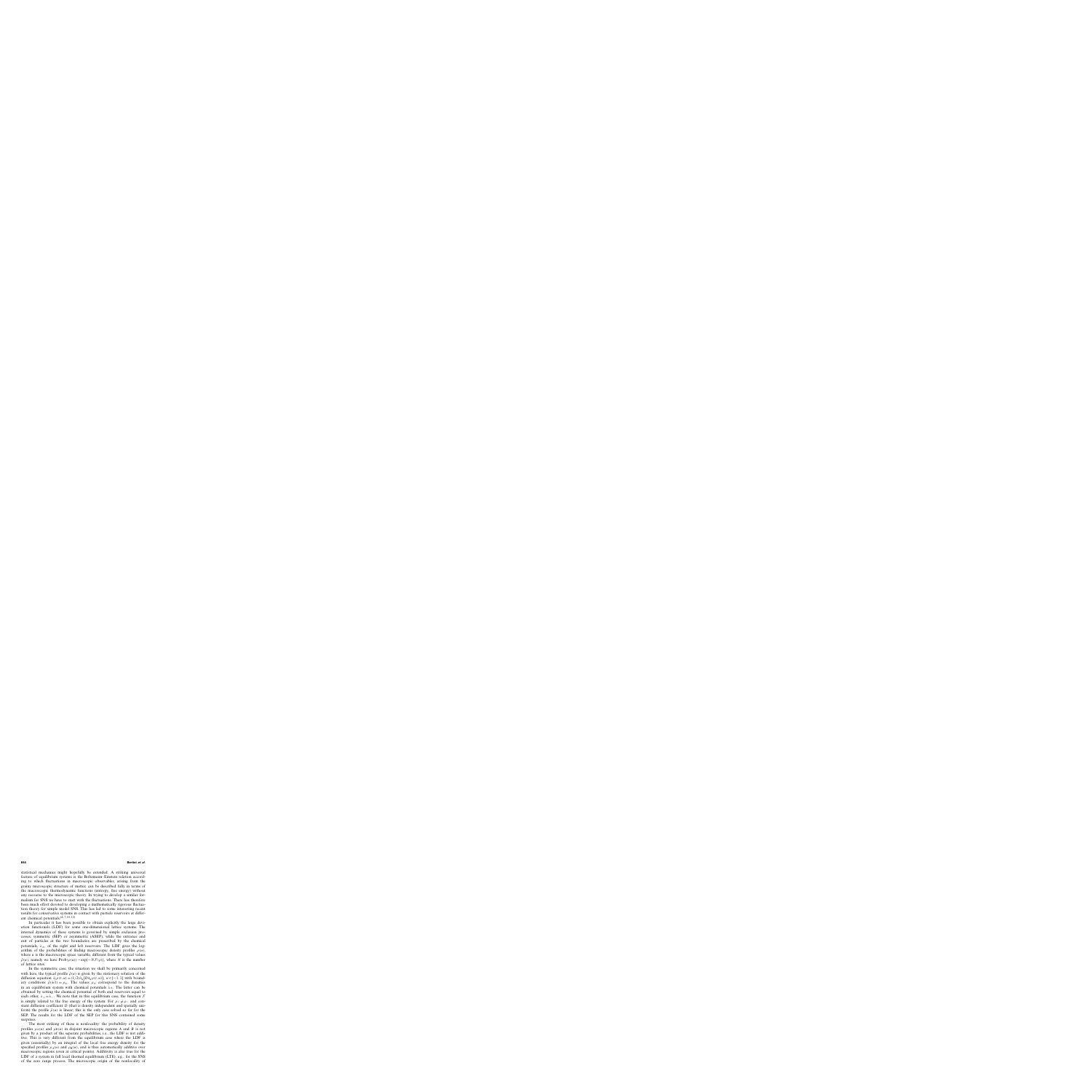statistical mechanics might hopefully be extended. A striking universal feature of equilibrium systems is the Boltzmann–Einstein relation according to which fluctuations in macroscopic observables, arising from the grainy microscopic structure of matter, can be described fully in terms of the macroscopic thermodynamic functions (entropy, free energy) without any recourse to the microscopic theory. In trying to develop a similar formalism for SNS we have to start with the fluctuations. There has therefore been much effort devoted to developing a mathematically rigorous fluctuation theory for simple model SNS. This has led to some interesting recent results for conservative systems in contact with particle reservoirs at different chemical potentials. $(4-7, 10-12)$ 

In particular it has been possible to obtain explicitly the large deviation functionals (LDF) for some one-dimensional lattice systems. The internal dynamics of these systems is governed by simple exclusion processes, symmetric (SEP) or asymmetric (ASEP), while the entrance and exit of particles at the two boundaries are prescribed by the chemical potentials,  $\lambda_{+}$ , of the right and left reservoirs. The LDF gives the logarithm of the probabilities of finding macroscopic density profiles  $\rho(u)$ , where  $u$  is the macroscopic space variable, different from the typical values  $\bar{\rho}(u)$ ; namely we have Prob( $\rho(u)$ )∼exp{-N $\mathcal{F}(\rho)$ }, where N is the number of lattice sites.

In the symmetric case, the situation we shall be primarily concerned with here, the typical profile  $\bar{\rho}(u)$  is given by the stationary solution of the diffusion equation  $\partial_t \rho(t, u) = (1/2) \partial_u (D \partial_u \rho(t, u))$ ,  $u \in [-1, 1]$  with boundary conditions  $\bar{\rho}(\pm 1) = \rho_{\pm}$ . The values  $\rho_{\pm}$  correspond to the densities in an equilibrium system with chemical potentials  $\lambda_{+}$ . The latter can be obtained by setting the chemical potential of both end reservoirs equal to each other,  $\lambda_+ = \lambda_-$ . We note that in this equilibrium case, the function  $\mathcal F$ is simply related to the free energy of the system. For  $\rho_+ \neq \rho_-$  and constant diffusion coefficient  $D$  (that is density independent and spatially uniform) the profile  $\bar{\rho}(u)$  is linear; this is the only case solved so far for the SEP. The results for the LDF of the SEP for this SNS contained some surprises.

The most striking of these is nonlocality: the probability of density profiles  $\rho_A(u)$  and  $\rho_B(u)$  in disjoint macroscopic regions A and B is not given by a product of the separate probabilities, i.e., the LDF is not additive. This is very different from the equilibrium case where the LDF is given (essentially) by an integral of the local free energy density for the specified profiles  $\rho_A(u)$  and  $\rho_B(u)$ , and is thus automatically additive over macroscopic regions (even at critical points). Additivity is also true for the LDF of a system in full local thermal equilibrium (LTE), e.g., for the SNS of the zero range process. The microscopic origin of the nonlocality of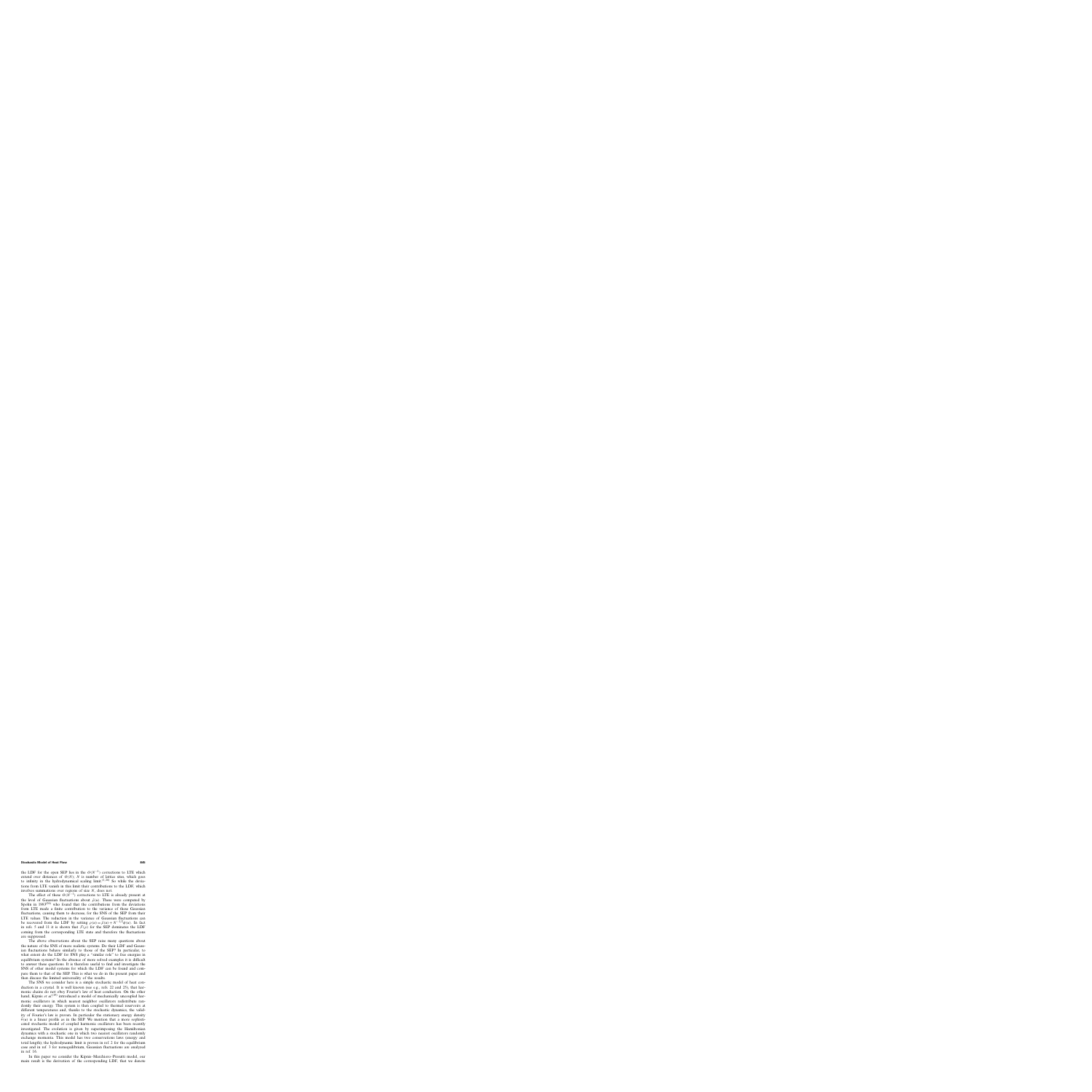the LDF for the open SEP lies in the  $O(N^{-1})$  corrections to LTE which extend over distances of  $O(N)$ ; N is number of lattice sites, which goes to infinity in the hydrodynamical scaling limit. $(1, 26)$  So while the deviations from LTE vanish in this limit their contributions to the LDF, which involves summations over regions of size N, does not.

The effect of these  $O(N^{-1})$  corrections to LTE is already present at the level of Gaussian fluctuations about  $\bar{\rho}(u)$ . These were computed by Spohn in  $1983^{(26)}$  who found that the contributions from the deviations from LTE made a finite contribution to the variance of these Gaussian fluctuations, causing them to decrease, for the SNS of the SEP from their LTE values. The reduction in the variance of Gaussian fluctuations can be recovered from the LDF by setting  $\rho(u) = \bar{\rho}(u) + N^{-1/2}\phi(u)$ . In fact in refs. 5 and 11 it is shown that  $\mathcal{F}(\rho)$  for the SEP dominates the LDF coming from the corresponding LTE state and therefore the fluctuations are suppressed.

The above observations about the SEP raise many questions about the nature of the SNS of more realistic systems. Do their LDF and Gaussian fluctuations behave similarly to those of the SEP? In particular, to what extent do the LDF for SNS play a "similar role" to free energies in equilibrium systems? In the absence of more solved examples it is difficult to answer these questions. It is therefore useful to find and investigate the SNS of other model systems for which the LDF can be found and compare them to that of the SEP. This is what we do in the present paper and then discuss the limited universality of the results.

The SNS we consider here is a simple stochastic model of heat conduction in a crystal. It is well known (see e.g., refs. 22 and 25), that harmonic chains do not obey Fourier's law of heat conduction. On the other hand, Kipnis et al.<sup>(19)</sup> introduced a model of mechanically uncoupled harmonic oscillators in which nearest neighbor oscillators redistribute randomly their energy. This system is then coupled to thermal reservoirs at different temperatures and, thanks to the stochastic dynamics, the validity of Fourier's law is proven. In particular the stationary energy density  $\theta(u)$  is a linear profile as in the SEP. We mention that a more sophisticated stochastic model of coupled harmonic oscillators has been recently investigated. The evolution is given by superimposing the Hamiltonian dynamics with a stochastic one in which two nearest oscillators randomly exchange momenta. This model has two conservations laws (energy and total length); the hydrodynamic limit is proven in ref. 2 for the equilibrium case and in ref. 3 for nonequilibrium, Gaussian fluctuations are analyzed in ref. 16.

In this paper we consider the Kipnis–Marchioro–Presutti model, our main result is the derivation of the corresponding LDF, that we denote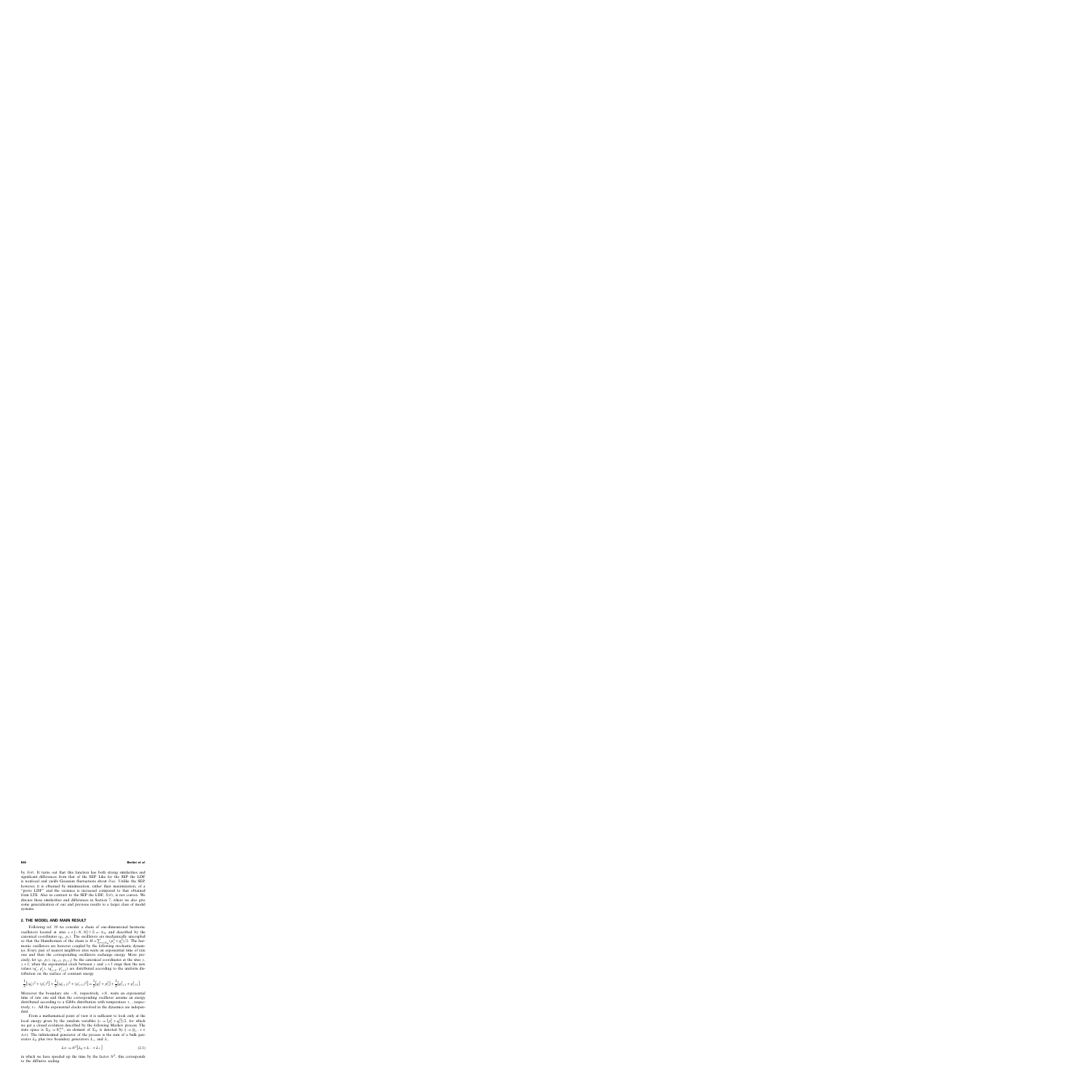by  $S(\theta)$ . It turns out that this function has both strong similarities and significant differences from that of the SEP. Like for the SEP the LDF is nonlocal and yields Gaussian fluctuations about  $\bar{\theta}(u)$ . Unlike the SEP, however, it is obtained by minimization, rather than maximization, of a "proto LDF" and the variance is increased compared to that obtained from LTE. Also in contrast to the SEP the LDF,  $S(\theta)$ , is not convex. We discuss these similarities and differences in Section 7, where we also give some generalization of our and previous results to a larger class of model systems.

# **2. THE MODEL AND MAIN RESULT**

Following ref. 19 we consider a chain of one-dimensional harmonic oscillators located at sites  $x \in [-N, N] \cap \mathbb{Z} =: \Lambda_N$  and described by the canonical coordinates  $(q_x, p_x)$ . The oscillators are mechanically uncoupled so that the Hamiltonian of the chain is  $H = \sum_{x \in \Lambda_N} (p_x^2 + q_x^2)/2$ . The harmonic oscillators are however coupled by the following stochastic dynamics. Every pair of nearest neighbors sites waits an exponential time of rate one and then the corresponding oscillators exchange energy. More precisely, let  $(q_y, p_y)$ ,  $(q_{y+1}, p_{y+1})$  be the canonical coordinates at the sites y,  $y + 1$ ; when the exponential clock between y and  $y + 1$  rings then the new values  $(q'_y, p'_y)$ ,  $(q'_{y+1}, p'_{y+1})$  are distributed according to the uniform distribution on the surface of constant energy

$$
\frac{1}{2}[(q'_y)^2 + (p'_y)^2] + \frac{1}{2}[(q'_{y+1})^2 + (p'_{y+1})^2] = \frac{1}{2}[q_y^2 + p_y^2] + \frac{1}{2}[q_{y+1}^2 + p_{y+1}^2].
$$

Moreover the boundary site  $-N$ , respectively,  $+N$ , waits an exponential time of rate one and then the corresponding oscillator assume an energy distributed according to a Gibbs distribution with temperature  $\tau_{-}$ , respectively,  $\tau_{+}$ . All the exponential clocks involved in the dynamics are independent.

From a mathematical point of view it is sufficient to look only at the local energy given by the random variables  $\xi_x := (p_x^2 + q_x^2)/2$ , for which we get a closed evolution described by the following Markov process. The state space is  $\Sigma_N := \mathbb{R}^{\Lambda_N}_+$ , an element of  $\Sigma_N$  is denoted by  $\dot{\xi} := {\xi_x, x \in \mathbb{R}^N}$  $\Lambda_N$ . The infinitesimal generator of the process is the sum of a bulk generator  $L_0$  plus two boundary generators  $L_+$  and  $L_-$ 

$$
L_N := N^2 [L_0 + L_- + L_+]
$$
\n(2.1)

in which we have speeded up the time by the factor  $N^2$ , this corresponds to the diffusive scaling.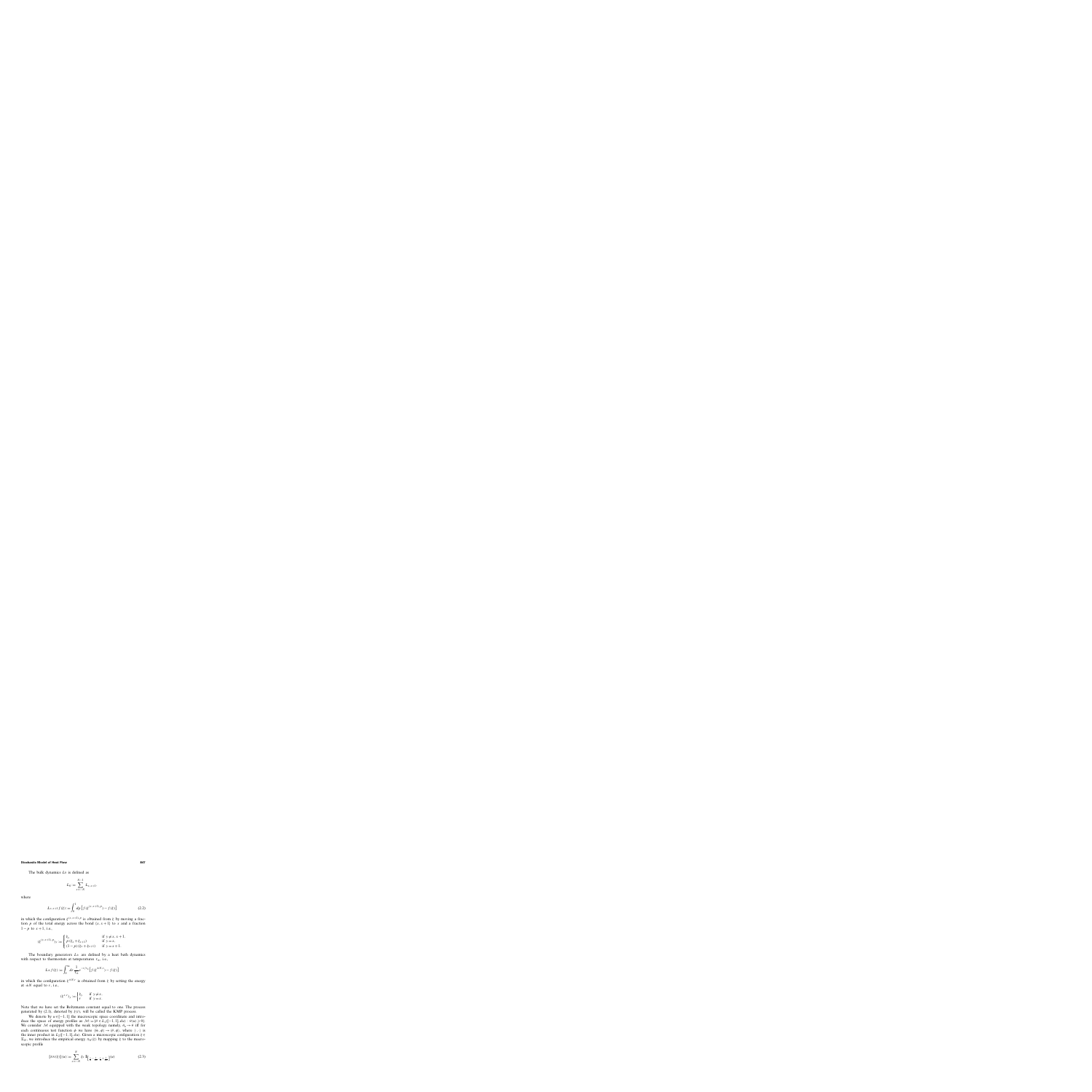The bulk dynamics  $L_0$  is defined as

$$
L_0 := \sum_{x=-N}^{N-1} L_{x,x+1},
$$

where

$$
L_{x,x+1}f(\xi) := \int_0^1 dp \left[ f(\xi^{(x,x+1),p}) - f(\xi) \right]
$$
 (2.2)

in which the configuration  $\xi^{(x,x+1),p}$  is obtained from  $\xi$  by moving a fraction p of the total energy across the bond  $\{x, x+1\}$  to x and a fraction  $1-p$  to  $x+1$ , i.e.,

$$
(\xi^{(x,x+1),p})_y := \begin{cases} \xi_y & \text{if } y \neq x, x+1, \\ p(\xi_x + \xi_{x+1}) & \text{if } y = x, \\ (1-p)(\xi_x + \xi_{x+1}) & \text{if } y = x+1. \end{cases}
$$

The boundary generators  $L_{\pm}$  are defined by a heat bath dynamics with respect to thermostats at temperatures  $\tau_{\pm}$ , i.e.,

$$
L_{\pm} f(\xi) := \int_0^\infty dr \, \frac{1}{\tau_{\pm}} e^{-r/\tau_{\pm}} \Big[ f(\xi^{\pm N, r}) - f(\xi) \Big]
$$

in which the configuration  $\xi^{\pm N,r}$  is obtained from  $\xi$  by setting the energy at  $\pm N$  equal to r, i.e.,

$$
(\xi^{x,r})_y := \begin{cases} \xi_y & \text{if } y \neq x, \\ r & \text{if } y = x. \end{cases}
$$

Note that we have set the Boltzmann constant equal to one. The process generated by (2.1), denoted by  $\xi(t)$ , will be called the KMP process.

We denote by  $u \in [-1, 1]$  the macroscopic space coordinate and introduce the space of energy profiles as  $\mathcal{M} := \{ \theta \in L_1([-1, 1], du) : \theta(u) \geq 0 \}.$ We consider M equipped with the weak topology namely,  $\theta_n \rightarrow \theta$  iff for each continuous test function  $\phi$  we have  $\langle \theta_n, \phi \rangle \rightarrow \langle \theta, \phi \rangle$ , where  $\langle \cdot, \cdot \rangle$  is the inner product in  $L_2([-1, 1], du)$ . Given a microscopic configuration  $\xi \in$  $\Sigma_N$ , we introduce the empirical energy  $\pi_N(\xi)$  by mapping  $\xi$  to the macroscopic profile

$$
[\pi_N(\xi)](u) := \sum_{x=-N}^{N} \xi_x \, \mathbb{I}_{\left[\frac{x}{N} - \frac{1}{2N}, \frac{x}{N} + \frac{1}{2N}\right]}(u)
$$
 (2.3)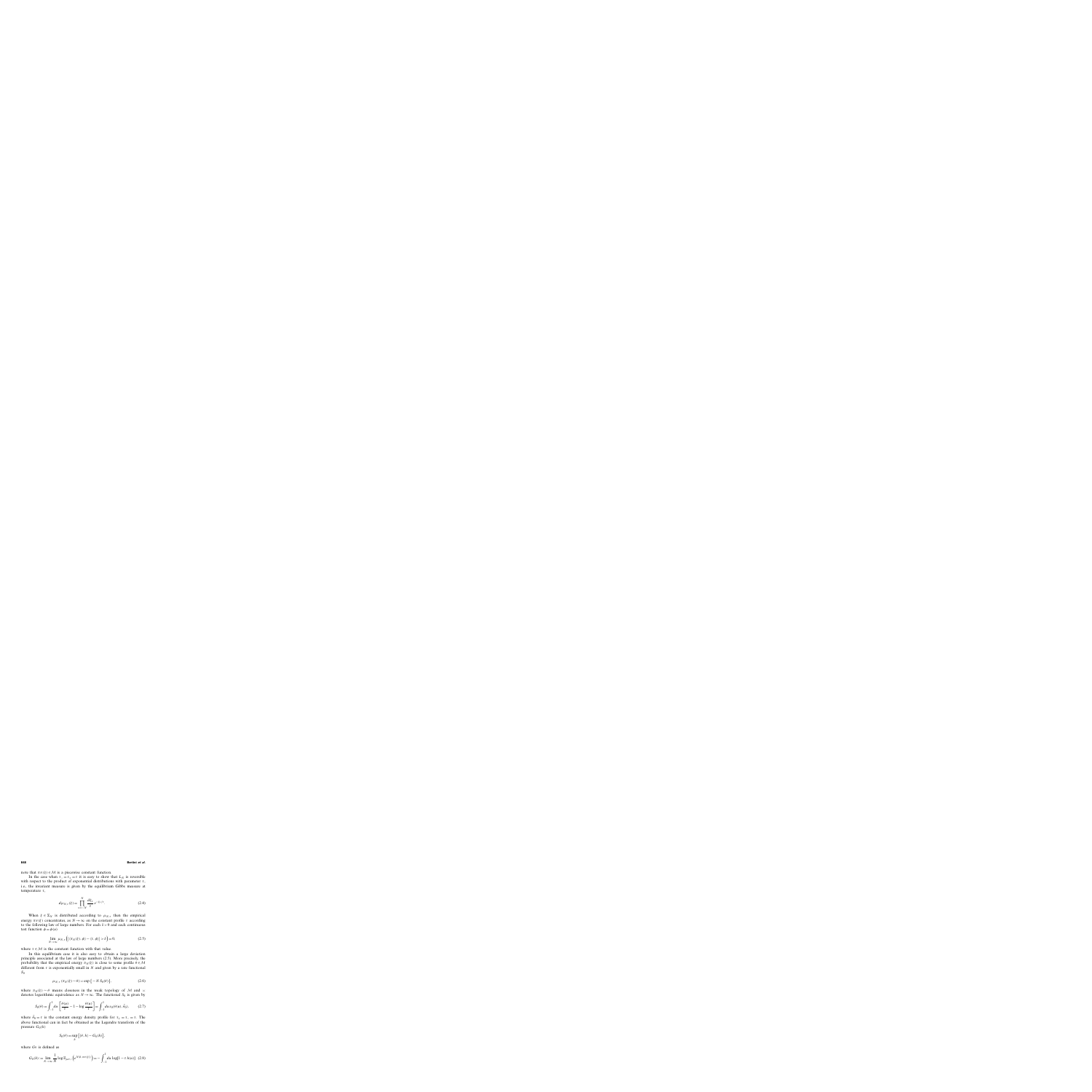note that  $\pi_N(\xi) \in \mathcal{M}$  is a piecewise constant function.

In the case when  $\tau_-=\tau_+=\tau$  it is easy to show that  $L_N$  is reversible with respect to the product of exponential distributions with parameter  $\tau$ , i.e., the invariant measure is given by the equilibrium Gibbs measure at temperature  $\tau$ ,

$$
d\mu_{N,\tau}(\xi) = \prod_{x=-N}^{N} \frac{d\xi_x}{\tau} e^{-\xi_x/\tau}.
$$
 (2.4)

When  $\xi \in \Sigma_N$  is distributed according to  $\mu_{N,\tau}$  then the empirical energy  $\pi_N(\xi)$  concentrates, as  $N \to \infty$  on the constant profile  $\tau$  according to the following law of large numbers. For each  $\delta > 0$  and each continuous test function  $\phi = \phi(u)$ 

$$
\lim_{N \to \infty} \mu_{N,\tau} \left( \left| \langle \pi_N(\xi), \phi \rangle - \langle \tau, \phi \rangle \right| > \delta \right) = 0, \tag{2.5}
$$

where  $\tau \in \mathcal{M}$  is the constant function with that value.

In this equilibrium case it is also easy to obtain a large deviation principle associated at the law of large numbers (2.5). More precisely, the probability that the empirical energy  $\pi_N(\xi)$  is close to some profile  $\theta \in \mathcal{M}$ different from  $\tau$  is exponentially small in N and given by a rate functional  $S_0$ 

$$
\mu_{N,\tau} \left( \pi_N(\xi) \sim \theta \right) \asymp \exp \left\{ -N S_0(\theta) \right\},\tag{2.6}
$$

where  $\pi_N(\xi) \sim \theta$  means closeness in the weak topology of M and  $\approx$ denotes logarithmic equivalence as  $N \rightarrow \infty$ . The functional  $S_0$  is given by

$$
S_0(\theta) = \int_{-1}^1 du \left[ \frac{\theta(u)}{\tau} - 1 - \log \frac{\theta(u)}{\tau} \right] = \int_{-1}^1 du \, s_0(\theta(u), \bar{\theta}_0), \tag{2.7}
$$

where  $\bar{\theta}_0 = \tau$  is the constant energy density profile for  $\tau_+ = \tau_- = \tau$ . The above functional can in fact be obtained as the Legendre transform of the pressure  $G_0(h)$ 

$$
S_0(\theta) = \sup_h [ \langle \theta, h \rangle - G_0(h) ],
$$

where  $G_0$  is defined as

$$
G_0(h) := \lim_{N \to \infty} \frac{1}{N} \log \mathbb{E}_{\mu_{N,\tau}} \left( e^{N \langle h, \pi_N(\xi) \rangle} \right) = - \int_{-1}^1 du \, \log[1 - \tau \, h(u)] \tag{2.8}
$$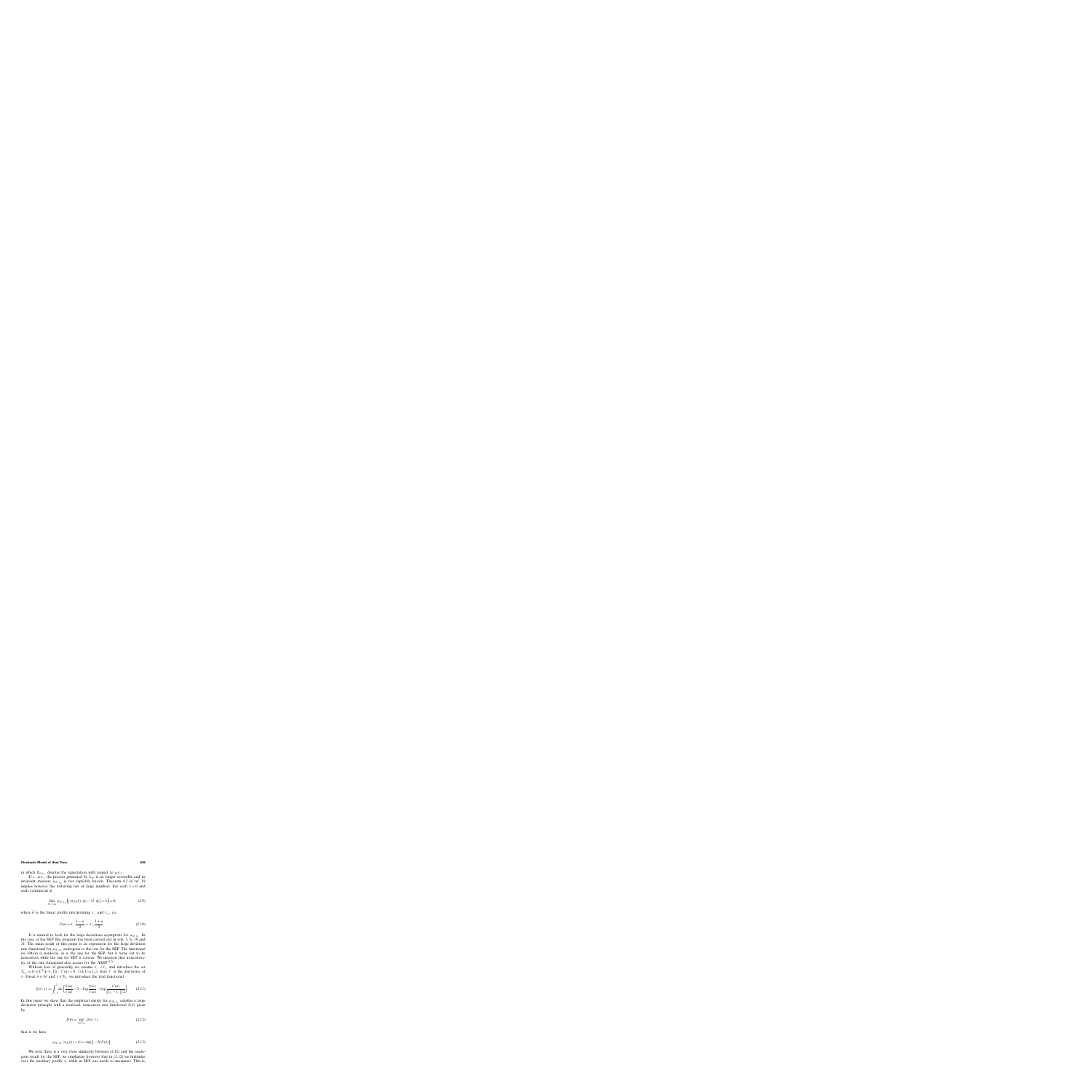in which  $\mathbb{E}_{\mu_{N,\tau}}$  denotes the expectation with respect to  $\mu_{N,\tau}$ .

If  $\tau_-\neq\tau_+$  the process generated by  $L_N$  is no longer reversible and its invariant measure  $\mu_{N, \tau_{+}}$  is not explicitly known. Theorem 4.2 in ref. 19 implies however the following law of large numbers. For each  $\delta > 0$  and each continuous  $\phi$ 

$$
\lim_{N \to \infty} \mu_{N, \tau_{\pm}} \Big( \big| \langle \pi_N(\xi), \phi \rangle - \langle \bar{\theta}, \phi \rangle \big| > \delta \Big) = 0, \tag{2.9}
$$

where  $\bar{\theta}$  is the linear profile interpolating τ<sub>−</sub> and  $\tau_{+}$ , i.e.,

$$
\bar{\theta}(u) = \tau_{-} \frac{1 - u}{2} + \tau_{+} \frac{1 + u}{2}.
$$
 (2.10)

It is natural to look for the large deviations asymptotic for  $\mu_{N, \tau_{+}}$ . In the case of the SEP this program has been carried out in refs. 5, 6, 10 and 11. The main result of this paper is an expression for the large deviation rate functional for  $\mu_{N, \tau_{+}}$  analogous to the one for the SEP. The functional we obtain is nonlocal, as is the one for the SEP, but it turns out to be nonconvex while the one for SEP is convex. We mention that nonconvexity of the rate functional also occurs for the  $ASEP<sup>(12)</sup>$ 

Without loss of generality we assume  $\tau_-\leq \tau_+$  and introduce the set  $\mathcal{T}_{\tau_{\pm}} := {\tau \in C^1([-1, 1]) : \tau'(u) > 0, \tau(\pm 1) = \tau_{\pm}}, \text{ here } \tau' \text{ is the derivative of}$ τ. Given θ ∈ Μ and τ ∈  $T_{τ+}$  we introduce the trial functional

$$
\mathcal{G}(\theta, \tau) := \int_{-1}^{1} du \left[ \frac{\theta(u)}{\tau(u)} - 1 - \log \frac{\theta(u)}{\tau(u)} - \log \frac{\tau'(u)}{[\tau_{+} - \tau_{-}]/2} \right].
$$
 (2.11)

In this paper we show that the empirical energy for  $\mu_{N, \tau_{+}}$  satisfies a large deviation principle with a nonlocal, nonconvex rate functional  $S(\theta)$  given by

$$
S(\theta) = \inf_{\tau \in \mathcal{T}_{\tau_{\pm}}} \mathcal{G}(\theta, \tau) \tag{2.12}
$$

that is we have

$$
\mu_{N, \tau_{\pm}} (\pi_N(\xi) \sim \theta) \asymp \exp\{-N S(\theta)\}.
$$
 (2.13)

We note there is a very close similarity between  $(2.12)$  and the analogous result for the SEP, we emphasize however that in (2.12) we minimize over the auxiliary profile  $\tau$ , while in SEP one needs to maximize. This is,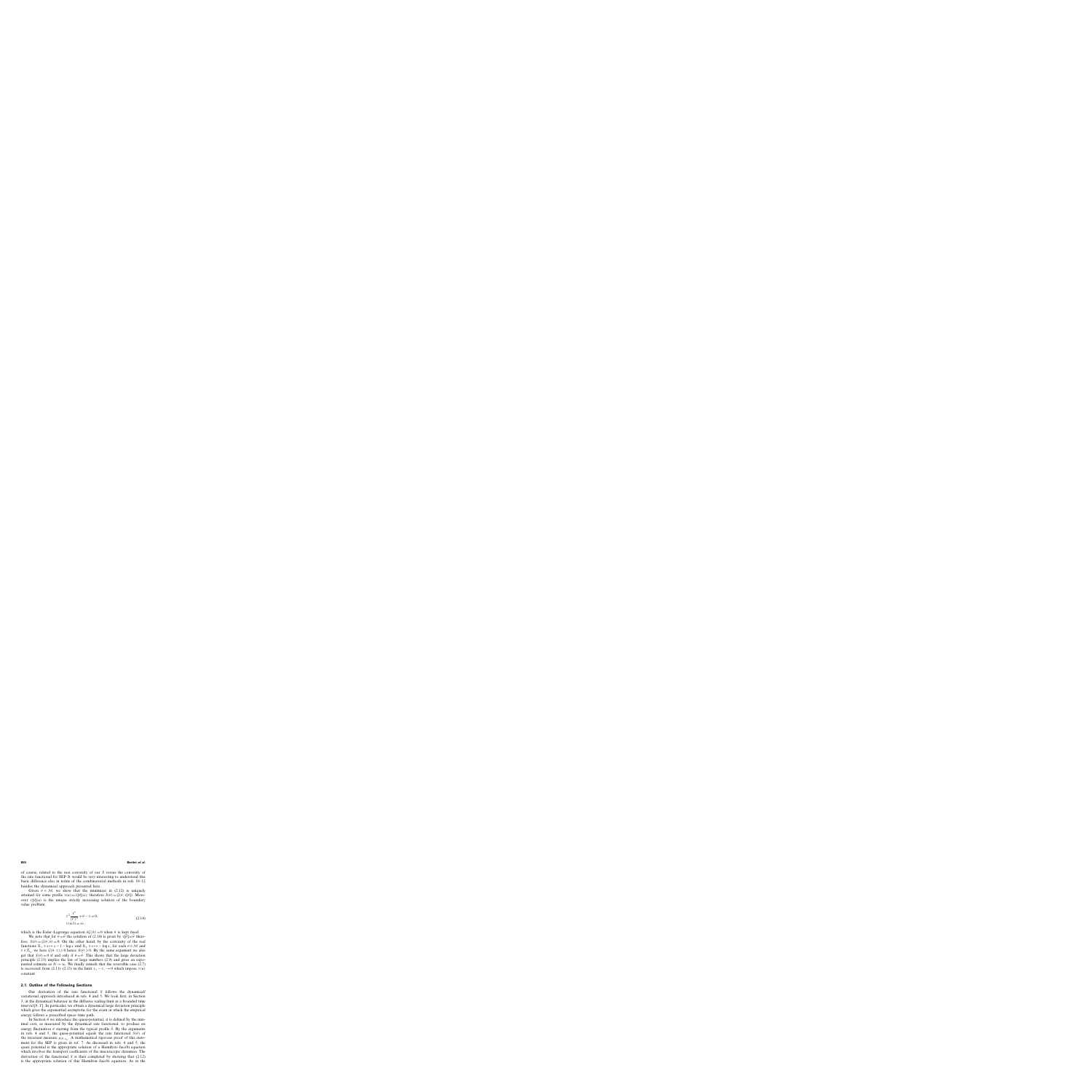of course, related to the non convexity of our S versus the convexity of the rate functional for SEP. It would be very interesting to understand this basic difference also in terms of the combinatorial methods in refs. 10–12 besides the dynamical approach presented here.

Given  $\theta \in \mathcal{M}$ , we show that the minimizer in (2.12) is uniquely attained for some profile  $\tau(u) = \tau[\theta](u)$ ; therefore  $S(\theta) = \mathcal{G}(\theta, \tau[\theta])$ . Moreover  $\tau[\theta](u)$  is the unique strictly increasing solution of the boundary value problem

$$
\tau^2 \frac{\tau''}{(\tau')^2} + \theta - \tau = 0,
$$
  
\n
$$
\tau(\pm 1) = \tau_{\pm},
$$
\n(2.14)

which is the Euler–Lagrange equation  $\delta \mathcal{G}/\delta \tau = 0$  when  $\theta$  is kept fixed.

We note that for  $\theta = \bar{\theta}$  the solution of (2.14) is given by  $\tau[\bar{\theta}] = \bar{\theta}$  therefore,  $S(\bar{\theta}) = \mathcal{G}(\bar{\theta}, \bar{\theta}) = 0$ . On the other hand, by the convexity of the real functions  $\mathbb{R}_+ \ni x \mapsto x - 1 - \log x$  and  $\mathbb{R}_+ \ni x \mapsto -\log x$ , for each  $\theta \in \mathcal{M}$  and  $\tau \in \mathcal{T}_{\tau_{+}}$  we have  $\mathcal{G}(\theta, \tau) \geq 0$  hence  $S(\theta) \geq 0$ . By the same argument we also get that  $S(\theta) = 0$  if and only if  $\theta = \bar{\theta}$ . This shows that the large deviation principle (2.13) implies the law of large numbers (2.9) and gives an exponential estimate as  $N \to \infty$ . We finally remark that the reversible case (2.7) is recovered from (2.11)–(2.13) in the limit  $\tau_{+} - \tau_{-} \rightarrow 0$  which impose  $\tau(u)$ constant.

## **2.1. Outline of the Following Sections**

Our derivation of the rate functional S follows the dynamical/ variational approach introduced in refs. 4 and 5. We look first, in Section 3, at the dynamical behavior in the diffusive scaling limit in a bounded time interval  $[0, T]$ . In particular, we obtain a dynamical large deviation principle which gives the exponential asymptotic for the event in which the empirical energy follows a prescribed space–time path.

In Section 4 we introduce the quasi-potential, it is defined by the minimal cost, as measured by the dynamical rate functional, to produce an energy fluctuation  $\theta$  starting from the typical profile  $\bar{\theta}$ . By the arguments in refs. 4 and 5, the quasi-potential equals the rate functional  $S(\theta)$  of the invariant measure  $\mu_{N, \tau_{+}}$ . A mathematical rigorous proof of this statement for the SEP is given in ref. 7. As discussed in refs. 4 and 5, the quasi potential is the appropriate solution of a Hamilton–Jacobi equation which involves the transport coefficients of the macroscopic dynamics. The derivation of the functional  $S$  is then completed by showing that  $(2.12)$ is the appropriate solution of this Hamilton–Jacobi equation. As in the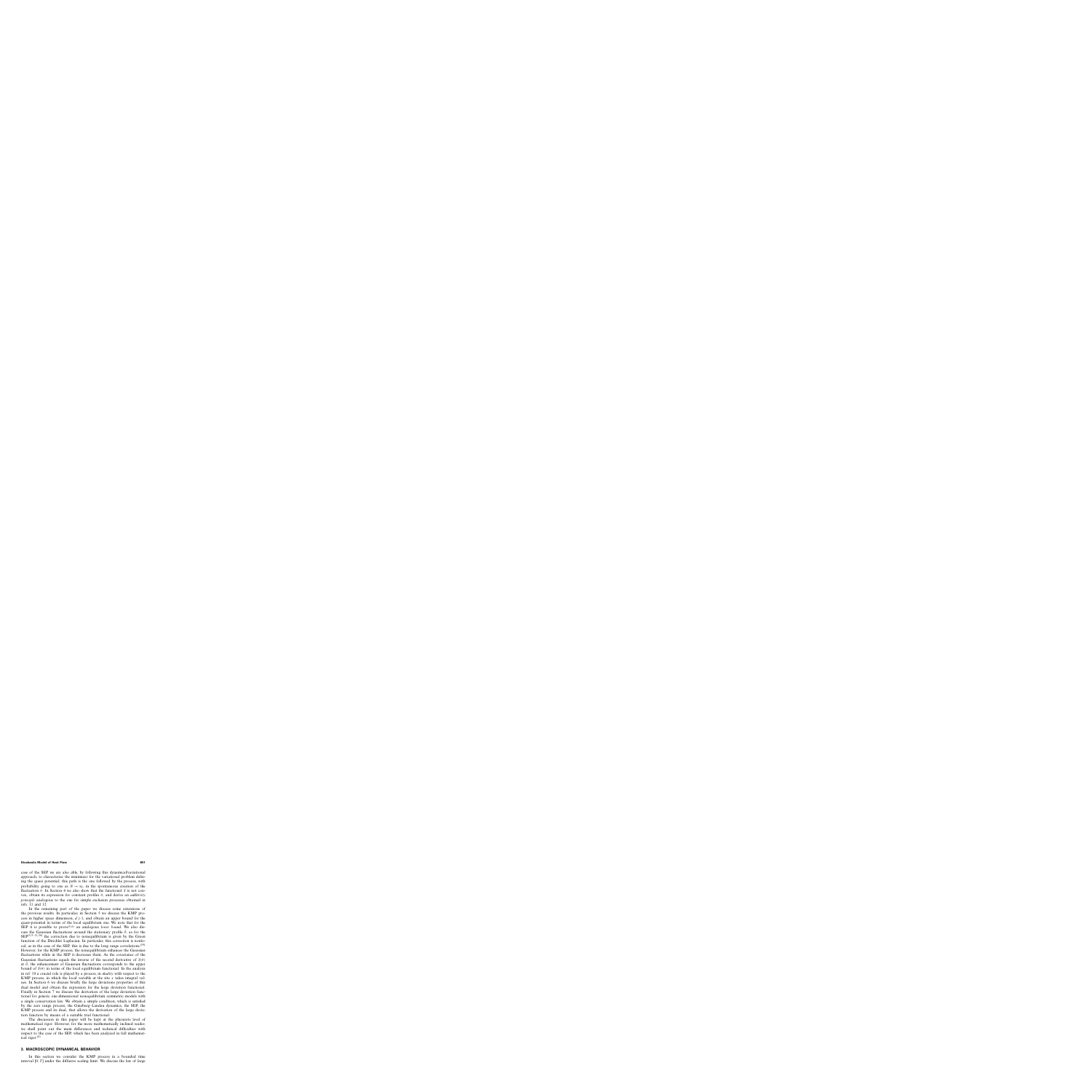case of the SEP we are also able, by following this dynamical/variational approach, to characterize the minimizer for the variational problem defining the quasi potential; this path is the one followed by the process, with probability going to one as  $N \to \infty$ , in the spontaneous creation of the fluctuation  $\theta$ . In Section 4 we also show that the functional S is not convex, obtain its expression for constant profiles θ, and derive an *additivity principle* analogous to the one for simple exclusion processes obtained in refs. 11 and 12.

In the remaining part of the paper we discuss some extensions of the previous results. In particular, in Section 5 we discuss the KMP process in higher space dimension,  $d \ge 1$ , and obtain an upper bound for the quasi-potential in terms of the local equilibrium one. We note that for the SEP it is possible to prove<sup>(5,6)</sup> an analogous *lower bound*. We also discuss the Gaussian fluctuations around the stationary profile  $\bar{\theta}$ ; as for the  $\text{SEP}^{(5,9-11,26)}$  the correction due to nonequilibrium is given by the Green function of the Dirichlet Laplacian. In particular, this correction is nonlocal; as in the case of the SEP, this is due to the long range correlations.<sup>(19)</sup> However, for the KMP process, the nonequilibrium enhances the Gaussian fluctuations while in the SEP it decreases them. As the covariance of the Gaussian fluctuations equals the inverse of the second derivative of  $S(\theta)$ at  $\bar{\theta}$ , the enhancement of Gaussian fluctuations corresponds to the upper bound of  $S(\theta)$  in terms of the local equilibrium functional. In the analysis in ref. 19 a crucial role is played by a process, in *duality* with respect to the KMP process, in which the local variable at the site x takes integral values. In Section 6 we discuss briefly the large deviations properties of this dual model and obtain the expression for the large deviation functional. Finally in Section 7 we discuss the derivation of the large deviation functional for generic one-dimensional nonequilibrium symmetric models with a single conservation law. We obtain a simple condition, which is satisfied by the zero range process, the Ginzburg–Landau dynamics, the SEP, the KMP process and its dual, that allows the derivation of the large deviation function by means of a suitable trial functional.

The discussion in this paper will be kept at the physicists level of mathematical rigor. However, for the more mathematically inclined reader, we shall point out the main differences and technical difficulties with respect to the case of the SEP, which has been analyzed in full mathematical rigor. $(6)$ 

## **3. MACROSCOPIC DYNAMICAL BEHAVIOR**

In this section we consider the KMP process in a bounded time interval  $[0, T]$  under the diffusive scaling limit. We discuss the law of large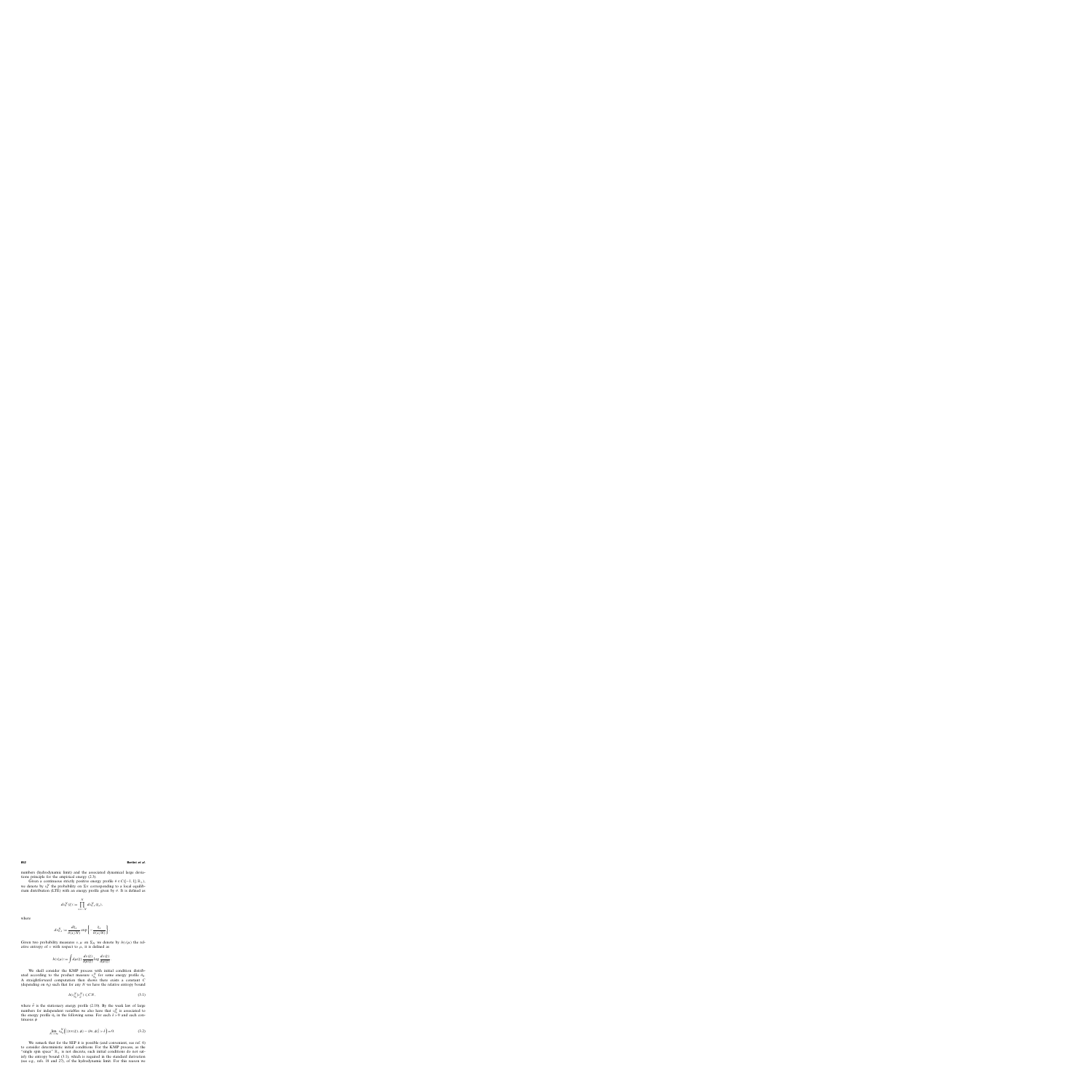numbers (hydrodynamic limit) and the associated dynamical large deviations principle for the empirical energy (2.3).

Given a continuous strictly positive energy profile  $\theta \in C([-1, 1]; \mathbb{R}_+)$ , we denote by  $v_\theta^N$  the probability on  $\Sigma_N$  corresponding to a local equilibrium distribution (LTE) with an energy profile given by  $\theta$ . It is defined as

$$
dv_{\theta}^{N}(\xi) := \prod_{x=-N}^{N} dv_{\theta,x}^{N}(\xi_{x}),
$$

where

$$
dv_{\theta,x}^N := \frac{d\xi_x}{\theta(x/N)} \exp\left\{-\frac{\xi_x}{\theta(x/N)}\right\}.
$$

Given two probability measures  $\nu, \mu$  on  $\Sigma_N$  we denote by  $h(\nu|\mu)$  the relative entropy of  $\nu$  with respect to  $\mu$ , it is defined as

$$
h(v|\mu) := \int d\mu(\xi) \, \frac{dv(\xi)}{d\mu(\xi)} \log \frac{dv(\xi)}{d\mu(\xi)}.
$$

We shall consider the KMP process with initial condition distributed according to the product measure  $v_{\theta_0}^N$  for some energy profile  $\theta_0$ . A straightforward computation then shows there exists a constant  $C$ (depending on  $\theta_0$ ) such that for any N we have the relative entropy bound

$$
h(\nu_{\theta_0}^N|\nu_{\bar{\theta}}^N) \leqslant CN,\tag{3.1}
$$

where  $\bar{\theta}$  is the stationary energy profile (2.10). By the weak law of large numbers for independent variables we also have that  $v_{\theta_0}^N$  is associated to the energy profile  $\theta_0$  in the following sense. For each  $\delta > 0$  and each continuous  $\phi$ 

$$
\lim_{N \to \infty} \nu_{\theta_0}^N \Big( \big| \langle \pi_N(\xi), \phi \rangle - \langle \theta_0, \phi \rangle \big| > \delta \Big) = 0. \tag{3.2}
$$

We remark that for the SEP it is possible (and convenient, see ref. 6) to consider deterministic initial conditions. For the KMP process, as the "single spin space"  $\mathbb{R}_+$  is not discrete, such initial conditions do not satisfy the entropy bound (3.1), which is required in the standard derivation (see e.g., refs. 18 and 27), of the hydrodynamic limit. For this reason we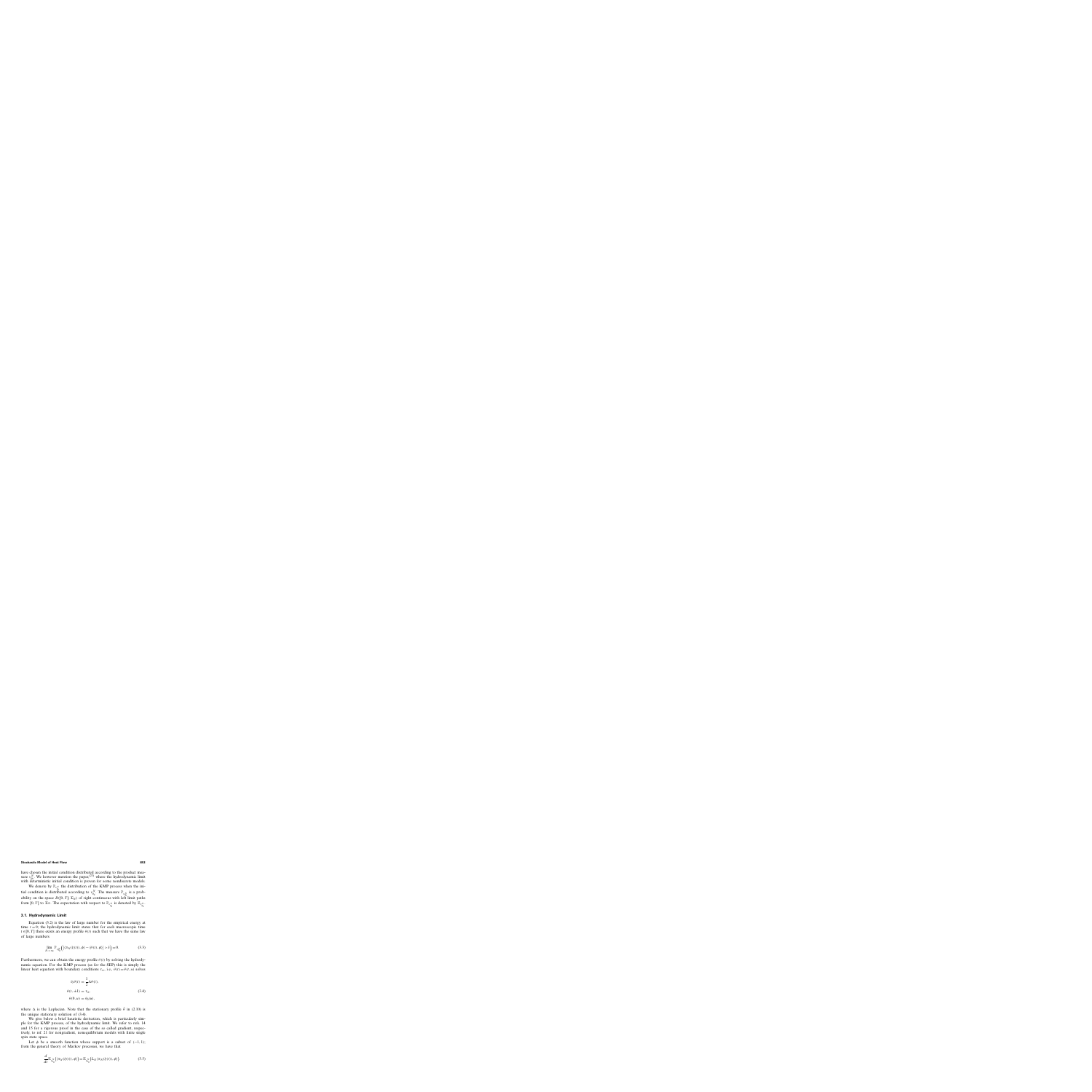have chosen the initial condition distributed according to the product measure  $v_{\theta_0}^N$ . We however mention the paper,<sup>(23)</sup> where the hydrodynamic limit with deterministic initial condition is proven for some nondiscrete models.

We denote by  $\mathbb{P}_{\nu_{\theta_0}^N}$  the distribution of the KMP process when the initial condition is distributed according to  $v_{\theta_0}^N$ . The measure  $\mathbb{P}_{v_{\theta_0}^N}$  is a probability on the space  $D([0, T]; \Sigma_N)$  of right continuous with left limit paths from [0, T] to  $\Sigma_N$ . The expectation with respect to  $\mathbb{P}_{\nu_{\theta_0}^N}$  is denoted by  $\mathbb{E}_{\nu_{\theta_0}^N}$ .

## **3.1. Hydrodynamic Limit**

Equation (3.2) is the law of large number for the empirical energy at time  $t = 0$ ; the hydrodynamic limit states that for each macroscopic time  $t \in [0, T]$  there exists an energy profile  $\theta(t)$  such that we have the same law of large numbers

$$
\lim_{N \to \infty} \mathbb{P}_{\nu_{\theta_0}^N} \left( \left| \langle \pi_N(\xi(t)), \phi \rangle - \langle \theta(t), \phi \rangle \right| > \delta \right) = 0. \tag{3.3}
$$

Furthermore, we can obtain the energy profile  $\theta(t)$  by solving the hydrodynamic equation. For the KMP process (as for the SEP) this is simply the linear heat equation with boundary conditions  $\tau_{\pm}$ , i.e.,  $\theta(t) = \theta(t, u)$  solves

$$
\partial_t \theta(t) = \frac{1}{2} \Delta \theta(t),
$$
  
\n
$$
\theta(t, \pm 1) = \tau_{\pm},
$$
  
\n
$$
\theta(0, u) = \theta_0(u),
$$
  
\n(3.4)

where  $\Delta$  is the Laplacian. Note that the stationary profile  $\bar{\theta}$  in (2.10) is the unique stationary solution of (3.4).

We give below a brief heuristic derivation, which is particularly simple for the KMP process, of the hydrodynamic limit. We refer to refs. 14 and 15 for a rigorous proof in the case of the so called gradient, respectively, to ref. 21 for nongradient, nonequilibrium models with finite single spin state space.

Let  $\phi$  be a smooth function whose support is a subset of  $(-1, 1)$ ; from the general theory of Markov processes, we have that

$$
\frac{d}{dt} \mathbb{E}_{\nu_{\theta_0}^N} (\langle \pi_N(\xi(t)), \phi \rangle) = \mathbb{E}_{\nu_{\theta_0}^N} (L_N \langle \pi_N(\xi(t)), \phi \rangle).
$$
 (3.5)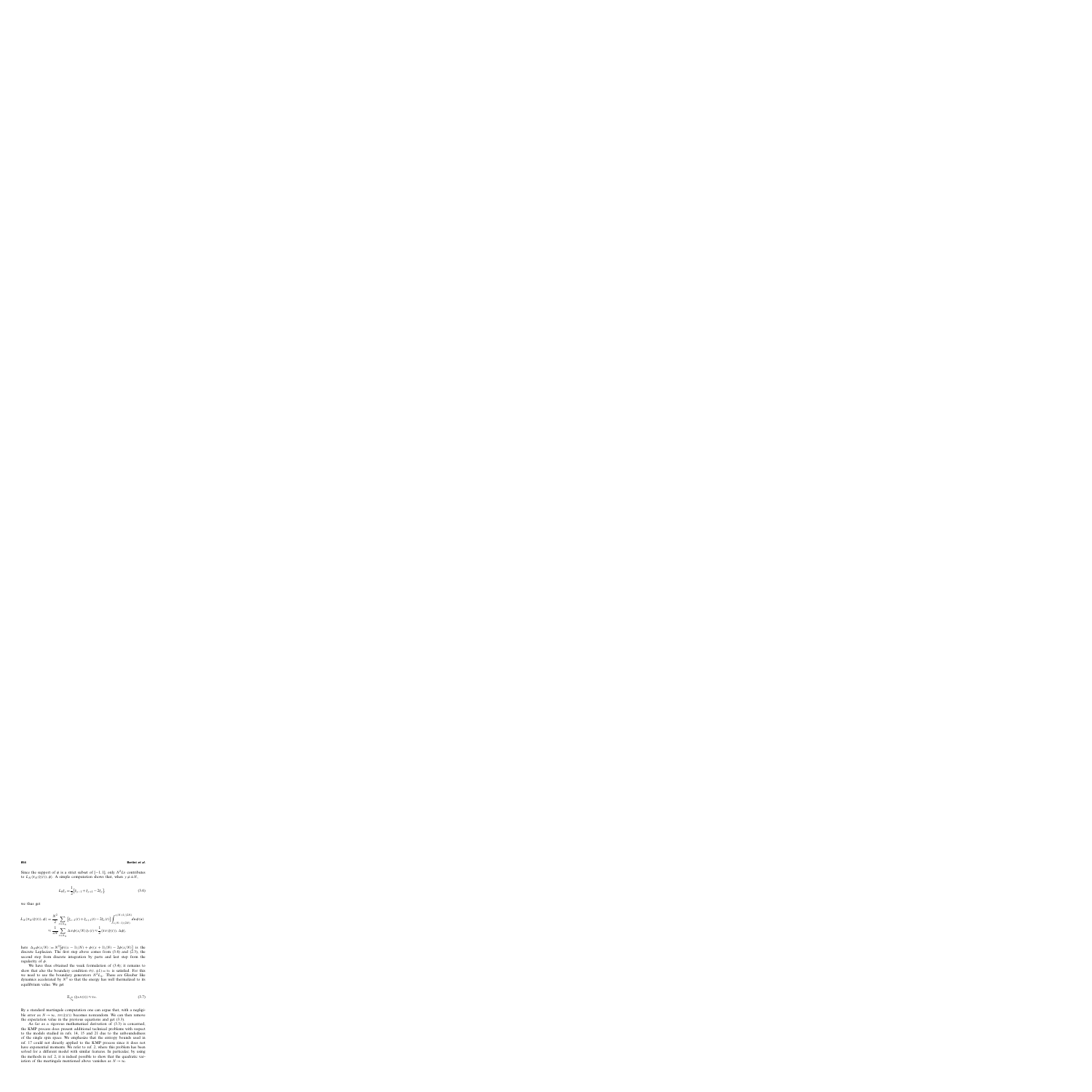Since the support of  $\phi$  is a strict subset of [−1, 1], only  $N^2L_0$  contributes to  $L_N(\pi_N(\xi(t)), \phi)$ . A simple computation shows that, when  $y \neq \pm N$ ,

$$
L_0 \xi_y = \frac{1}{2} \left[ \xi_{y-1} + \xi_{y+1} - 2\xi_y \right],\tag{3.6}
$$

we thus get

$$
L_N\langle\pi_N(\xi(t)),\phi\rangle = \frac{N^2}{2} \sum_{x \in \Lambda_N} \left[\xi_{x-1}(t) + \xi_{x+1}(t) - 2\xi_x(t)\right] \int_{x/N-1/(2N)}^{x/N+1/(2N)} du \,\phi(u)
$$
  

$$
\approx \frac{1}{2N} \sum_{x \in \Lambda_N} \Delta_N \phi(x/N) \xi_x(t) \approx \frac{1}{2} \langle \pi_N(\xi(t)), \Delta \phi \rangle,
$$

here  $\Delta_N \phi(x/N) := N^2 [\phi((x-1)/N) + \phi((x+1)/N) - 2\phi(x/N)]$  is the discrete Laplacian. The first step above comes from  $(3.6)$  and  $(2.3)$ , the second step from discrete integration by parts and last step from the regularity of  $\phi$ .

We have thus obtained the weak formulation of (3.4); it remains to show that also the boundary condition  $\theta(t, \pm 1) = \tau_{+}$  is satisfied. For this we need to use the boundary generators  $N^2L_{+}$ . These are Glauber like dynamics accelerated by  $N^2$  so that the energy has well thermalized to its equilibrium value. We get

$$
\mathbb{E}_{\nu_{\theta_0}^N}(\xi_{\pm N}(t)) \approx \tau_{\pm}.\tag{3.7}
$$

By a standard martingale computation one can argue that, with a negligible error as  $N \to \infty$ ,  $\pi_N(\xi(t))$  becomes nonrandom. We can then remove the expectation value in the previous equations and get (3.3).

As far as a rigorous mathematical derivation of (3.3) is concerned, the KMP process does present additional technical problems with respect to the models studied in refs. 14, 15 and 21 due to the unboundedness of the single spin space. We emphasize that the entropy bounds used in ref. 17 could not directly applied to the KMP process since it does not have exponential moments. We refer to ref. 2, where this problem has been solved for a different model with similar features. In particular, by using the methods in ref. 2, it is indeed possible to show that the quadratic variation of the martingale mentioned above vanishes as  $N \to \infty$ .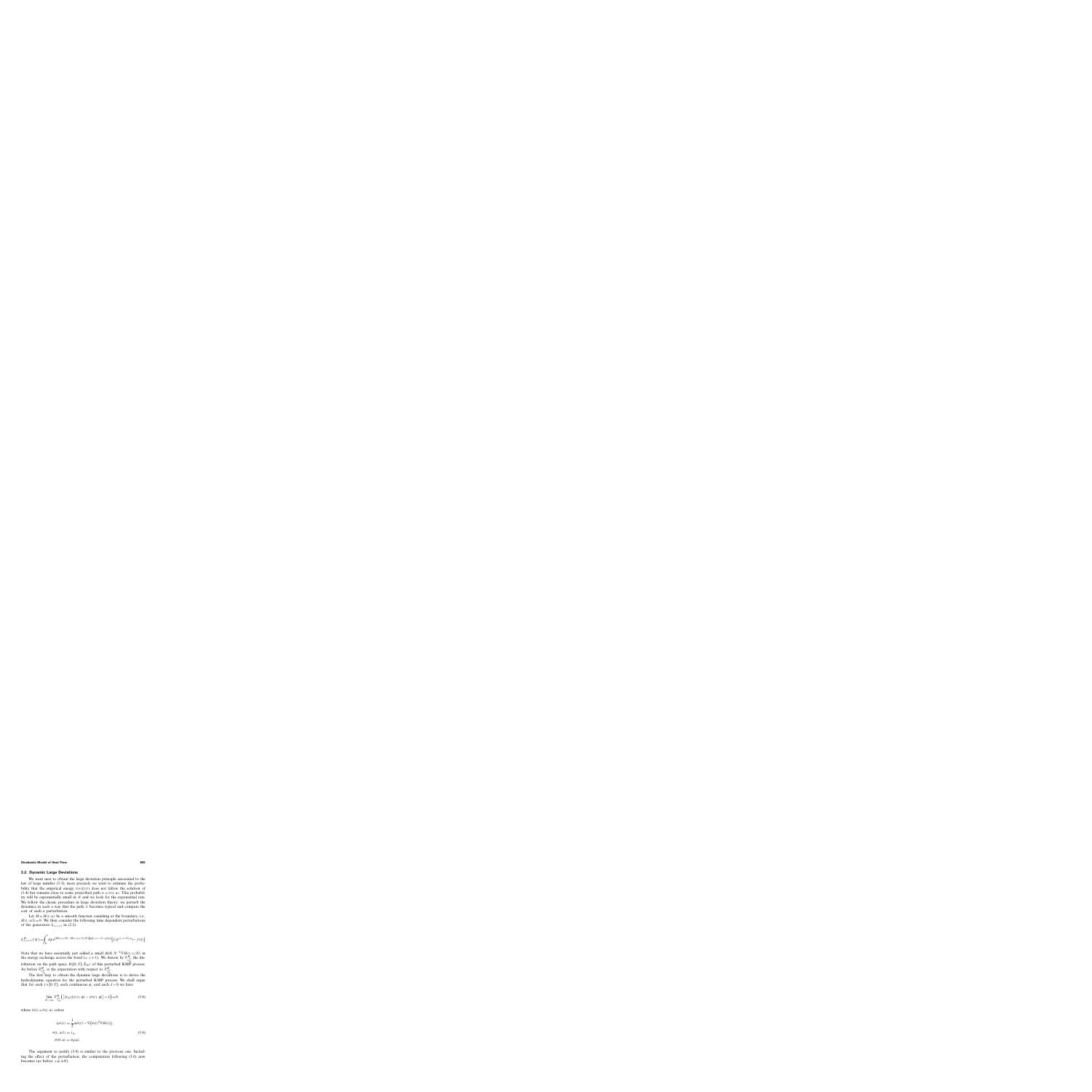#### **3.2. Dynamic Large Deviations**

We want next to obtain the large deviation principle associated to the law of large number (3.3); more precisely we want to estimate the probability that the empirical energy  $\pi_N(\xi(t))$  does not follow the solution of (3.4) but remains close to some prescribed path  $\pi = \pi(t, u)$ . This probability will be exponentially small in  $N$  and we look for the exponential rate. We follow the classic procedure in large deviation theory: we perturb the dynamics in such a way that the path  $\pi$  becomes typical and compute the cost of such a perturbation.

Let  $H = H(t, u)$  be a smooth function vanishing at the boundary, i.e.,  $H(t,\pm 1)=0$ . We then consider the following time dependent perturbations of the generators  $L_{x,x+1}$  in (2.2)

$$
L_{x,x+1}^H f(\xi) := \int_0^1 dp \, e^{[H(t,x/N) - H(t,(x+1)/N)][p\xi_{x+1} - (1-p)\xi_x]} [f(\xi^{(x,x+1),p}) - f(\xi)].
$$

Note that we have essentially just added a small drift  $N^{-1} \nabla H(t, x/N)$  in the energy exchange across the bond  $\{x, x+1\}$ . We denote by  $\mathbb{P}_{\nu_{\theta_n}^N}^H$  the distribution on the path space  $D([0, T]; \Sigma_N)$  of this perturbed KMP process. As before  $\mathbb{E}^H_{\nu_{\theta_0}^N}$ is the expectation with respect to  $\mathbb{P}^H_{\nu_{\theta_0}^N}$ .

The first step to obtain the dynamic large deviations is to derive the hydrodynamic equation for the perturbed KMP process. We shall argue that for each  $t \in [0, T]$ , each continuous  $\phi$ , and each  $\delta > 0$  we have

$$
\lim_{N \to \infty} \mathbb{P}_{\nu_{\theta_0}^N}^H \left( \left| \langle \pi_N(\xi(t)), \phi \rangle - \langle \theta(t), \phi \rangle \right| > \delta \right) = 0, \tag{3.8}
$$

where  $\theta(t) = \theta(t, u)$  solves

$$
\partial_t \theta(t) = \frac{1}{2} \Delta \theta(t) - \nabla (\theta(t)^2 \nabla H(t)),
$$
  
\n
$$
\theta(t, \pm 1) = \tau_{\pm},
$$
  
\n
$$
\theta(0, u) = \theta_0(u).
$$
\n(3.9)

The argument to justify (3.9) is similar to the previous one. Including the effect of the perturbation, the computation following (3.6) now becomes (as before  $y \neq \pm N$ )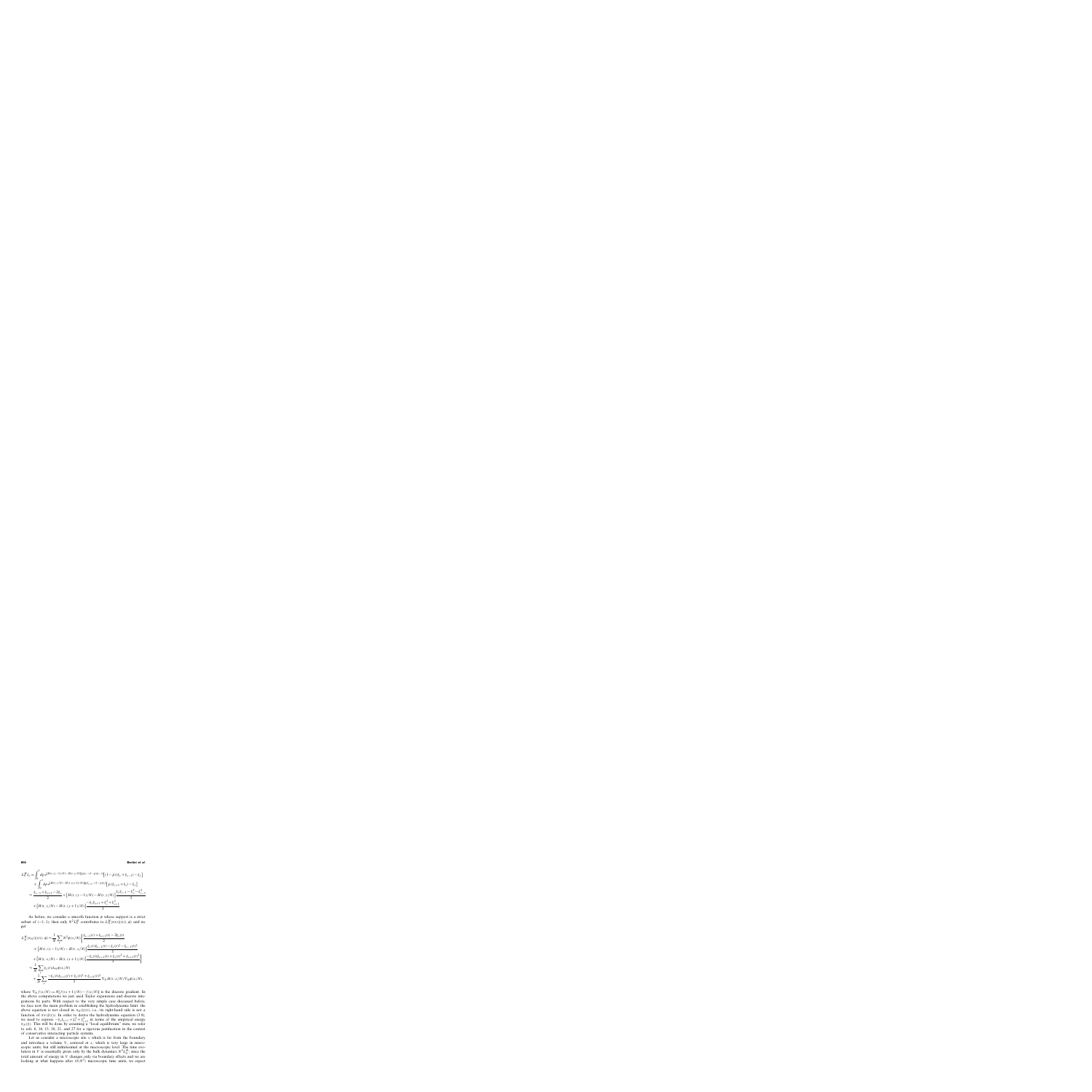**856 Bertini** *et al.*

$$
L_0^H \xi_y = \int_0^1 dp \, e^{[H(t,(y-1)/N)-H(t,y/N)][p\xi_y-(1-p)\xi_{y-1}]} \left[ (1-p)(\xi_y + \xi_{y-1}) - \xi_y \right]
$$
  
+ 
$$
\int_0^1 dp \, e^{[H(t,y/N)-H(t,(y+1)/N)][p\xi_{y+1}-(1-p)\xi_y]} \left[ p \left( \xi_{y+1} + \xi_y \right) - \xi_y \right]
$$
  

$$
\approx \frac{\xi_{y-1} + \xi_{y+1} - 2\xi_y}{2} + \left[ H(t,(y-1)/N) - H(t,y/N) \right] \frac{\xi_y \xi_{y-1} - \xi_y^2 - \xi_{y-1}^2}{3}
$$
  
+ 
$$
\left[ H(t,y/N) - H(t,(y+1)/N) \right] \frac{-\xi_y \xi_{y+1} + \xi_y^2 + \xi_{y+1}^2}{3}.
$$

As before, we consider a smooth function  $\phi$  whose support is a strict subset of (-1, 1); then only  $N^2 L_0^H$  contributes to  $L_N^H(\pi_N(\xi(t)), \phi)$  and we get

$$
L_N^H(\pi_N(\xi(t)), \phi) \approx \frac{1}{N} \sum_x N^2 \phi(x/N) \left\{ \frac{\xi_{x-1}(t) + \xi_{x+1}(t) - 2\xi_x(t)}{2} + \left[ H(t, (x-1)/N) - H(t, x/N) \right] \frac{\xi_x(t)\xi_{x-1}(t) - \xi_x(t)^2 - \xi_{x-1}(t)^2}{3} + \left[ H(t, x/N) - H(t, (x+1)/N) \right] \frac{-\xi_x(t)\xi_{x+1}(t) + \xi_x(t)^2 + \xi_{x+1}(t)^2}{3} \right\}
$$
  

$$
\approx \frac{1}{N} \sum_x \xi_x(t) \Delta_N \phi(x/N)
$$
  
+ 
$$
\frac{1}{N} \sum_x \frac{-\xi_x(t)\xi_{x+1}(t) + \xi_x(t)^2 + \xi_{x+1}(t)^2}{3} \nabla_N H(t, x/N) \nabla_N \phi(x/N),
$$

where  $\nabla_N f(x/N) := N[f((x+1)/N) - f(x/N)]$  is the discrete gradient. In the above computations we just used Taylor expansions and discrete integrations by parts. With respect to the very simple case discussed before, we face now the main problem in establishing the hydrodynamic limit: the above equation is not closed in  $\pi_N(\xi(t))$ , i.e., its right-hand side is not a function of  $\pi_N(\xi(t))$ . In order to derive the hydrodynamic equation (3.9), we need to express  $-\xi_x \xi_{x+1} + \xi_x^2 + \xi_{x+1}^2$  in terms of the empirical energy  $\pi_N(\xi)$ . This will be done by assuming a "local equilibrium" state, we refer to refs. 6, 14, 15, 18, 21, and 27 for a rigorous justification in the context of conservative interacting particle systems.

Let us consider a microscopic site  $x$  which is far from the boundary and introduce a volume  $V$ , centered at  $x$ , which is very large in microscopic units, but still infinitesimal at the macroscopic level. The time evolution in V is essentially given only by the bulk dynamics  $N^2 L_0^H$ ; since the total amount of energy in V changes only via boundary effects and we are looking at what happens after  $O(N^2)$  microscopic time units, we expect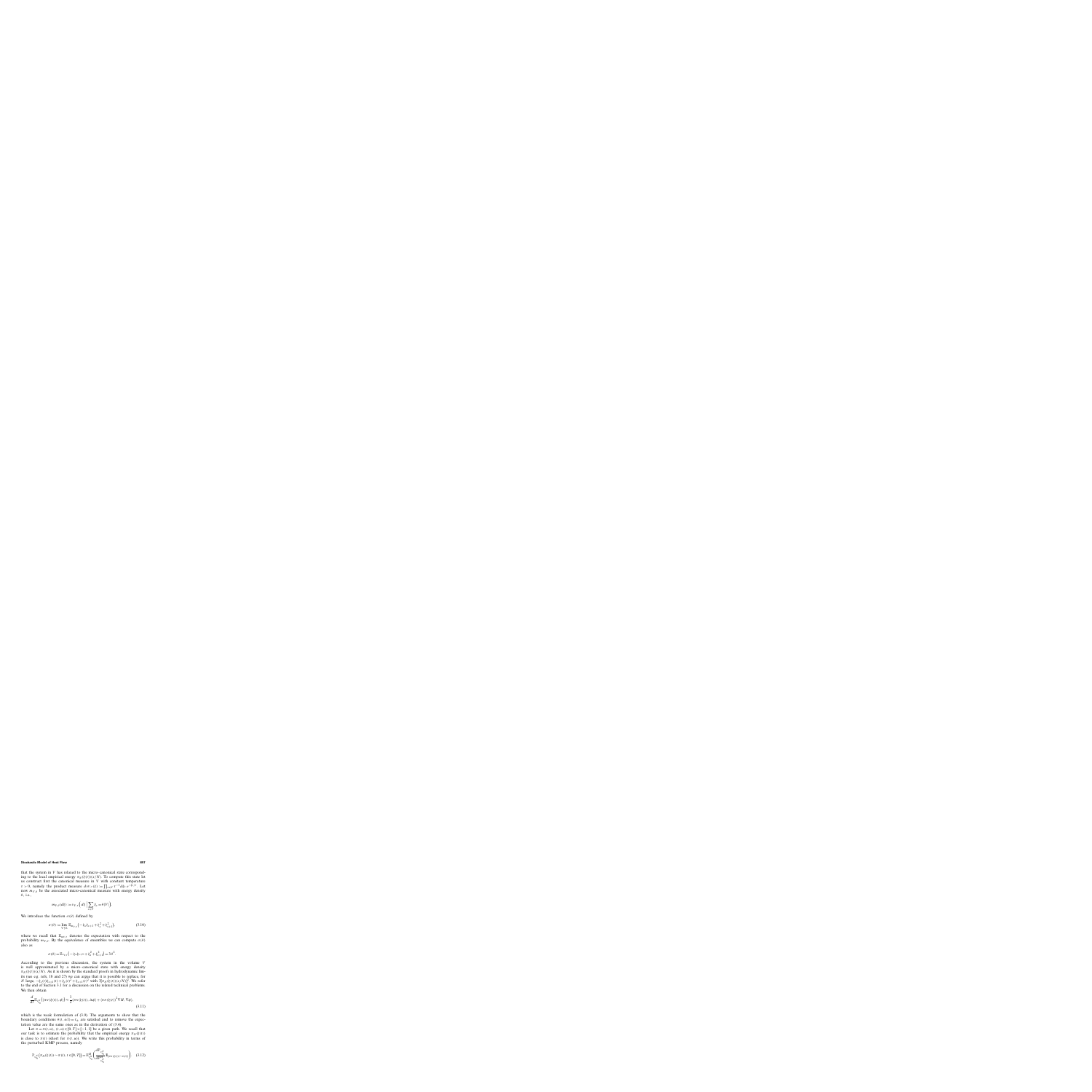that the system in V has relaxed to the micro–canonical state corresponding to the local empirical energy  $\pi_N(\xi(t))(x/N)$ . To compute this state let us construct first the canonical measure in  $V$  with constant temperature  $\tau > 0$ , namely the product measure  $dv_{V,\tau}(\xi) := \prod_{x \in V} \tau^{-1} d\xi_x e^{-\xi_x/\tau}$ . Let now  $m_{V,\theta}$  be the associated micro-canonical measure with energy density  $\theta$ , i.e.,

$$
m_{V,\theta}(d\xi) := \nu_{V,\tau}\Big(d\xi \Big| \sum_{x \in V} \xi_x = \theta|V|\Big).
$$

We introduce the function  $\sigma(\theta)$  defined by

$$
\sigma(\theta) := \lim_{V \uparrow \mathbb{Z}} \mathbb{E}_{m_{V,\theta}} \left( -\xi_x \xi_{x+1} + \xi_x^2 + \xi_{x+1}^2 \right), \tag{3.10}
$$

where we recall that  $\mathbb{E}_{m_{V,\theta}}$  denotes the expectation with respect to the probability  $m_{V,\theta}$ . By the equivalence of ensembles we can compute  $\sigma(\theta)$ also as

$$
\sigma(\theta) = \mathbb{E}_{\nu_{V,\theta}}\left(-\xi_x\xi_{x+1} + \xi_x^2 + \xi_{x+1}^2\right) = 3\theta^2.
$$

According to the previous discussion, the system in the volume V is well approximated by a micro–canonical state with energy density  $\pi_N(\xi(t))(x/N)$ . As it is shown by the standard proofs in hydrodynamic limits (see e.g. refs, 18 and 27) we can argue that it is possible to replace, for *N* large,  $-\xi_x(t)\xi_{x+1}(t) + \xi_x(t)^2 + \xi_{x+1}(t)^2$  with  $3[\pi_N(\xi(t))(x/N)]^2$ . We refer to the end of Section 3.1 for a discussion on the related technical problems. We then obtain

$$
\frac{d}{dt} \mathbb{E}_{\nu_{\theta_0}^N} \left( \langle \pi_N(\xi(t)), \phi \rangle \right) \approx \frac{1}{2} \langle \pi_N(\xi(t)), \Delta \phi \rangle + \langle \pi_N(\xi(t))^2 \nabla H, \nabla \phi \rangle, \tag{3.11}
$$

which is the weak formulation of (3.9). The arguments to show that the boundary conditions  $\theta(t, \pm 1) = \tau_+$  are satisfied and to remove the expectation value are the same ones as in the derivation of (3.4).

Let  $\pi = \pi(t, u)$ ,  $(t, u) \in [0, T] \times [-1, 1]$  be a given path. We recall that our task is to estimate the probability that the empirical energy  $\pi_N(\xi(t))$ is close to  $\pi(t)$  (short for  $\pi(t, u)$ ). We write this probability in terms of the perturbed KMP process, namely

$$
\mathbb{P}_{\nu_{\theta_0}^N}(\pi_N(\xi(t)) \sim \pi(t), t \in [0, T]) = \mathbb{E}_{\nu_{\theta_0}^N}^H \left( \frac{d \mathbb{P}_{\nu_{\theta_0}^N}}{d \mathbb{P}_{\nu_{\theta_0}^N}} \, 1\!\!1_{\{\pi_N(\xi(t)) \sim \pi(t)\}} \right). \tag{3.12}
$$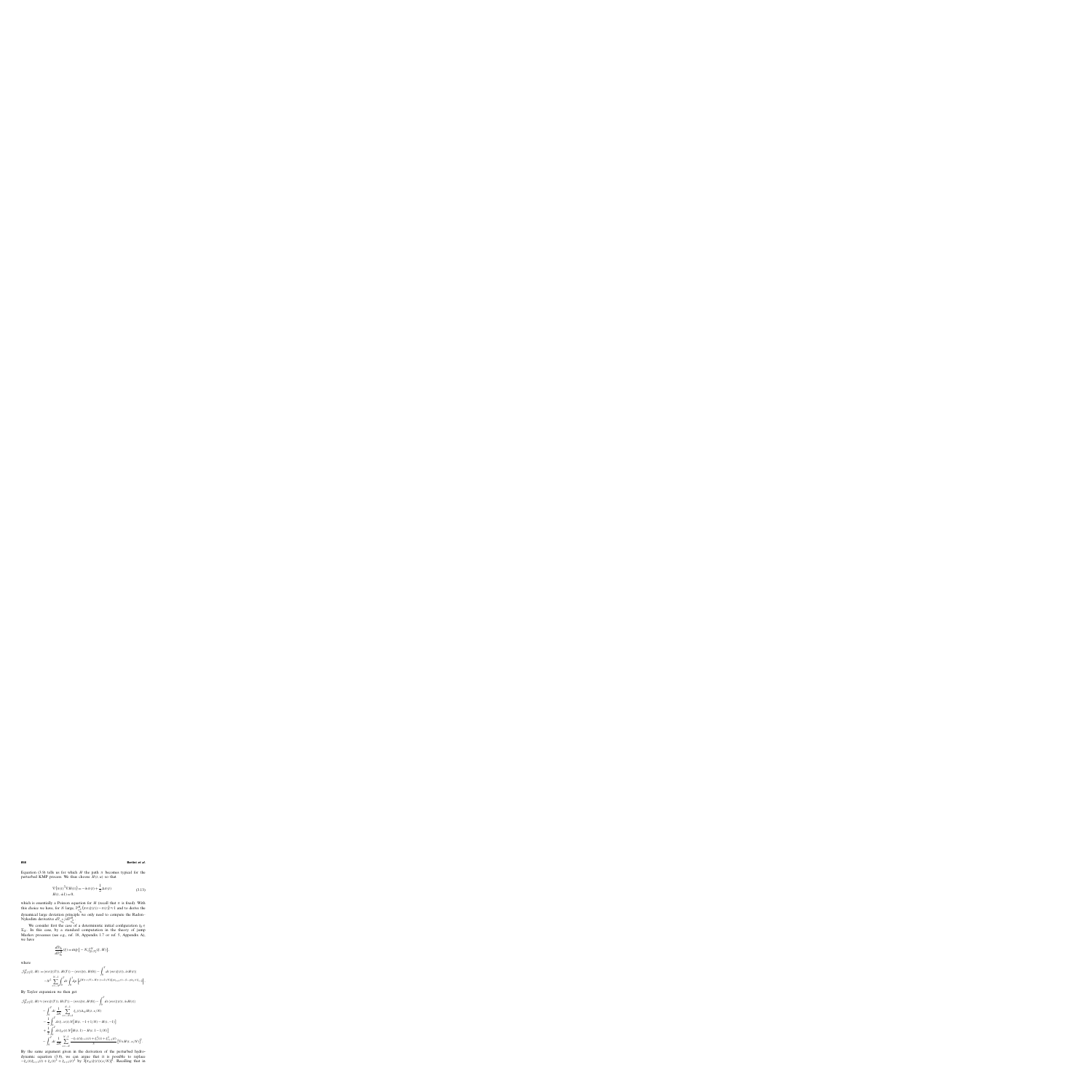Equation (3.9) tells us for which H the path  $\pi$  becomes typical for the perturbed KMP process. We thus choose  $H(t, u)$  so that

$$
\nabla (\pi(t)^2 \nabla H(t)) = -\partial_t \pi(t) + \frac{1}{2} \Delta \pi(t)
$$
  
 
$$
H(t, \pm 1) = 0,
$$
 (3.13)

which is essentially a Poisson equation for H (recall that  $\pi$  is fixed). With this choice we have, for N large,  $\mathbb{P}_{\nu_{\theta_0}^{N}}^H$  $(\pi_N(\xi(t)) \sim \pi(t)) \approx 1$  and to derive the dynamical large deviation principle we only need to compute the Radon– Nykodim derivative  $d\mathbb{P}_{\nu_{\theta_0}^N}/d\mathbb{P}_{\nu_{\theta_0}^N}^H$ .

We consider first the case of a deterministic initial configuration  $\xi_0 \in$  $\Sigma_N$ . In this case, by a standard computation in the theory of jump Markov processes (see e.g., ref. 18, Appendix 1.7 or ref. 5, Appendix A), we have

$$
\frac{d\mathbb{P}_{\xi_0}}{d\mathbb{P}_{\xi_0}^H}(\xi) = \exp\{-N\mathcal{J}_{[0,T]}^N(\xi, H)\},\
$$

where

$$
\mathcal{J}_{[0,T]}^N(\xi, H) := \langle \pi_N(\xi(T)), H(T) \rangle - \langle \pi_N(\xi_0), H(0) \rangle - \int_0^T dt \langle \pi_N(\xi(t)), \partial_t H(t) \rangle \n- N^2 \sum_{x=-N}^{N-1} \int_0^T dt \int_0^1 dp \left\{ e^{[H(t,x/N) - H(t,(x+1)/N)][p\xi_{x+1}(t) - (1-p)\xi_x(t)]} - 1 \right\}.
$$

By Taylor expansion we then get

$$
\mathcal{J}_{[0,T]}^{N}(\xi, H) \approx \langle \pi_{N}(\xi(T)), H(T) \rangle - \langle \pi_{N}(\xi_{0}), H(0) \rangle - \int_{0}^{T} dt \langle \pi_{N}(\xi(t)), \partial_{t} H(t) \rangle \n- \int_{0}^{T} dt \frac{1}{2N} \sum_{x=-N+1}^{N-1} \xi_{x}(t) \Delta_{N} H(t, x/N) \n- \frac{1}{2} \int_{0}^{T} dt \xi_{-N}(t) N[H(t, -1+1/N) - H(t, -1)] \n+ \frac{1}{2} \int_{0}^{T} dt \xi_{N}(t) N[H(t, 1) - H(t, 1-1/N)] \n- \int_{0}^{T} dt \frac{1}{2N} \sum_{x=-N}^{N-1} \frac{-\xi_{x}(t)\xi_{x+1}(t) + \xi_{x}^{2}(t) + \xi_{x+1}^{2}(t)}{3} [\nabla_{N} H(t, x/N)]^{2}.
$$

By the same argument given in the derivation of the perturbed hydrodynamic equation (3.9), we can argue that it is possible to replace  $-\xi_x(t)\xi_{x+1}(t) + \xi_x(t)^2 + \xi_{x+1}(t)^2$  by  $3[\pi_N(\xi(t))(x/N)]^2$ . Recalling that in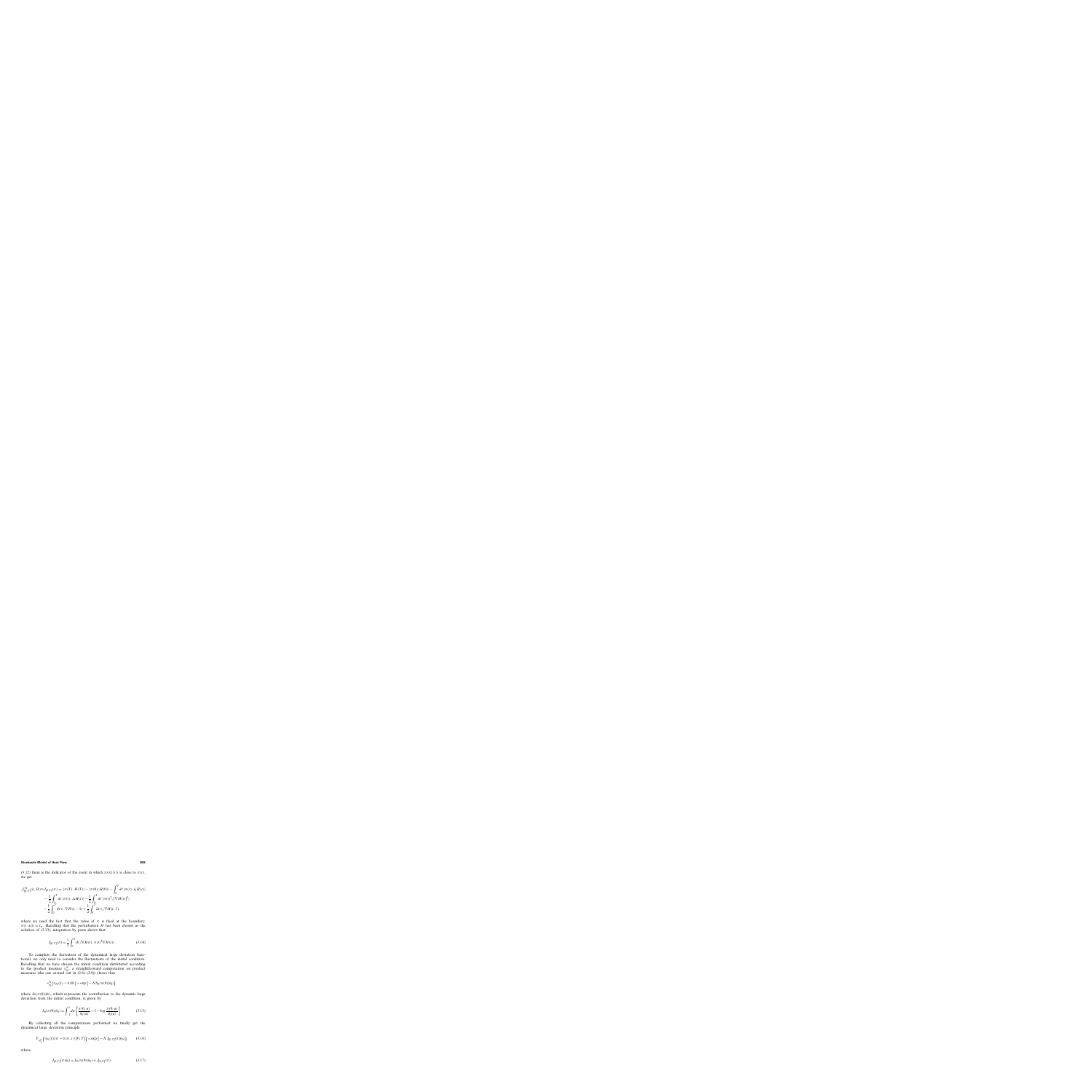(3.12) there is the indicator of the event in which  $\pi_N(\xi(t))$  is close to  $\pi(t)$ , we get

$$
\mathcal{J}_{[0,T]}^N(\xi, H) \approx J_{[0,T]}(\pi) = \langle \pi(T), H(T) \rangle - \langle \pi(0), H(0) \rangle - \int_0^T dt \langle \pi(t), \partial_t H(t) \rangle \n- \frac{1}{2} \int_0^T dt \langle \pi(t), \Delta H(t) \rangle - \frac{1}{2} \int_0^T dt \langle \pi(t)^2, [\nabla H(t)]^2 \rangle \n- \frac{1}{2} \int_0^T dt \tau_- \nabla H(t, -1) + \frac{1}{2} \int_0^T dt \tau_+ \nabla H(t, 1),
$$

where we used the fact that the value of  $\pi$  is fixed at the boundary,  $\pi(t,\pm 1) = \tau_+$ . Recalling that the perturbation H has been chosen as the solution of (3.13), integration by parts shows that

$$
J_{[0,T]}(\pi) = \frac{1}{2} \int_0^T dt \, \langle \nabla H(t), \pi(t)^2 \nabla H(t) \rangle.
$$
 (3.14)

To complete the derivation of the dynamical large deviation functional, we only need to consider the fluctuations of the initial condition. Recalling that we have chosen the initial condition distributed according to the product measure  $v_{\theta_0}^N$ , a straightforward computation on product measures (the one carried out in  $(2.6)$ – $(2.8)$ ) shows that

$$
\nu_{\theta_0}^N(\pi_N(\xi) \sim \pi(0)) \asymp \exp\left\{-N S_0(\pi(0)|\theta_0)\right\},\,
$$

where  $S_0(\pi(0)|\theta_0)$ , which represents the contribution to the dynamic large deviation from the initial condition, is given by

$$
S_0(\pi(0)|\theta_0) = \int_{-1}^1 du \left[ \frac{\pi(0, u)}{\theta_0(u)} - 1 - \log \frac{\pi(0, u)}{\theta_0(u)} \right].
$$
 (3.15)

By collecting all the computations performed we finally get the dynamical large deviation principle

$$
\mathbb{P}_{\nu_{\theta_0}^N}\Big(\pi_N(\xi(t)) \sim \pi(t), t \in [0, T]\Big) \asymp \exp\big\{-N I_{[0, T]}(\pi | \theta_0)\big\},\qquad(3.16)
$$

where

$$
I_{[0,T]}(\pi|\theta_0) = S_0(\pi(0)|\theta_0) + J_{[0,T]}(\pi).
$$
\n(3.17)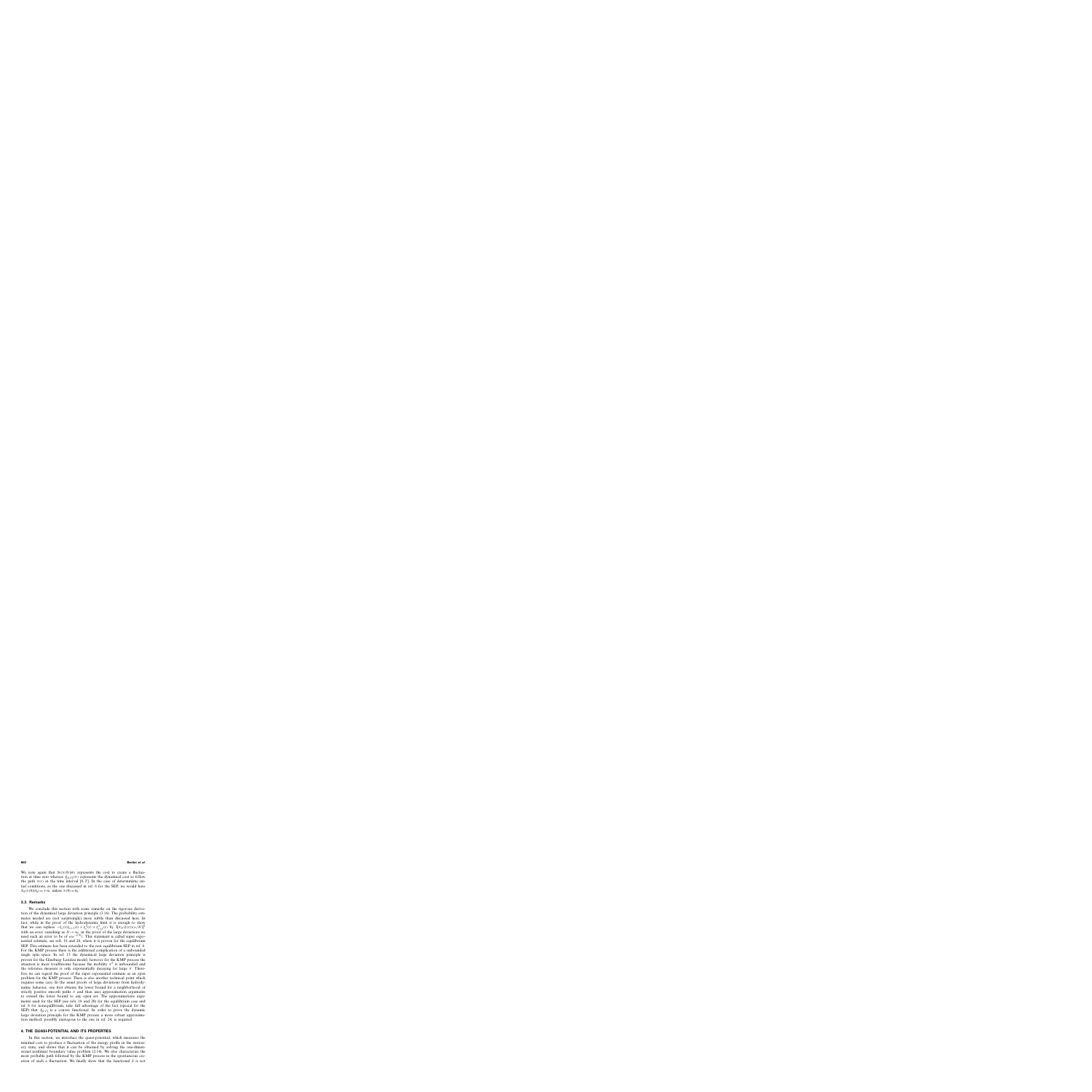We note again that  $S_0(\pi(0)|\theta_0)$  represents the cost to create a fluctuation at time zero whereas  $J_{[0, T]}(\pi)$  represents the dynamical cost to follow the path  $\pi(t)$  in the time interval [0, T]. In the case of deterministic intial conditions, as the one discussed in ref. 6 for the SEP, we would have  $S_0(\pi(0)|\theta_0) = +\infty$  unless  $\pi(0) = \theta_0$ .

# **3.3. Remarks**

We conclude this section with some remarks on the rigorous derivation of the dynamical large deviation principle (3.16). The probability estimates needed are (not surprisingly) more subtle than discussed here. In fact, while in the proof of the hydrodynamic limit it is enough to show that we can replace  $-\xi_x(t)\xi_{x+1}(t) + \xi_x^2(t) + \xi_{x+1}^2(t)$  by  $3[\pi_N(\xi(t))(x/N)]^2$ with an error vanishing as  $N \rightarrow \infty$ , in the proof of the large deviations we need such an error to be of  $o(e^{-C_N})$ . This statement is called super exponential estimate, see refs. 18 and 20, where it is proven for the equilibrium SEP. This estimate has been extended to the non equilibrium SEP in ref. 6. For the KMP process there is the additional complication of a unbounded single spin space. In ref. 13 the dynamical large deviation principle is proven for the Ginzburg–Landau model; however for the KMP process the situation is more troublesome because the mobility  $\pi^2$  is unbounded and the reference measure is only exponentially decaying for large  $\pi$ . Therefore we can regard the proof of the super exponential estimate as an open problem for the KMP process. There is also another technical point which requires some care. In the usual proofs of large deviations from hydrodynamic behavior, one first obtains the lower bound for a neighborhood of strictly positive smooth paths  $\pi$  and then uses approximation arguments to extend the lower bound to any open set. The approximations arguments used for the SEP (see refs. 18 and 20) for the equilibrium case and ref. 6 for nonequilibrium, take full advantage of the fact (special for the SEP) that  $J_{[0,T]}$  is a convex functional. In order to prove the dynamic large deviation principle for the KMP process a more robust approximation method, possibly analogous to the one in ref. 24, is required.

# **4. THE QUASI-POTENTIAL AND ITS PROPERTIES**

In this section, we introduce the quasi-potential, which measures the minimal cost to produce a fluctuation of the energy profile in the stationary state, and shows that it can be obtained by solving the one-dimensional nonlinear boundary value problem (2.14). We also characterize the most probable path followed by the KMP process in the spontaneous creation of such a fluctuation. We finally show that the functional  $S$  is not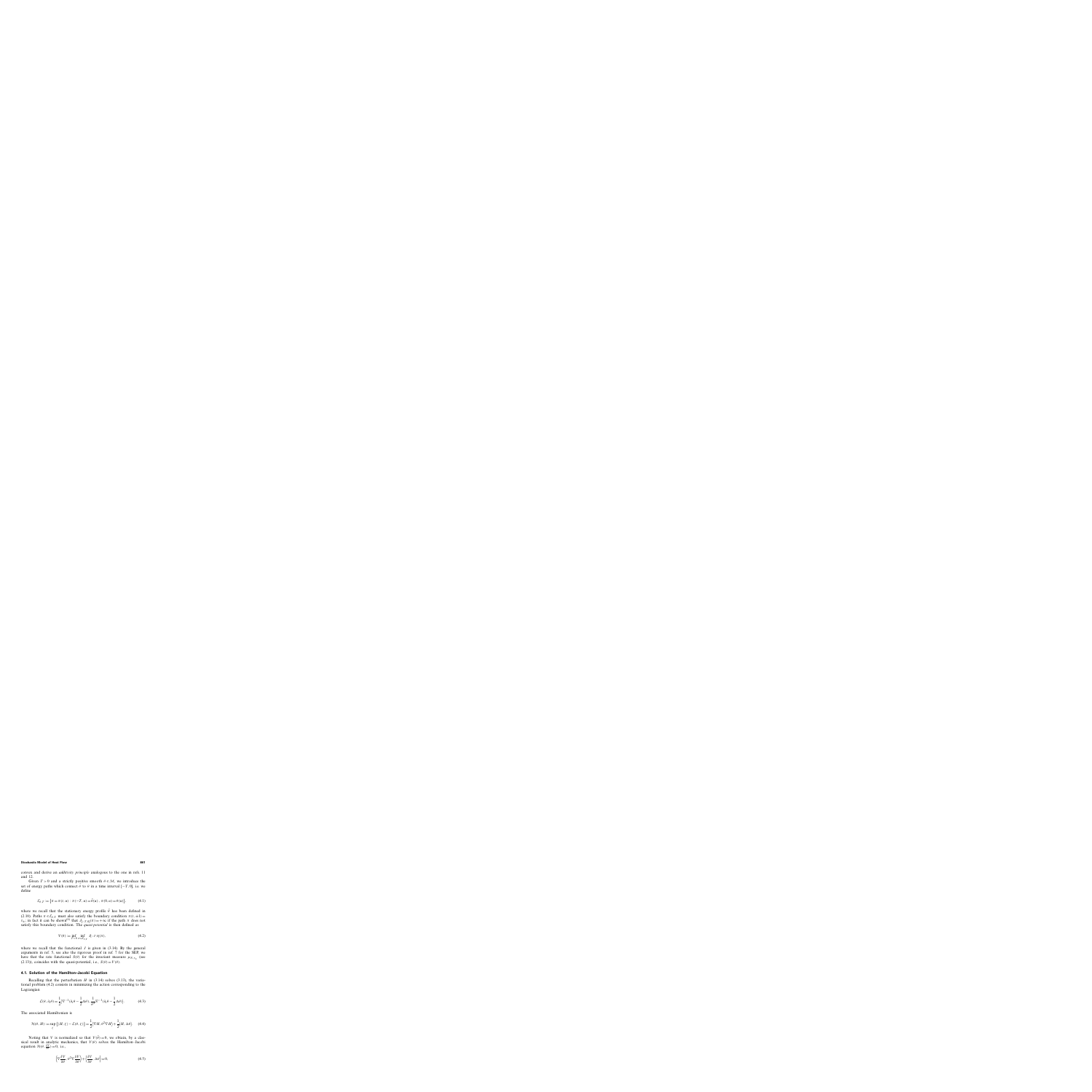convex and derive an *additivity principle* analogous to the one in refs. 11 and 12.

Given  $T > 0$  and a strictly positive smooth  $\theta \in \mathcal{M}$ , we introduce the set of energy paths which connect  $\bar{\theta}$  to  $\theta$  in a time interval [−T, 0], i.e. we define

$$
\mathcal{E}_{\theta,T} := \{ \pi = \pi(t,u) : \pi(-T,u) = \bar{\theta}(u) , \pi(0,u) = \theta(u) \},\tag{4.1}
$$

where we recall that the stationary energy profile  $\bar{\theta}$  has been defined in (2.10). Paths  $\pi \in \mathcal{E}_{\theta,T}$  must also satisfy the boundary condition  $\pi(t,\pm 1)=$  $\tau_{\pm}$ ; in fact it can be shown<sup>(6)</sup> that  $J_{[-T,0]}(\pi) = +\infty$  if the path  $\pi$  does not satisfy this boundary condition. The *quasi-potential* is then defined as

$$
V(\theta) := \inf_{T > 0} \inf_{\pi \in \mathcal{E}_{\theta, T}} J_{[-T, 0]}(\pi),\tag{4.2}
$$

where we recall that the functional  $J$  is given in (3.14). By the general arguments in ref. 5, see also the rigorous proof in ref. 7 for the SEP, we have that the rate functional  $S(\theta)$  for the invariant measure  $\mu_{N, \tau_{+}}$  (see (2.13)), coincides with the quasi-potential, i.e.,  $S(\theta) = V(\theta)$ .

## **4.1. Solution of the Hamilton–Jacobi Equation**

Recalling that the perturbation H in  $(3.14)$  solves  $(3.13)$ , the variational problem (4.2) consists in minimizing the action corresponding to the Lagrangian

$$
\mathcal{L}(\theta, \partial_t \theta) = \frac{1}{2} \langle \nabla^{-1}(\partial_t \theta - \frac{1}{2} \Delta \theta), \frac{1}{\theta^2} \nabla^{-1}(\partial_t \theta - \frac{1}{2} \Delta \theta) \rangle.
$$
 (4.3)

The associated Hamiltonian is

$$
\mathcal{H}(\theta, H) := \sup_{\zeta} \left\{ \langle H, \zeta \rangle - \mathcal{L}(\theta, \zeta) \right\} = \frac{1}{2} \langle \nabla H, \theta^2 \nabla H \rangle + \frac{1}{2} \langle H, \Delta \theta \rangle. \tag{4.4}
$$

Noting that V is normalized so that  $V(\bar{\theta}) = 0$ , we obtain, by a classical result in analytic mechanics, that  $V(\theta)$  solves the Hamilton–Jacobi equation  $\mathcal{H}(\theta, \frac{\delta V}{\delta \theta}) = 0$ , i.e.,

$$
\left\langle \nabla \frac{\delta V}{\delta \theta}, \theta^2 \nabla \frac{\delta V}{\delta \theta} \right\rangle + \left\langle \frac{\delta V}{\delta \theta}, \Delta \theta \right\rangle = 0, \tag{4.5}
$$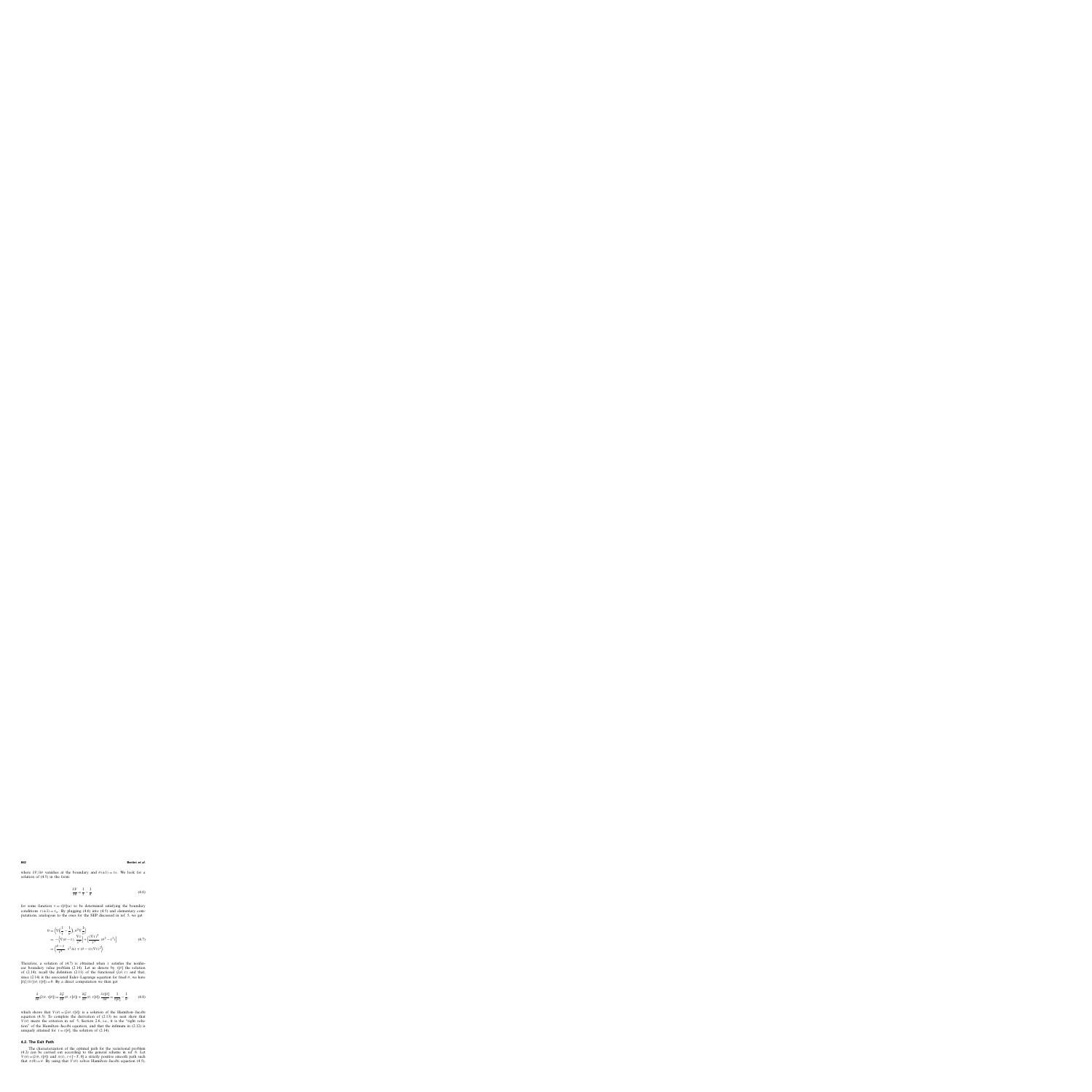where  $\delta V/\delta\theta$  vanishes at the boundary and  $\theta(\pm 1) = \tau_{\pm}$ . We look for a solution of (4.5) in the form:

$$
\frac{\delta V}{\delta \theta} = \frac{1}{\tau} - \frac{1}{\theta} \tag{4.6}
$$

for some function  $\tau = \tau[\theta](u)$  to be determined satisfying the boundary conditions  $\tau(\pm 1) = \tau_+$ . By plugging (4.6) into (4.5) and elementary computations, analogous to the ones for the SEP discussed in ref. 5, we get

$$
0 = \left\langle \nabla \left( \frac{1}{\tau} - \frac{1}{\theta} \right), \theta^2 \nabla \frac{1}{\tau} \right\rangle
$$
  
= -\left\langle \nabla (\theta - \tau), \frac{\nabla \tau}{\tau^2} \right\rangle + \left\langle \frac{(\nabla \tau)^2}{\tau^4}, (\theta^2 - \tau^2) \right\rangle  
= \left\langle \frac{\theta - \tau}{\tau^4}, \tau^2 \Delta \tau + (\theta - \tau)(\nabla \tau)^2 \right\rangle. (4.7)

Therefore, a solution of (4.7) is obtained when  $\tau$  satisfies the nonlinear boundary value problem (2.14). Let us denote by  $\tau[\theta]$  the solution of (2.14); recall the definition (2.11) of the functional  $G(\theta, \tau)$  and that, since (2.14) is the associated Euler–Lagrange equation for fixed  $\theta$ , we have  $[\delta \mathcal{G}/\delta \tau](\theta, \tau[\theta]) = 0$ . By a direct computation we then get

$$
\frac{\delta}{\delta\theta}\mathcal{G}(\theta,\tau[\theta]) = \frac{\delta\mathcal{G}}{\delta\theta}(\theta,\tau[\theta]) + \frac{\delta\mathcal{G}}{\delta\tau}(\theta,\tau[\theta])\frac{\delta\tau[\theta]}{\delta\theta} = \frac{1}{\tau[\theta]} - \frac{1}{\theta},\tag{4.8}
$$

which shows that  $V(\theta) = \mathcal{G}(\theta, \tau[\theta])$  is a solution of the Hamilton–Jacobi equation  $(4.5)$ . To complete the derivation of  $(2.13)$  we next show that  $V(\theta)$  meets the criterion in ref. 5, Section 2.6, i.e., it is the "right solution" of the Hamilton–Jacobi equation, and that the infimum in (2.12) is uniquely attained for  $\tau = \tau[\theta]$ , the solution of (2.14).

# **4.2. The Exit Path**

The characterization of the optimal path for the variational problem (4.2) can be carried out according to the general scheme in ref. 6. Let  $V(\theta) = \mathcal{G}(\theta, \tau[\theta])$  and  $\pi(t), t \in [-T, 0]$  a strictly positive smooth path such that  $\pi(0) = \theta$ . By using that  $V(\theta)$  solves Hamilton–Jacobi equation (4.5),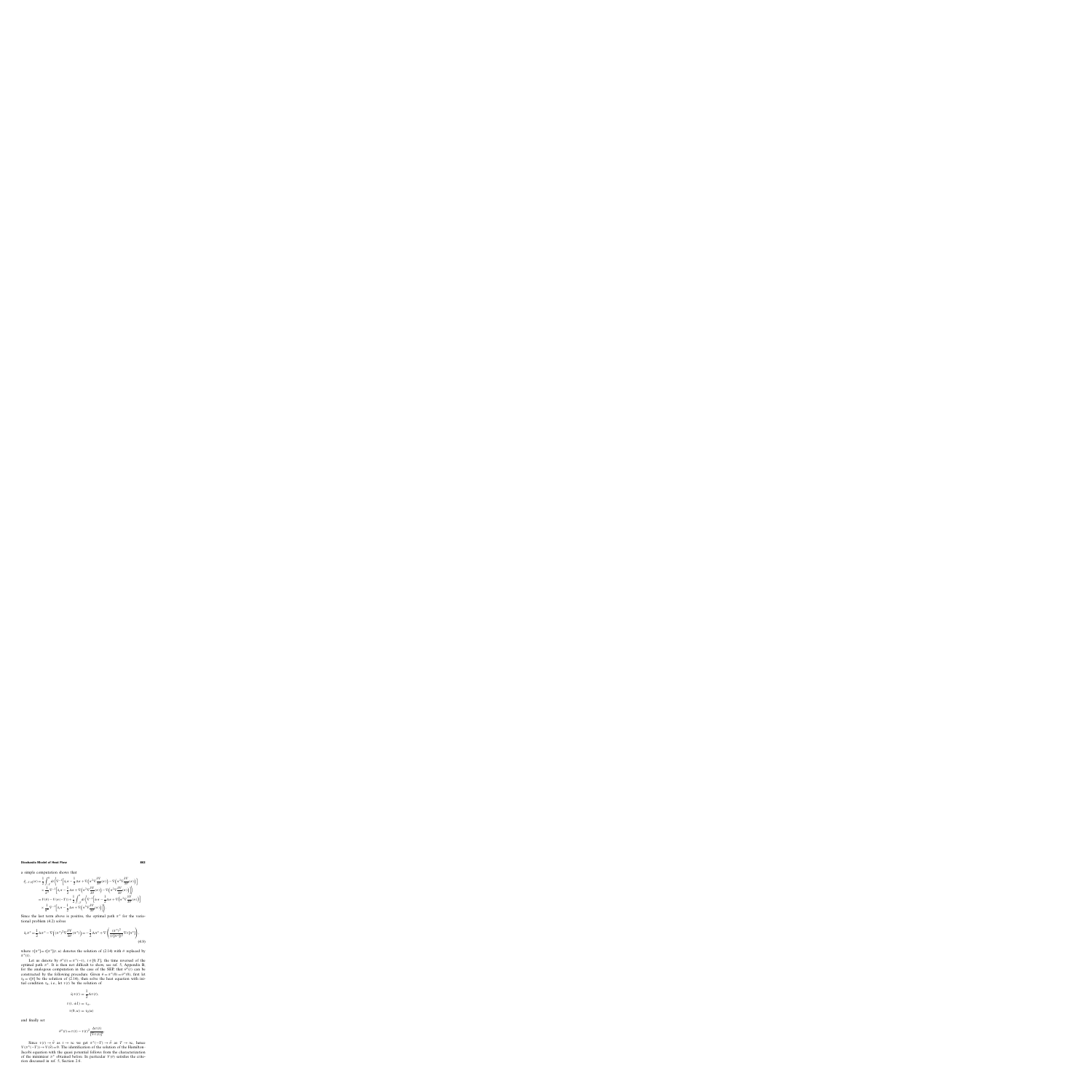a simple computation shows that

$$
J_{[-T,0]}(\pi) = \frac{1}{2} \int_{-T}^{0} dt \left\{ \nabla^{-1} \left[ \partial_t \pi - \frac{1}{2} \Delta \pi + \nabla \left( \pi^2 \nabla \frac{\delta V}{\delta \theta} (\pi) \right) - \nabla \left( \pi^2 \nabla \frac{\delta V}{\delta \theta} (\pi) \right) \right] \right. \\ \times \frac{1}{\pi^2} \nabla^{-1} \left[ \partial_t \pi - \frac{1}{2} \Delta \pi + \nabla \left( \pi^2 \nabla \frac{\delta V}{\delta \theta} (\pi) \right) - \nabla \left( \pi^2 \nabla \frac{\delta V}{\delta \theta} (\pi) \right) \right] \right\} \\ = V(\theta) - V(\pi(-T)) + \frac{1}{2} \int_{-T}^{0} dt \left\{ \nabla^{-1} \left[ \partial_t \pi - \frac{1}{2} \Delta \pi + \nabla \left( \pi^2 \nabla \frac{\delta V}{\delta \theta} (\pi) \right) \right] \right\} \\ \times \frac{1}{\pi^2} \nabla^{-1} \left[ \partial_t \pi - \frac{1}{2} \Delta \pi + \nabla \left( \pi^2 \nabla \frac{\delta V}{\delta \theta} (\pi) \right) \right] \right\}.
$$

Since the last term above is positive, the optimal path  $\pi^*$  for the variational problem (4.2) solves

$$
\partial_t \pi^* = \frac{1}{2} \Delta \pi^* - \nabla \left( (\pi^*)^2 \nabla \frac{\delta V}{\delta \theta} (\pi^*) \right) = -\frac{1}{2} \Delta \pi^* + \nabla \left( \frac{(\pi^*)^2}{(\tau [\pi^*])^2} \nabla \tau [\pi^*] \right),\tag{4.9}
$$

where  $\tau[\pi^*]=\tau[\pi^*](t, u)$  denotes the solution of (2.14) with  $\theta$  replaced by  $\pi^*(t)$ .

Let us denote by  $\theta^*(t) = \pi^*(-t)$ ,  $t \in [0, T]$ , the time reversed of the optimal path  $\pi^*$ . It is then not difficult to show, see ref. 5, Appendix B, for the analogous computation in the case of the SEP, that  $\theta^*(t)$  can be constructed by the following procedure. Given  $\theta = \pi^*(0) = \theta^*(0)$ , first let  $\tau_0 = \tau[\theta]$  be the solution of (2.14), then solve the heat equation with initial condition  $\tau_0$ , i.e., let  $\tau(t)$  be the solution of

$$
\partial_t \tau(t) = \frac{1}{2} \Delta \tau(t),
$$
  

$$
\tau(t, \pm 1) = \tau_{\pm},
$$
  

$$
\tau(0, u) = \tau_0(u)
$$

and finally set

$$
\theta^*(t) = \tau(t) - \tau(t)^2 \frac{\Delta \tau(t)}{[\nabla \tau(t)]^2}.
$$

Since  $\tau(t) \to \bar{\theta}$  as  $t \to \infty$  we get  $\pi^*(-T) \to \bar{\theta}$  as  $T \to \infty$ , hence  $V(\pi^*(-T)) \to V(\bar{\theta}) = 0$ . The identification of the solution of the Hamilton– Jacobi equation with the quasi potential follows from the characterization of the minimizer  $\pi^*$  obtained before. In particular  $V(\theta)$  satisfies the criterion discussed in ref. 5, Section 2.6.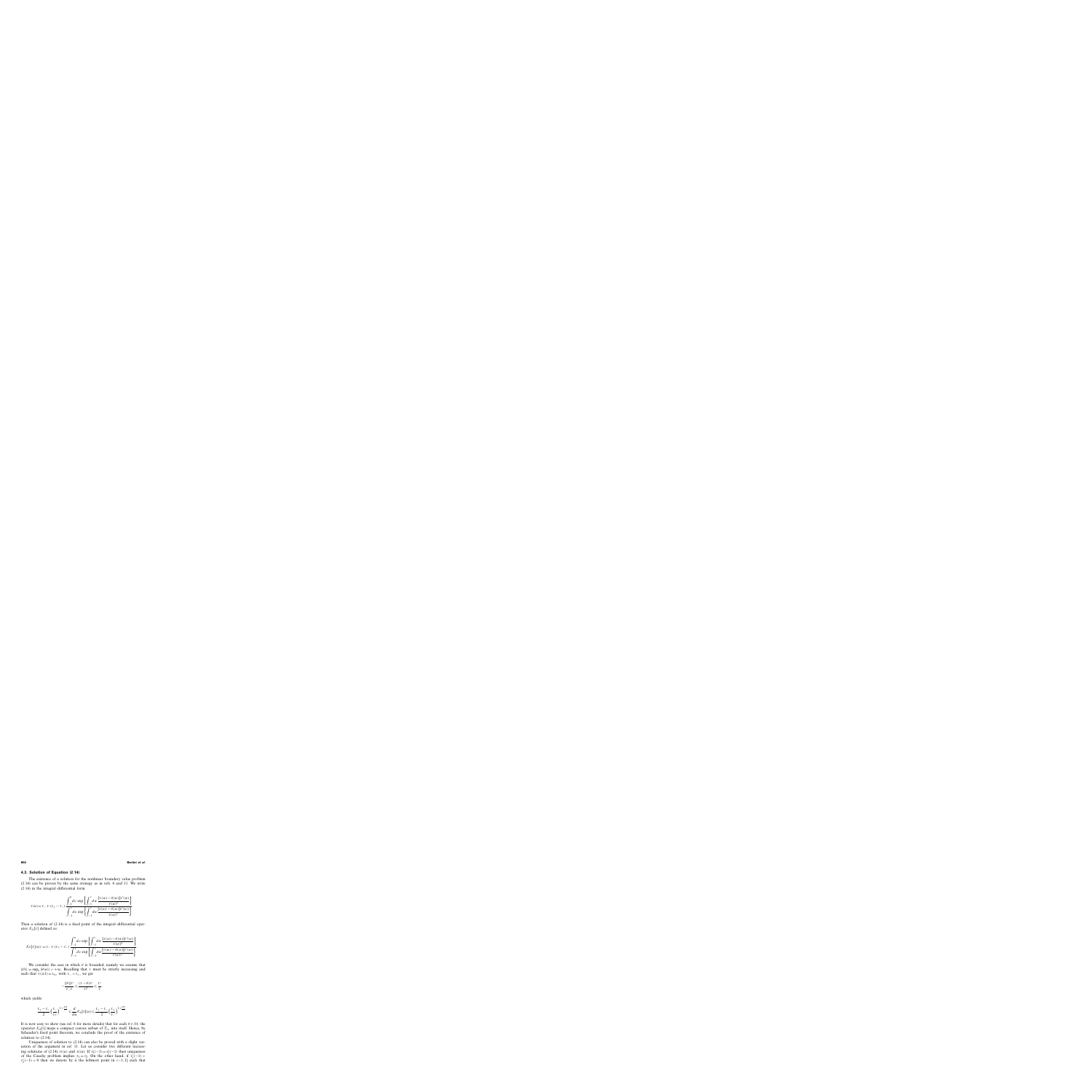#### **4.3. Solution of Equation (2.14)**

The existence of a solution for the nonlinear boundary value problem (2.14) can be proven by the same strategy as in refs. 6 and 11. We write (2.14) in the integral–differential form

$$
\tau(u) = \tau_{-} + (\tau_{+} - \tau_{-}) \frac{\int_{-1}^{u} dv \exp \left\{ \int_{-1}^{v} dw \frac{[\tau(w) - \theta(w)] \tau'(w)}{\tau(w)^{2}} \right\}}{\int_{-1}^{1} dv \exp \left\{ \int_{-1}^{v} dw \frac{[\tau(w) - \theta(w)] \tau'(w)}{\tau(w)^{2}} \right\}}.
$$

Then a solution of (2.14) is a fixed point of the integral–differential operator  $\mathcal{K}_{\theta}[\tau]$  defined as

$$
\mathcal{K}_{\theta}[\tau](u) := \tau_{-} + (\tau_{+} - \tau_{-}) \frac{\int_{-1}^{u} dv \exp \left\{ \int_{-1}^{v} dw \frac{[\tau(w) - \theta(w)] \tau'(w)}{\tau(w)^{2}} \right\}}{\int_{-1}^{1} dv \exp \left\{ \int_{-1}^{v} dw \frac{[\tau(w) - \theta(w)] \tau'(w)}{\tau(w)^{2}} \right\}}.
$$

We consider the case in which  $\theta$  is bounded, namely we assume that  $\|\theta\| := \sup_{\mu} |\theta(u)| < +\infty$ . Recalling that  $\tau$  must be strictly increasing and such that  $\tau(\pm 1) = \tau_{\pm}$ , with  $\tau_{-} < \tau_{+}$ , we get

$$
-\frac{\|\theta\|\tau'}{\tau_{-}\tau}\leqslant \frac{(\tau-\theta)\tau'}{\tau^2}\leqslant \frac{\tau'}{\tau},
$$

which yields

$$
\frac{\tau_+-\tau_-}{2}\Big(\frac{\tau_-}{\tau_+}\Big)^{1+\frac{\|\theta\|}{\tau_-}}\leqslant \frac{d}{du}{\mathcal K}_\theta[\tau](u)\leqslant \frac{\tau_+-\tau_-}{2}\Big(\frac{\tau_+}{\tau_-}\Big)^{1+\frac{\|\theta\|}{\tau_-}}.
$$

It is now easy to show (see ref. 6 for more details) that for each  $\theta \in \mathcal{M}$ , the operator  $\mathcal{K}_{\theta}[\tau]$  maps a compact convex subset of  $\mathcal{T}_{\tau+}$  into itself. Hence, by Schauder's fixed point theorem, we conclude the proof of the existence of solution to (2.14).

Uniqueness of solution to (2.14) can also be proved with a slight variation of the argument in ref. 11. Let us consider two different increasing solutions of (2.14)  $\tau_1(u)$  and  $\tau_2(u)$ . If  $\tau'_1(-1) = \tau'_2(-1)$  then uniqueness of the Cauchy problem implies  $\tau_1 = \tau_2$ . On the other hand, if  $\tau'_1(-1)$  $\tau'_{2}(-1) > 0$  then we denote by  $\bar{u}$  the leftmost point in (-1, 1] such that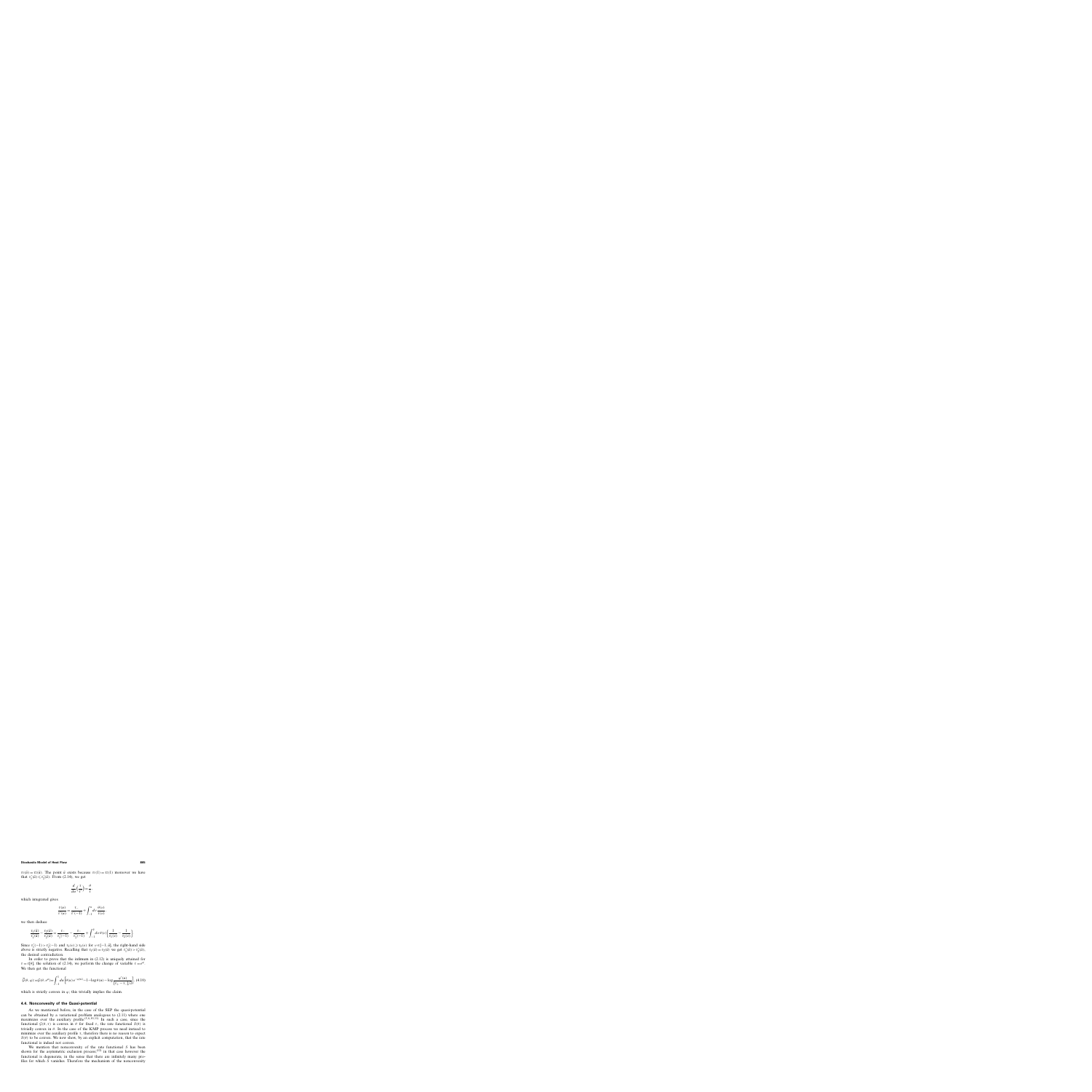$\tau_1(\bar{u}) = \tau_2(\bar{u})$ . The point  $\bar{u}$  exists because  $\tau_1(1) = \tau_2(1)$  moreover we have that  $\tau'_1(\bar{u}) \leq \tau'_2(\bar{u})$ . From (2.14), we get

$$
\frac{d}{du}\left(\frac{\tau}{\tau'}\right) = \frac{\theta}{\tau},
$$

which integrated gives

$$
\frac{\tau(u)}{\tau'(u)} = \frac{\tau_-}{\tau'(-1)} + \int_{-1}^u dv \frac{\theta(v)}{\tau(v)},
$$

we then deduce

$$
\frac{\tau_1(\bar{u})}{\tau'_1(\bar{u})} - \frac{\tau_2(\bar{u})}{\tau'_2(\bar{u})} = \frac{\tau_-}{\tau'_1(-1)} - \frac{\tau_-}{\tau'_2(-1)} + \int_{-1}^{\bar{u}} dv \,\theta(v) \left[ \frac{1}{\tau_1(v)} - \frac{1}{\tau_2(v)} \right].
$$

Since  $\tau'_1(-1) > \tau'_2(-1)$  and  $\tau_1(v) \ge \tau_2(v)$  for  $v \in [-1, \bar{u}]$ , the right-hand side above is strictly negative. Recalling that  $\tau_1(\bar{u}) = \tau_2(\bar{u})$  we get  $\tau'_1(\bar{u}) > \tau'_2(\bar{u})$ , the desired contradiction.

In order to prove that the infimum in (2.12) is uniquely attained for  $\tau = \tau[\theta]$ , the solution of (2.14), we perform the change of variable  $\tau = e^{\varphi}$ . We then get the functional

$$
\widetilde{\mathcal{G}}(\theta,\varphi) := \mathcal{G}(\theta,e^{\varphi}) = \int_{-1}^{1} du \left[ \theta(u) e^{-\varphi(u)} - 1 - \log \theta(u) - \log \frac{\varphi'(u)}{[\tau_{+} - \tau_{-}]/2} \right], (4.10)
$$

which is strictly convex in  $\varphi$ ; this trivially implies the claim.

## **4.4. Nonconvexity of the Quasi-potential**

As we mentioned before, in the case of the SEP the quasi-potential can be obtained by a variational problem analogous to (2.11) where one maximizes over the auxiliary profile.<sup> $(5, 6, 10, 11)$ </sup> In such a case, since the functional  $\mathcal{G}(\theta, \tau)$  is convex in  $\theta$  for fixed  $\tau$ , the rate functional  $S(\theta)$  is trivially convex in  $\theta$ . In the case of the KMP process we need instead to minimize over the auxiliary profile  $\tau$ , therefore there is no reason to expect  $S(\theta)$  to be convex. We now show, by an explicit computation, that the rate functional is indeed not convex.

We mention that nonconvexity of the rate functional S has been shown for the asymmetric exclusion process; $(12)$  in that case however the functional is degenerate, in the sense that there are infinitely many profiles for which S vanishes. Therefore the mechanism of the nonconvexity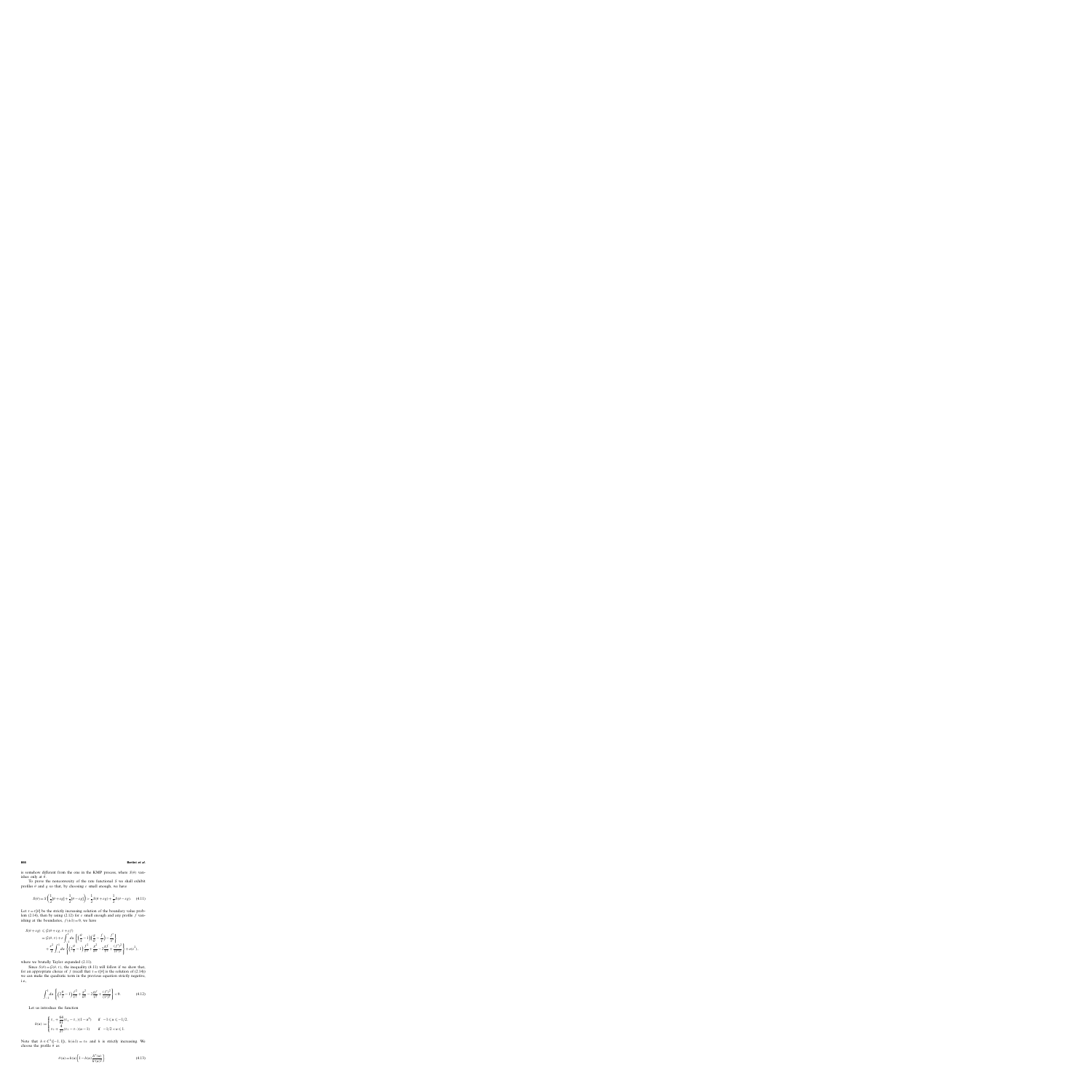is somehow different from the one in the KMP process, where  $S(\theta)$  vanishes only at  $\bar{\theta}$ .

To prove the nonconvexity of the rate functional S we shall exhibit profiles  $\theta$  and g so that, by choosing  $\varepsilon$  small enough, we have

$$
S(\theta) = S\left(\frac{1}{2}[\theta + \varepsilon g] + \frac{1}{2}[\theta - \varepsilon g]\right) > \frac{1}{2}S(\theta + \varepsilon g) + \frac{1}{2}S(\theta - \varepsilon g). \tag{4.11}
$$

Let  $\tau = \tau[\theta]$  be the strictly increasing solution of the boundary value problem (2.14), then by using (2.12) for  $\varepsilon$  small enough and any profile f vanishing at the boundaries,  $f(\pm 1)=0$ , we have

$$
S(\theta + \varepsilon g) \leqslant \mathcal{G}(\theta + \varepsilon g, \tau + \varepsilon f)
$$
  
=  $\mathcal{G}(\theta, \tau) + \varepsilon \int_{-1}^{1} du \left\{ \left( \frac{\theta}{\tau} - 1 \right) \left( \frac{g}{\theta} - \frac{f}{\tau} \right) - \frac{f'}{\tau'} \right\}$   
+  $\frac{\varepsilon^2}{2} \int_{-1}^{1} du \left\{ \left( 2\frac{\theta}{\tau} - 1 \right) \frac{f^2}{\tau^2} + \frac{g^2}{\theta^2} - 2\frac{gf}{\tau^2} + \frac{(f')^2}{(\tau')^2} \right\} + o(\varepsilon^2),$ 

where we brutally Taylor expanded  $(2.11)$ .

Since  $S(\theta) = \mathcal{G}(\theta, \tau)$ , the inequality (4.11) will follow if we show that, for an appropriate choice of f (recall that  $\tau = \tau[\theta]$  is the solution of (2.14)) we can make the quadratic term in the previous equation strictly negative, i.e.,

$$
\int_{-1}^{1} du \left\{ \left( 2\frac{\theta}{\tau} - 1 \right) \frac{f^2}{\tau^2} + \frac{g^2}{\theta^2} - 2\frac{gf}{\tau^2} + \frac{(f')^2}{(\tau')^2} \right\} < 0. \tag{4.12}
$$

Let us introduce the function

$$
h(u) := \begin{cases} \tau_- + \frac{64}{81}(\tau_+ - \tau_-)(1 - u^6) & \text{if } -1 \le u \le -1/2, \\ \tau_+ + \frac{4}{27}(\tau_+ - \tau_-)(u - 1) & \text{if } -1/2 < u \le 1. \end{cases}
$$

Note that  $h \in C^1([-1, 1])$ ,  $h(\pm 1) = \tau_+$  and h is strictly increasing. We choose the profile  $\theta$  as

$$
\theta(u) = h(u) \left[ 1 - h(u) \frac{h''(u)}{h'(u)^2} \right].
$$
\n(4.13)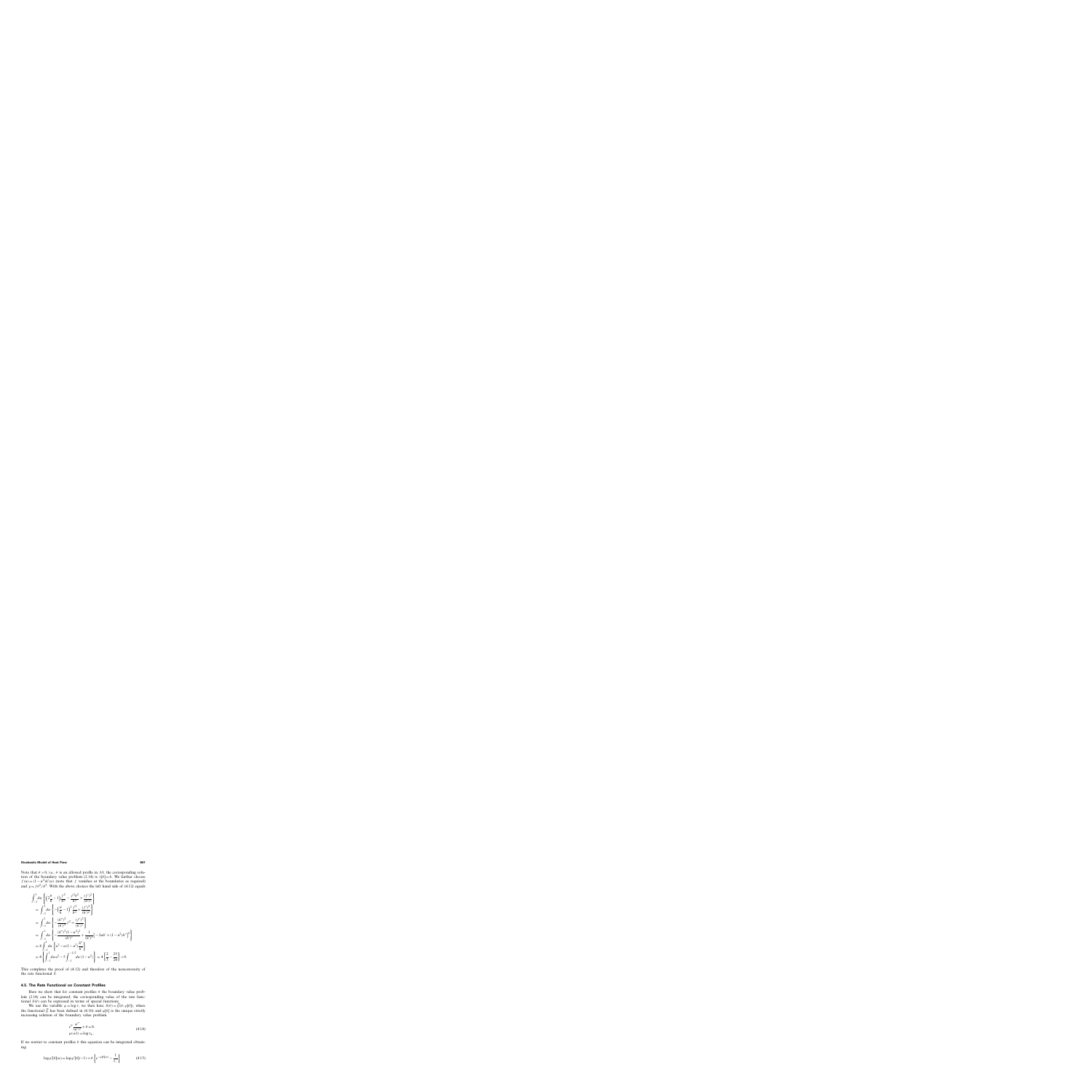Note that  $\theta > 0$ , i.e.,  $\theta$  is an allowed profile in M; the corresponding solution of the boundary value problem (2.14) is  $\tau[\theta] = h$ . We further choose  $f(u) = (1 - u^2)h'(u)$  (note that f vanishes at the boundaries as required) and  $g = f \theta^2/h^2$ . With the above choices the left hand side of (4.12) equals

$$
\begin{split}\n&\int_{-1}^{1} du \left\{ \left( 2\frac{\theta}{h} - 1 \right) \frac{f^2}{h^2} - \frac{f^2 \theta^2}{h^4} + \frac{(f')^2}{(h')^2} \right\} \\
&= \int_{-1}^{1} du \left\{ - \left( \frac{\theta}{h} - 1 \right)^2 \frac{f^2}{h^2} + \frac{(f')^2}{(h')^2} \right\} \\
&= \int_{-1}^{1} du \left\{ - \frac{(h'')^2}{(h')^4} f^2 + \frac{(f')^2}{(h')^2} \right\} \\
&= \int_{-1}^{1} du \left\{ - \frac{(h'')^2 (1 - u^2)^2}{(h')^2} + \frac{1}{(h')^2} \left[ -2uh' + (1 - u^2)h'' \right]^2 \right\} \\
&= 4 \int_{-1}^{1} du \left\{ u^2 - u(1 - u^2) \frac{h''}{h'} \right\} \\
&= 4 \left\{ \int_{-1}^{1} du u^2 - 5 \int_{-1}^{-1/2} du (1 - u^2) \right\} = 4 \left\{ \frac{2}{3} - \frac{25}{24} \right\} < 0.\n\end{split}
$$

This completes the proof of (4.12) and therefore of the nonconvexity of the rate functional S.

# **4.5. The Rate Functional on Constant Profiles**

Here we show that for constant profiles  $\theta$  the boundary value problem (2.14) can be integrated; the corresponding value of the rate functional  $S(\theta)$  can be expressed in terms of special functions.

We use the variable  $\varphi = \log \tau$ ; we then have  $S(\theta) = \mathcal{G}(\theta, \varphi[\theta])$ , where the functional G has been defined in (4.10) and  $\varphi[\theta]$  is the unique strictly increasing solution of the boundary value problem

$$
e^{\varphi} \frac{\varphi''}{(\varphi')^2} + \theta = 0,
$$
  
 
$$
\varphi(\pm 1) = \log \tau_{\pm}.
$$
 (4.14)

If we restrict to constant profiles  $\theta$  this equation can be integrated obtaining

$$
\log \varphi'[\theta](u) = \log \varphi'[\theta](-1) + \theta \left\{ e^{-\varphi[\theta](u)} - \frac{1}{\tau_{-}} \right\} \tag{4.15}
$$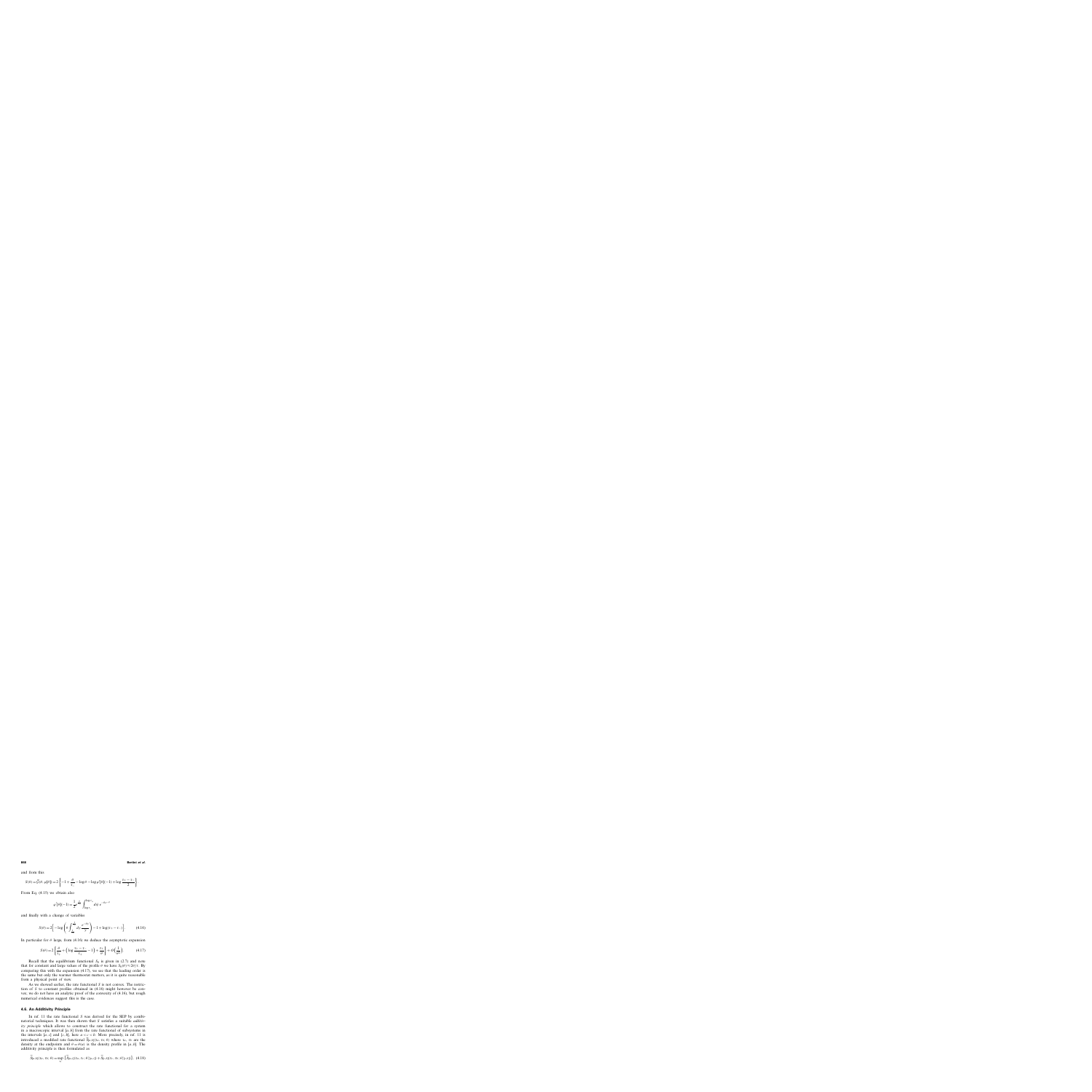and from this

$$
S(\theta) = \widetilde{\mathcal{G}}(\theta, \varphi[\theta]) = 2\left\{-1 + \frac{\theta}{\tau_{-}} - \log \theta - \log \varphi'[\theta](-1) + \log \frac{\tau_{+} - \tau_{-}}{2}\right\}.
$$

From Eq. (4.15) we obtain also

$$
\varphi'[\theta](-1) = \frac{1}{2} e^{\frac{\theta}{\tau_-}} \int_{\log \tau_-}^{\log \tau_+} d\psi \, e^{-\theta e^{-\psi}}
$$

and finally with a change of variables

$$
S(\theta) = 2 \left[ -\log \left( \theta \int_{\frac{1}{\tau_{+}}}^{\frac{1}{\tau_{-}}} dy \, \frac{e^{-\theta y}}{y} \right) - 1 + \log(\tau_{+} - \tau_{-}) \right]. \tag{4.16}
$$

In particular for  $\theta$  large, from (4.16) we deduce the asymptotic expansion

$$
S(\theta) = 2\left\{\frac{\theta}{\tau_+} + \left(\log\frac{\tau_+ - \tau_-}{\tau_+} - 1\right) + \frac{\tau_+}{\theta}\right\} + O\left(\frac{1}{\theta^2}\right). \tag{4.17}
$$

Recall that the equilibrium functional  $S_0$  is given in (2.7) and note that for constant and large values of the profile  $\theta$  we have  $S_0(\theta) \approx 2\theta/\tau$ . By comparing this with the expansion (4.17), we see that the leading order is the same but only the warmer thermostat matters, as it is quite reasonable from a physical point of view.

As we showed earlier, the rate functional  $S$  is not convex. The restriction of S to constant profiles obtained in (4.16) might however be convex; we do not have an analytic proof of the convexity of (4.16), but rough numerical evidences suggest this is the case.

#### **4.6. An Additivity Principle**

In ref. 11 the rate functional S was derived for the SEP by combinatorial techniques. It was then shown that S satisfies a suitable *additivity principle* which allows to construct the rate functional for a system in a macroscopic interval  $[a, b]$  from the rate functional of subsystems in the intervals [a, c] and [c, b], here  $a < c < b$ . More precisely, in ref. 11 is introduced a modified rate functional  $\tilde{S}_{[a,b]}(\tau_a, \tau_b; \theta)$  where  $\tau_a$ ,  $\tau_b$  are the density at the endpoints and  $\theta = \theta(u)$  is the density profile in [a, b]. The additivity principle is then formulated as

$$
\widetilde{S}_{[a,b]}(\tau_a, \tau_b; \theta) = \sup_{\tau_c} \left\{ \widetilde{S}_{[a,c]}(\tau_a, \tau_c; \theta \restriction_{[a,c]}) + \widetilde{S}_{[c,b]}(\tau_c, \tau_b; \theta \restriction_{[c,b]}) \right\}, \tag{4.18}
$$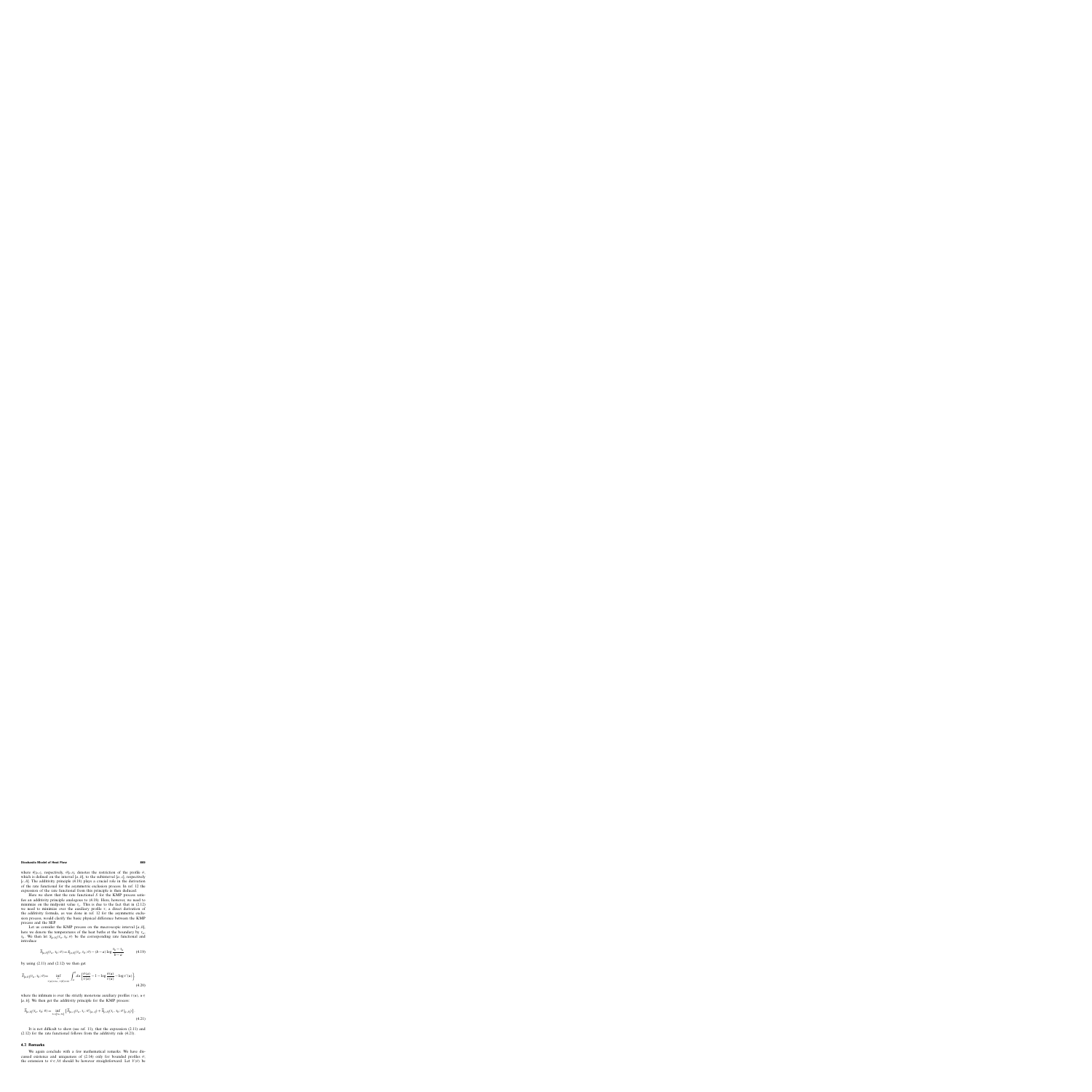where  $\theta$ [[a,c], respectively,  $\theta$ [[c,b], denotes the restriction of the profile  $\theta$ , which is defined on the interval  $[a, b]$ , to the subinterval  $[a, c]$ , respectively  $[c, b]$ . The additivity principle (4.18) plays a crucial role in the derivation of the rate functional for the asymmetric exclusion process. In ref. 12 the expression of the rate functional from this principle is then deduced.

Here we show that the rate functional S for the KMP process satisfies an additivity principle analogous to (4.18). Here, however, we need to minimize on the midpoint value  $\tau_c$ . This is due to the fact that in (2.12) we need to minimize over the auxiliary profile  $\tau$ ; a direct derivation of the additivity formula, as was done in ref. 12 for the asymmetric exclusion process, would clarify the basic physical difference between the KMP process and the SEP.

Let us consider the KMP process on the macroscopic interval  $[a, b]$ , here we denote the temperatures of the heat baths at the boundary by  $\tau_a$ ,  $\tau_b$ . We then let  $S_{[a,b]}(\tau_a, \tau_b; \theta)$  be the corresponding rate functional and introduce

$$
\widetilde{S}_{[a,b]}(\tau_a, \tau_b; \theta) = S_{[a,b]}(\tau_a, \tau_b; \theta) - (b-a) \log \frac{\tau_b - \tau_a}{b-a}
$$
(4.19)

by using  $(2.11)$  and  $(2.12)$  we then get

$$
\widetilde{S}_{[a,b]}(\tau_a, \tau_b; \theta) = \inf_{\substack{\tau : \\ \tau(a) = \tau_a, \tau(b) = \tau_b}} \int_a^b du \left[ \frac{\theta(u)}{\tau(u)} - 1 - \log \frac{\theta(u)}{\tau(u)} - \log \tau'(u) \right],\tag{4.20}
$$

where the infimum is over the strictly monotone auxiliary profiles  $\tau(u)$ ,  $u \in$ [ $a, b$ ]. We then get the additivity principle for the KMP process:

$$
\widetilde{S}_{[a,b]}(\tau_a, \tau_b; \theta) = \inf_{\tau_c \in [\tau_a, \tau_b]} \left\{ \widetilde{S}_{[a,c]}(\tau_a, \tau_c; \theta \mid [a,c]) + \widetilde{S}_{[c,b]}(\tau_c, \tau_b; \theta \mid [c,b]) \right\}.
$$
\n(4.21)

It is not difficult to show (see ref. 11), that the expression (2.11) and (2.12) for the rate functional follows from the additivity rule (4.21).

## **4.7. Remarks**

We again conclude with a few mathematical remarks. We have discussed existence and uniqueness of (2.14) only for bounded profiles  $\theta$ ; the extension to  $\theta \in \mathcal{M}$  should be however straightforward. Let  $V(\theta)$  be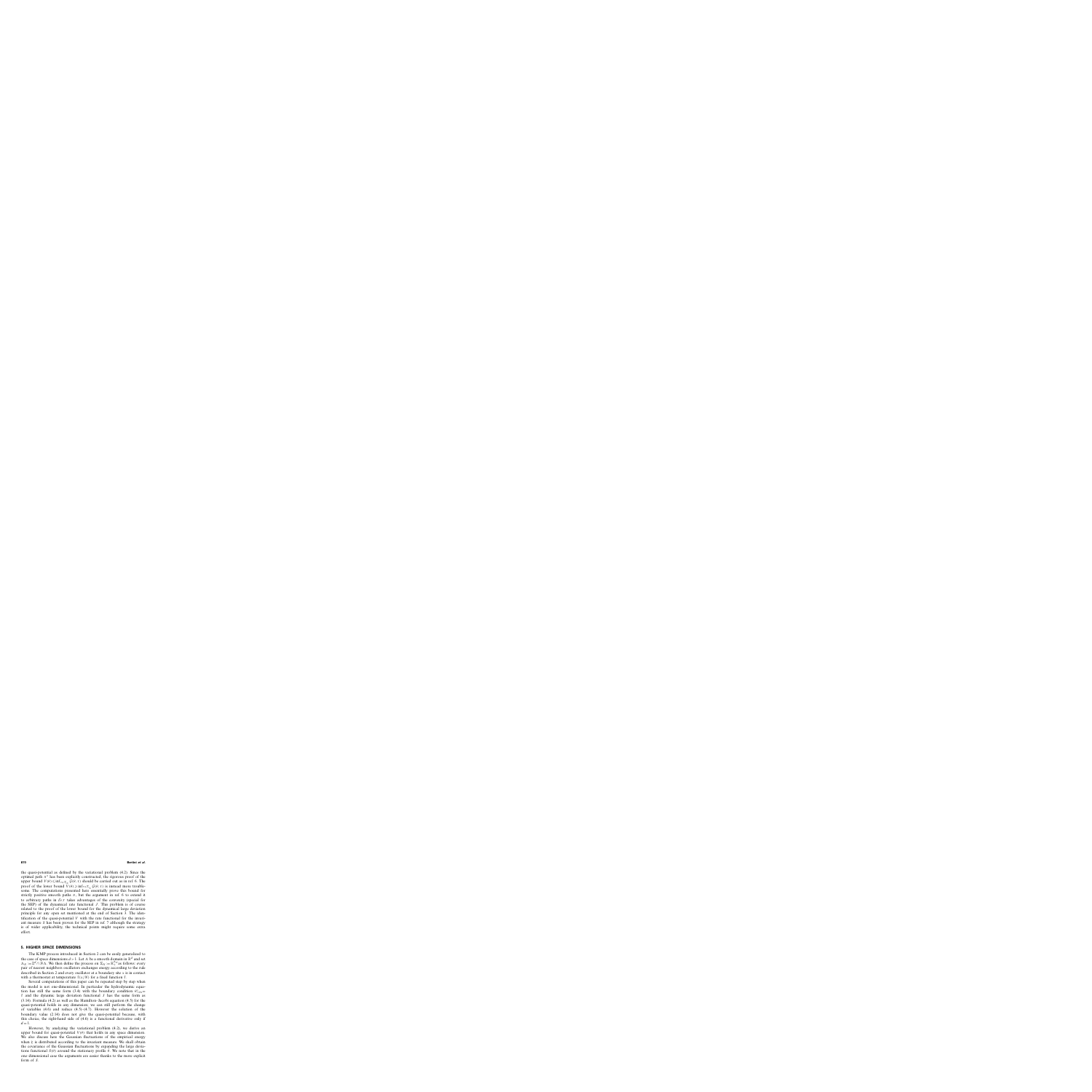the quasi-potential as defined by the variational problem (4.2). Since the optimal path  $\pi^*$  has been explicitly constructed, the rigorous proof of the upper bound  $V(\theta) \le \inf_{\tau \in \mathcal{T}_{\tau_{\pm}}} \mathcal{G}(\theta, \tau)$  should be carried out as in ref. 6. The proof of the lower bound  $\overline{V}(\theta) \geq \inf_{\tau \in \mathcal{T}_{\tau+}} \mathcal{G}(\theta, \tau)$  is instead more troublesome. The computations presented here essentially prove this bound for strictly positive smooth paths  $\pi$ , but the argument in ref. 6 to extend it to arbitrary paths in  $\mathcal{E}_{\theta T}$  takes advantages of the convexity (special for the SEP) of the dynamical rate functional  $J$ . This problem is of course related to the proof of the lower bound for the dynamical large deviation principle for any open set mentioned at the end of Section 3. The identification of the quasi-potential  $V$  with the rate functional for the invariant measure S has been proven for the SEP in ref. 7 although the strategy is of wider applicability, the technical points might require some extra effort.

# **5. HIGHER SPACE DIMENSIONS**

The KMP process introduced in Section 2 can be easily generalized to the case of space dimensions  $d > 1$ . Let  $\Lambda$  be a smooth domain in  $\mathbb{R}^d$  and set  $\Lambda_N := \mathbb{Z}^d \cap N \Lambda$ . We then define the process on  $\Sigma_N := \mathbb{R}_+^{\Lambda_N}$  as follows: every pair of nearest neighbors oscillators exchanges energy according to the rule described in Section 2 and every oscillator at a boundary site  $x$  is in contact with a thermostat at temperature  $\tilde{\tau}(x/N)$  for a fixed function  $\tilde{\tau}$ .

Several computations of this paper can be repeated step by step when the model is not one-dimensional. In particular the hydrodynamic equation has still the same form (3.4) with the boundary condition  $\theta_{a} =$  $\tilde{\tau}$  and the dynamic large deviation functional J has the same form as (3.14). Formula (4.2) as well as the Hamilton–Jacobi equation (4.5) for the quasi-potential holds in any dimension; we can still perform the change of variables  $(4.6)$  and reduce  $(4.5)$ – $(4.7)$ . However the solution of the boundary value (2.14) does not give the quasi-potential because, with this choice, the right-hand side of (4.6) is a functional derivative only if  $d=1$ .

However, by analyzing the variational problem (4.2), we derive an upper bound for quasi-potential  $V(\theta)$  that holds in any space dimension. We also discuss here the Gaussian fluctuations of the empirical energy when  $\xi$  is distributed according to the invariant measure. We shall obtain the covariance of the Gaussian fluctuations by expanding the large deviations functional  $S(\theta)$  around the stationary profile  $\bar{\theta}$ . We note that in the one–dimensional case the arguments are easier thanks to the more explicit form of S.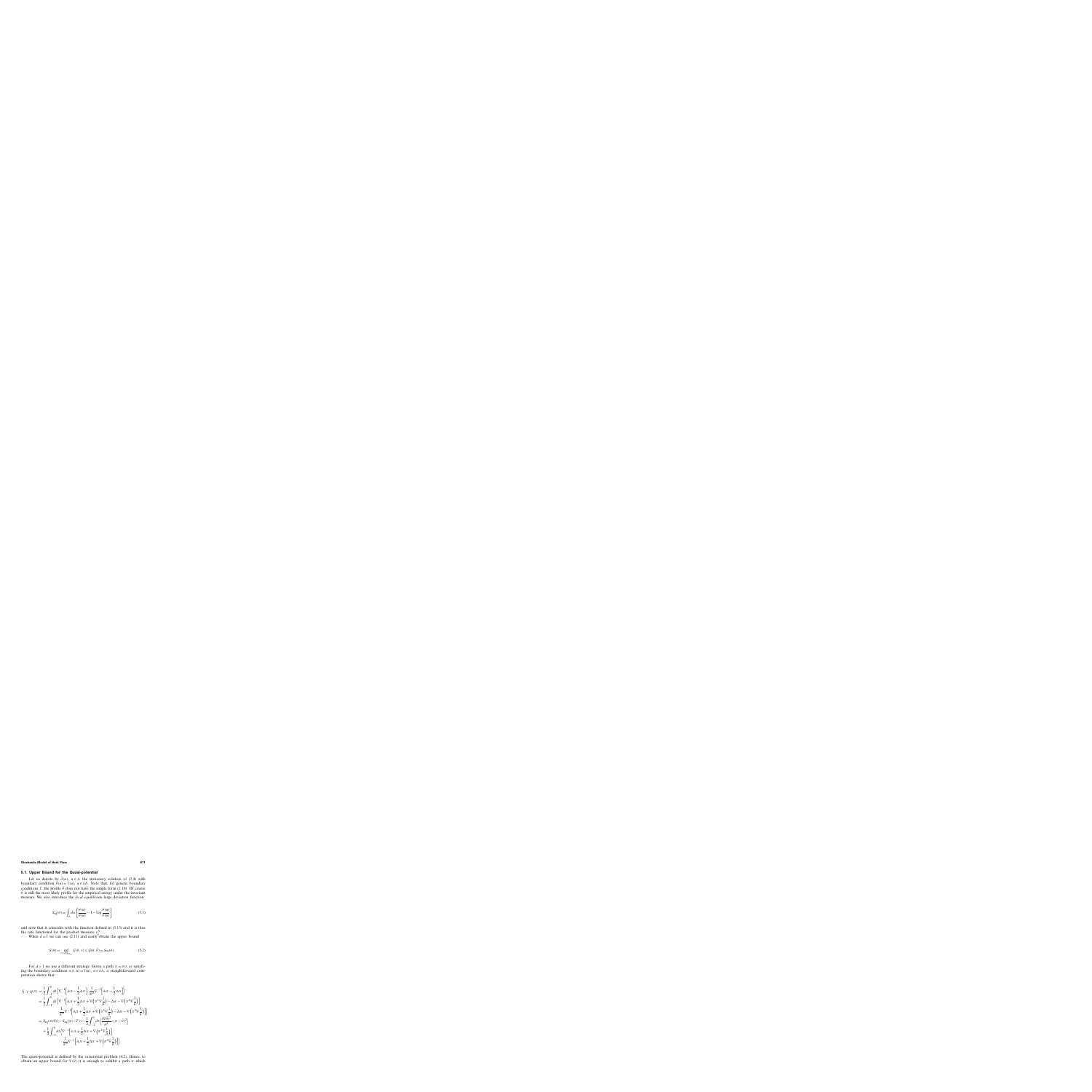# **5.1. Upper Bound for the Quasi-potential**

Let us denote by  $\bar{\theta}(u)$ ,  $u \in \Lambda$  the stationary solution of (3.4) with boundary condition  $\bar{\theta}(u) = \tilde{\tau}(u)$ ,  $u \in \partial \Lambda$ . Note that, for generic boundary conditions  $\tilde{\tau}$ , the profile  $\bar{\theta}$  does not have the simple form (2.10). Of course  $\bar{\theta}$  is still the most likely profile for the empirical energy under the invariant measure. We also introduce the *local equilibrium* large deviation function

$$
S_{\text{eq}}(\theta) = \int_{\Lambda} du \left[ \frac{\theta(u)}{\bar{\theta}(u)} - 1 - \log \frac{\theta(u)}{\bar{\theta}(u)} \right]
$$
(5.1)

and note that it coincides with the function defined in (3.15) and it is thus the rate functional for the product measure  $v_{\theta}^{N}$ .

When  $d = 1$  we can use (2.11) and easily obtain the upper bound

$$
S(\theta) = \inf_{\tau \in \mathcal{M}_{T_{\tau_{\pm}}}} \mathcal{G}(\theta, \tau) \leq \mathcal{G}(\theta, \bar{\theta}) = S_{\text{eq}}(\theta). \tag{5.2}
$$

For  $d > 1$  we use a different strategy. Given a path  $\pi = \pi(t, u)$  satisfying the boundary condition  $\pi(t, u) = \tilde{\tau}(u)$ ,  $u \in \partial \Lambda$ , a straightforward computation shows that

$$
J_{[-T,0]}(\pi) = \frac{1}{2} \int_{-T}^{0} dt \Big\langle \nabla^{-1} \Big[ \partial_t \pi - \frac{1}{2} \Delta \pi \Big], \frac{1}{\pi^2} \nabla^{-1} \Big[ \partial_t \pi - \frac{1}{2} \Delta \pi \Big] \Big\rangle
$$
  
\n
$$
= \frac{1}{2} \int_{-T}^{0} dt \Big\langle \nabla^{-1} \Big[ \partial_t \pi + \frac{1}{2} \Delta \pi + \nabla \Big( \pi^2 \nabla \frac{1}{\overline{\theta}} \Big) - \Delta \pi - \nabla \Big( \pi^2 \nabla \frac{1}{\overline{\theta}} \Big) \Big],
$$
  
\n
$$
\frac{1}{\pi^2} \nabla^{-1} \Big[ \partial_t \pi + \frac{1}{2} \Delta \pi + \nabla \Big( \pi^2 \nabla \frac{1}{\overline{\theta}} \Big) - \Delta \pi - \nabla \Big( \pi^2 \nabla \frac{1}{\overline{\theta}} \Big) \Big] \Big\rangle
$$
  
\n
$$
= S_{\text{eq}}(\pi(0)) - S_{\text{eq}}(\pi(-T)) - \frac{1}{2} \int_{-T}^{0} dt \Big( \frac{(\nabla \overline{\theta})^2}{\overline{\theta}^4}, (\pi - \overline{\theta})^2 \Big) + \frac{1}{2} \int_{-T}^{0} dt \Big( \nabla^{-1} \Big[ \partial_t \pi + \frac{1}{2} \Delta \pi + \nabla \Big( \pi^2 \nabla \frac{1}{\overline{\theta}} \Big) \Big],
$$
  
\n
$$
\frac{1}{\pi^2} \nabla^{-1} \Big[ \partial_t \pi + \frac{1}{2} \Delta \pi + \nabla \Big( \pi^2 \nabla \frac{1}{\overline{\theta}} \Big) \Big] \Big\rangle.
$$

The quasi-potential is defined by the variational problem (4.2). Hence, to obtain an upper bound for  $V(\theta)$  it is enough to exhibit a path  $\pi$  which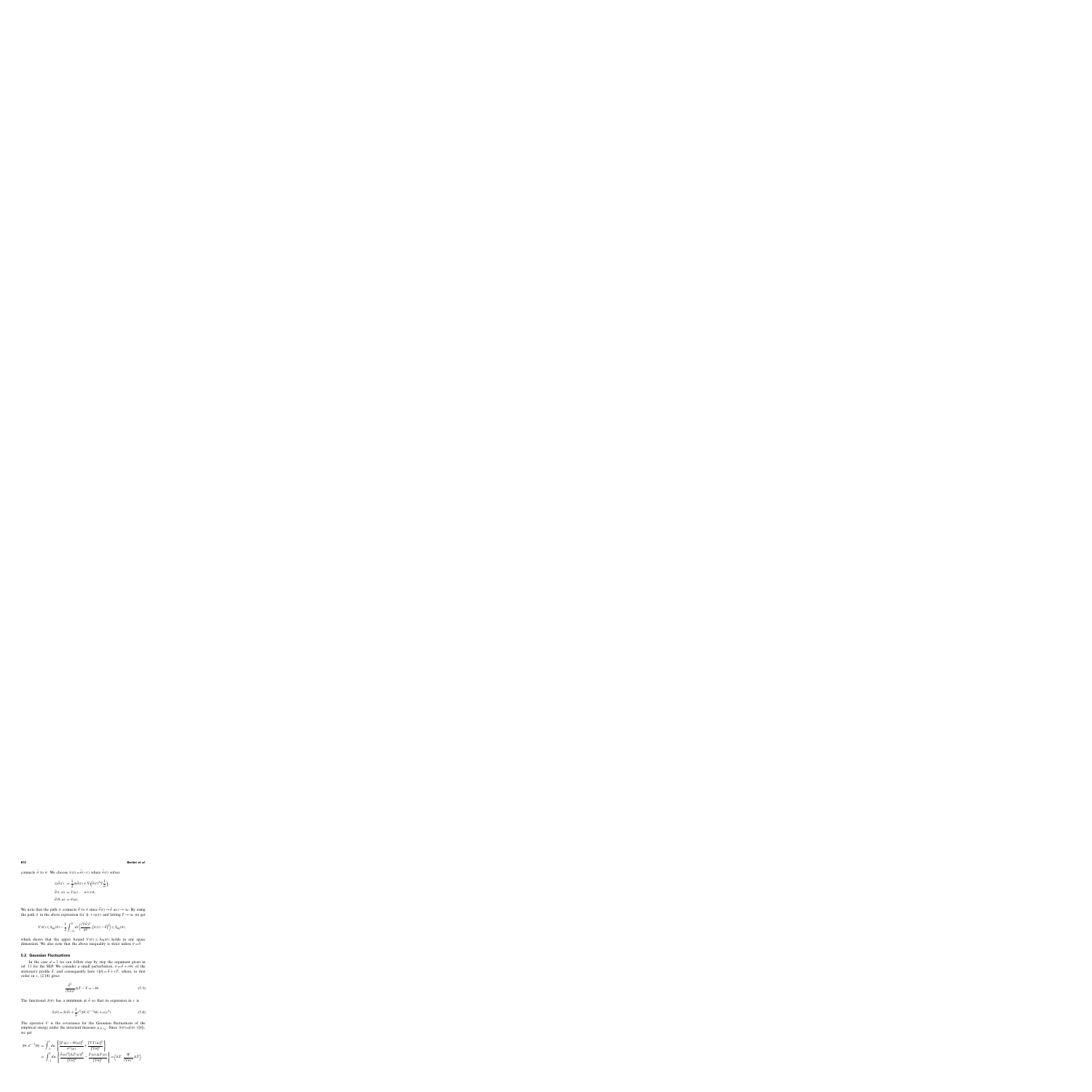connects  $\bar{\theta}$  to  $\theta$ . We choose  $\pi(t) = \tilde{\theta}(-t)$  where  $\tilde{\theta}(t)$  solves

$$
\partial_t \tilde{\theta}(t) = \frac{1}{2} \Delta \tilde{\theta}(t) + \nabla \left( \tilde{\theta}(t)^2 \nabla \frac{1}{\overline{\theta}} \right),
$$
  

$$
\tilde{\theta}(t, u) = \tilde{\tau}(u), \quad u \in \partial \Lambda,
$$
  

$$
\tilde{\theta}(0, u) = \theta(u).
$$

We note that the path  $\pi$  connects  $\bar{\theta}$  to  $\theta$  since  $\tilde{\theta}$  (t)  $\rightarrow \bar{\theta}$  as  $t \rightarrow \infty$ . By using the path  $\pi$  in the above expression for  $J_{[-T,0]}(\pi)$  and letting  $T \to \infty$  we get

$$
V(\theta) \leqslant S_{\text{eq}}(\theta) - \frac{1}{2} \int_{-\infty}^{0} dt \left\langle \frac{(\nabla \bar{\theta})^2}{\bar{\theta}^4}, [\pi(t) - \bar{\theta}]^2 \right\rangle \leqslant S_{\text{eq}}(\theta),
$$

which shows that the upper bound  $V(\theta) \leq S_{eq}(\theta)$  holds in any space dimension. We also note that the above inequality is strict unless  $\theta = \bar{\theta}$ .

# **5.2. Gaussian Fluctuations**

In the case  $d = 1$  we can follow step by step the argument given in ref. 11 for the SEP. We consider a small perturbation,  $\theta = \bar{\theta} + \varepsilon \Theta$ , of the stationary profile  $\bar{\theta}$ , and consequently have  $\tau[\theta] = \bar{\theta} + \varepsilon T$ , where, to first order in  $\varepsilon$ , (2.14) gives

$$
\frac{\bar{\theta}^2}{(\nabla \bar{\theta})^2} \Delta T - T = -\Theta.
$$
\n(5.3)

The functional  $S(\theta)$  has a minimum at  $\bar{\theta}$  so that its expansion in  $\varepsilon$  is

$$
S(\theta) = S(\bar{\theta}) + \frac{1}{2} \varepsilon^2 \langle \Theta, C^{-1} \Theta \rangle + o(\varepsilon^2). \tag{5.4}
$$

The operator  $C$  is the covariance for the Gaussian fluctuations of the empirical energy under the invariant measure  $\mu_{N, \tau_{+}}$ . Since  $S(\theta) = \mathcal{G}(\theta, \tau[\theta])$ , we get

$$
\langle \Theta, C^{-1} \Theta \rangle = \int_{-1}^{1} du \left\{ \frac{[T(u) - \Theta(u)]^2}{\bar{\theta}^2(u)} + \frac{[\nabla T(u)]^2}{[\nabla \bar{\theta}]^2} \right\} \n= \int_{-1}^{1} du \left\{ \frac{\bar{\theta}(u)^2 [\Delta T(u)]^2}{[\nabla \bar{\theta}]^4} - \frac{T(u) \Delta T(u)}{[\nabla \bar{\theta}]^2} \right\} = \left\langle \Delta T, \frac{W}{(\nabla \bar{\theta})^2} \Delta T \right\rangle,
$$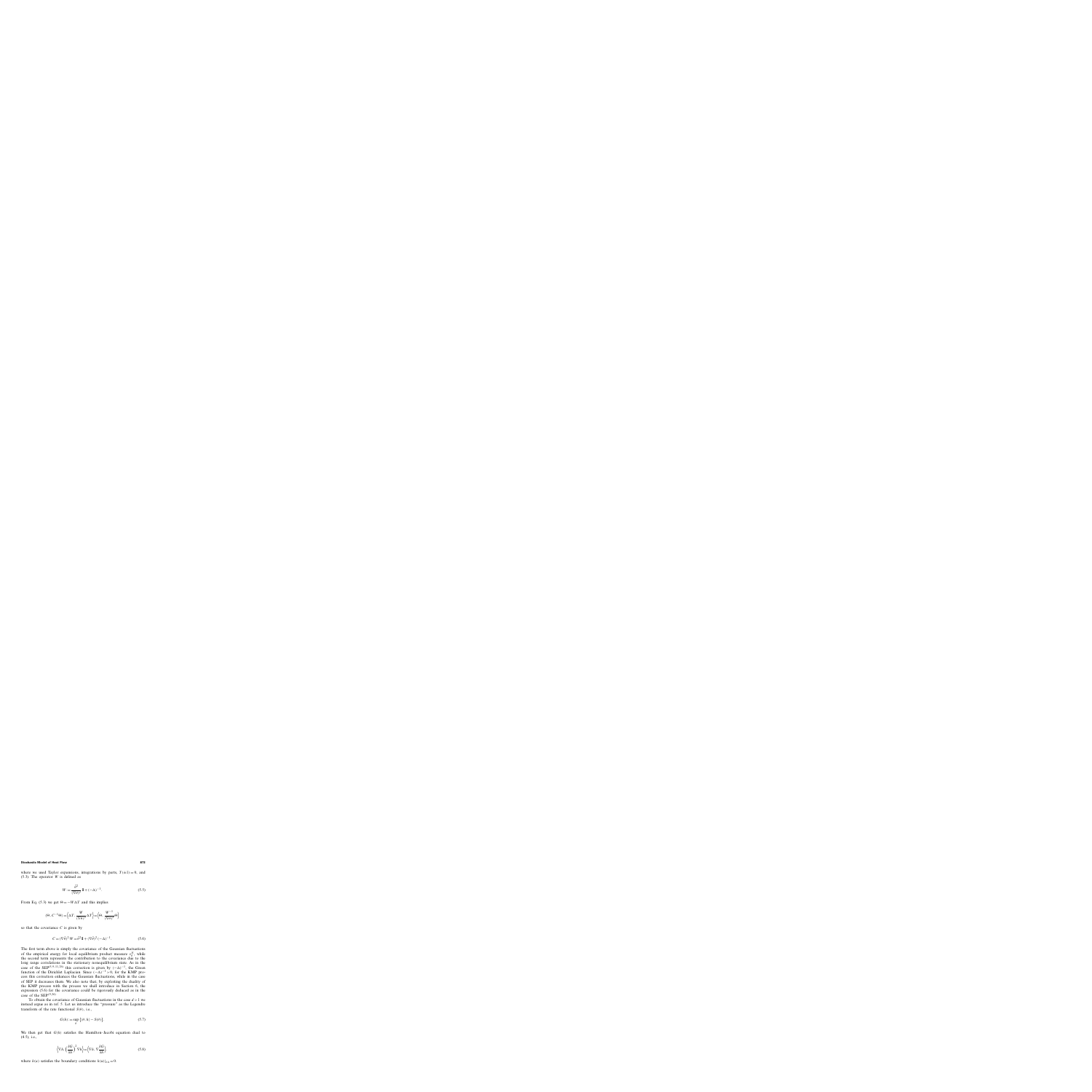where we used Taylor expansions, integrations by parts,  $T(\pm 1) = 0$ , and  $(5.3)$ . The operator W is defined as

$$
W := \frac{\bar{\theta}^2}{(\nabla \bar{\theta})^2} \mathbb{I} + (-\Delta)^{-1}.
$$
 (5.5)

From Eq. (5.3) we get  $\Theta = -W\Delta T$  and this implies

$$
\langle \Theta, C^{-1} \Theta \rangle = \langle \Delta T, \frac{W}{(\nabla \bar{\theta})^2} \Delta T \rangle = \langle \Theta, \frac{W^{-1}}{(\nabla \bar{\theta})^2} \Theta \rangle
$$

so that the covariance  $C$  is given by

$$
C = (\nabla \bar{\theta})^2 W = \bar{\theta}^2 \mathbb{I} + (\nabla \bar{\theta})^2 (-\Delta)^{-1}.
$$
 (5.6)

The first term above is simply the covariance of the Gaussian fluctuations of the empirical energy for local equilibrium product measure  $v_{\hat{\theta}}^N$ , while the second term represents the contribution to the covariance due to the long range correlations in the stationary nonequilibrium state. As in the case of the SEP<sup>(5, 9–11, 26)</sup> this correction is given by  $(-\Delta)^{-1}$ , the Green function of the Dirichlet Laplacian. Since  $(-\Delta)^{-1} > 0$ , for the KMP process this correction enhances the Gaussian fluctuations, while in the case of SEP it decreases them. We also note that, by exploiting the duality of the KMP process with the process we shall introduce in Section 6, the expression (5.6) for the covariance could be rigorously deduced as in the case of the SEP $(9, 26)$ 

To obtain the covariance of Gaussian fluctuations in the case  $d > 1$  we instead argue as in ref. 5. Let us introduce the "pressure" as the Legendre transform of the rate functional  $S(\theta)$ , i.e.,

$$
G(h) := \sup_{\theta} \{ \langle \theta, h \rangle - S(\theta) \}.
$$
 (5.7)

We then get that  $G(h)$  satisfies the Hamilton–Jacobi equation dual to (4.5), i.e.,

$$
\left\langle \nabla h, \left(\frac{\delta G}{\delta h}\right)^2 \nabla h \right\rangle = \left\langle \nabla h, \nabla \frac{\delta G}{\delta h} \right\rangle,\tag{5.8}
$$

where  $h(u)$  satisfies the boundary conditions  $h(u)|_{\partial\Lambda} = 0$ .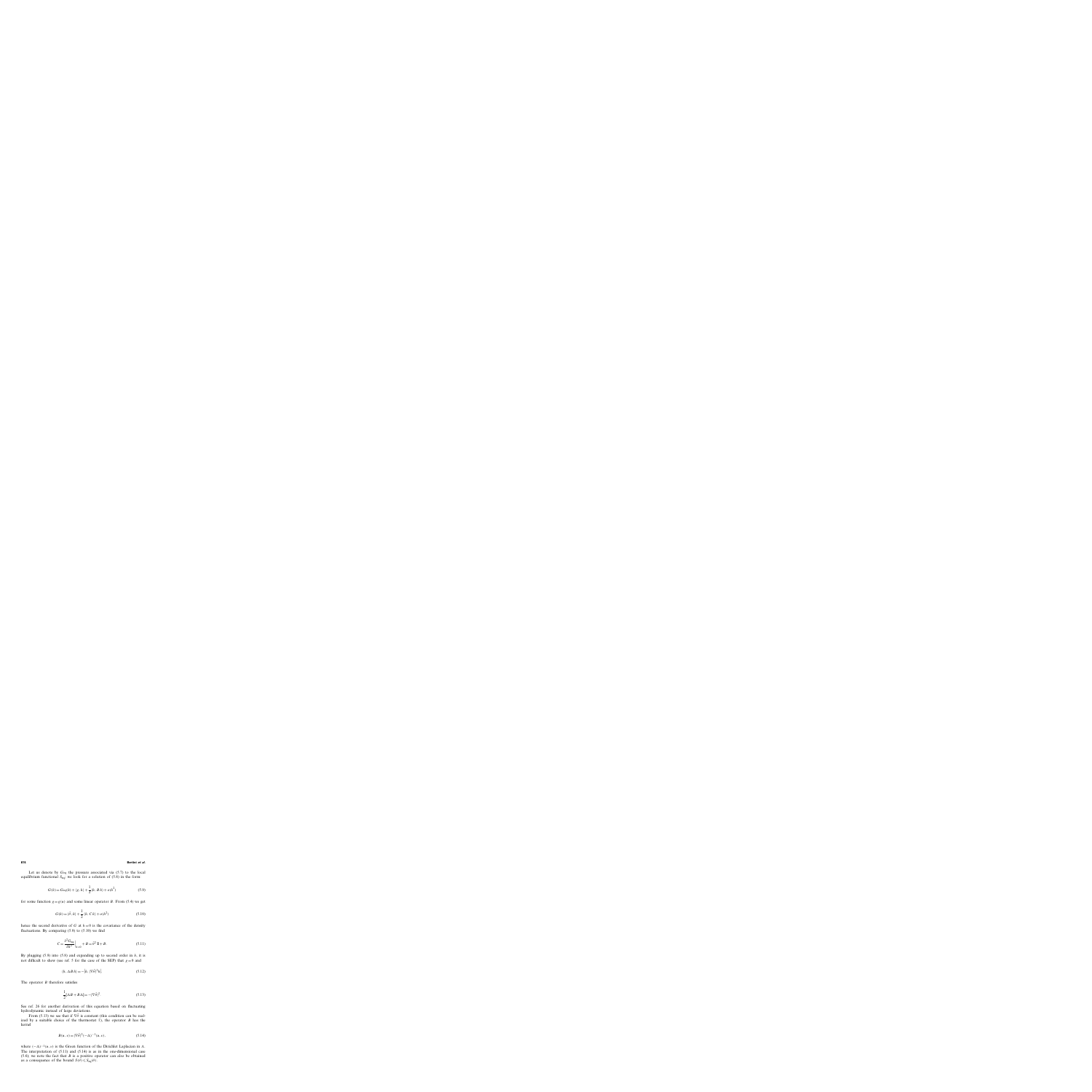Let us denote by  $G_{eq}$  the pressure associated via (5.7) to the local equilibrium functional  $S_{eq}$ ; we look for a solution of (5.8) in the form:

$$
G(h) = G_{\text{eq}}(h) + \langle g, h \rangle + \frac{1}{2} \langle h, B h \rangle + o(h^2)
$$
\n(5.9)

for some function  $g = g(u)$  and some linear operator B. From (5.4) we get

$$
G(h) = \langle \bar{\theta}, h \rangle + \frac{1}{2} \langle h, C h \rangle + o(h^2)
$$
 (5.10)

hence the second derivative of G at  $h=0$  is the covariance of the density fluctuations. By comparing  $(5.9)$  to  $(5.10)$  we find

$$
C = \frac{\delta^2 G_{\text{eq}}}{\delta h^2} \Big|_{h=0} + B = \bar{\theta}^2 \, \mathbb{I} + B. \tag{5.11}
$$

By plugging  $(5.9)$  into  $(5.8)$  and expanding up to second order in h, it is not difficult to show (see ref. 5 for the case of the SEP) that  $g = 0$  and

$$
\langle h, \Delta B \, h \rangle = - \langle h, |\nabla \bar{\theta}|^2 h \rangle. \tag{5.12}
$$

The operator  $B$  therefore satisfies

$$
\frac{1}{2}[\Delta B + B\Delta] = -|\nabla \bar{\theta}|^2.
$$
\n(5.13)

See ref. 26 for another derivation of this equation based on fluctuating hydrodynamic instead of large deviations.

From (5.13) we see that if  $\nabla \bar{\theta}$  is constant (this condition can be realized by a suitable choice of the thermostat  $\tilde{\tau}$ ), the operator B has the kernel

$$
B(u, v) = |\nabla \bar{\theta}|^2 (-\Delta)^{-1} (u, v), \tag{5.14}
$$

where  $(-\Delta)^{-1}(u, v)$  is the Green function of the Dirichlet Laplacian in  $\Lambda$ . The interpretation of (5.11) and (5.14) is as in the one-dimensional case (5.6); we note the fact that  $B$  is a positive operator can also be obtained as a consequence of the bound  $S(\theta) \leq S_{eq}(\theta)$ .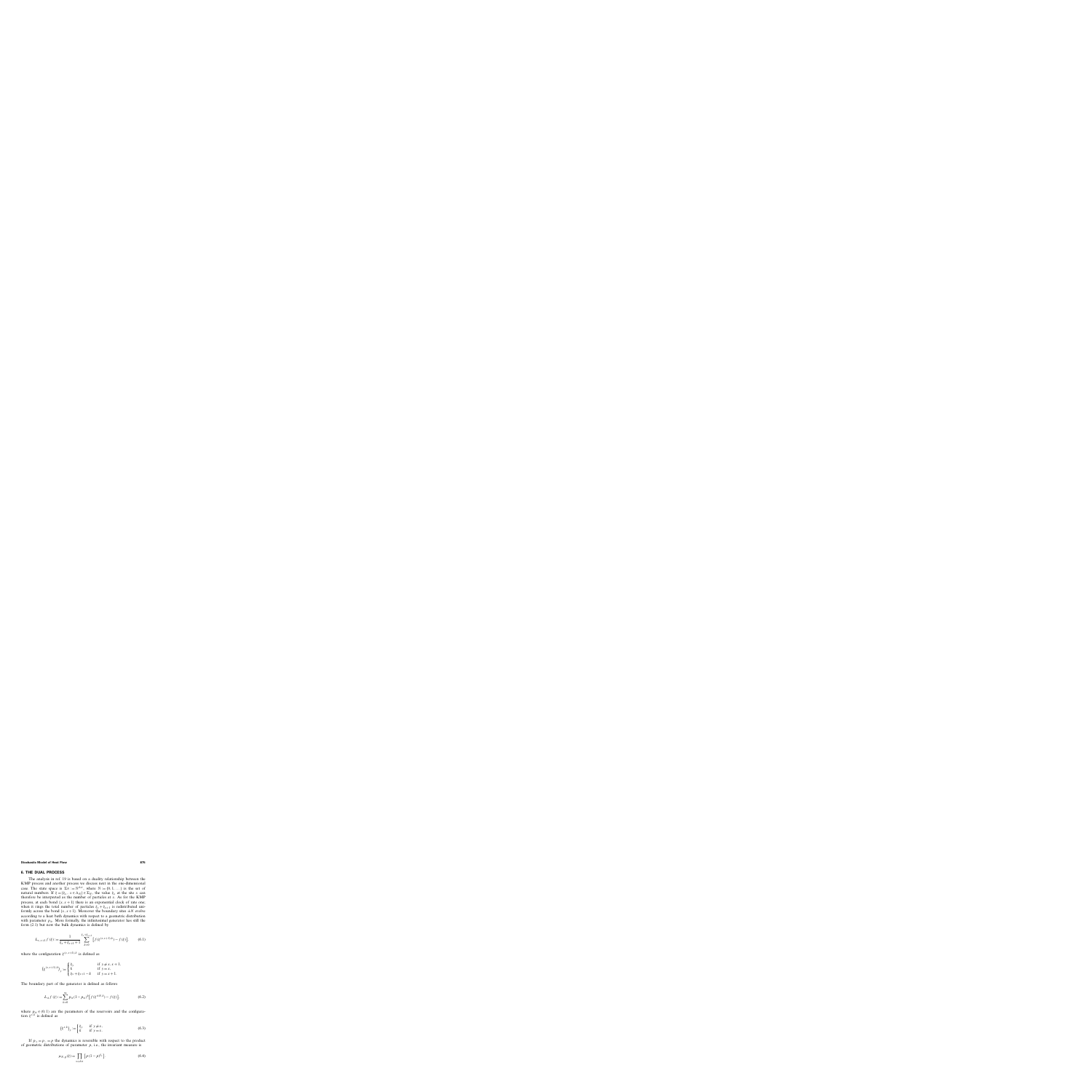# **6. THE DUAL PROCESS**

The analysis in ref. 19 is based on a duality relationship between the KMP process and another process we discuss next in the one-dimensional case. The state space is  $\Sigma_N := \mathbb{N}^{\Lambda_N}$ , where  $\mathbb{N} := \{0, 1, \dots\}$  is the set of natural numbers. If  $\xi = {\xi_x, x \in \Lambda_N} \in \Sigma_N$ , the value  $\xi_x$  at the site x can therefore be interpreted as the number of particles at  $x$ . As for the KMP process, at each bond  $\{x, x+1\}$  there is an exponential clock of rate one; when it rings the total number of particles  $\xi_x + \xi_{x+1}$  is redistributed uniformly across the bond  $\{x, x+1\}$ . Moreover the boundary sites  $\pm N$  evolve according to a heat bath dynamics with respect to a geometric distribution with parameter  $p_{+}$ . More formally, the infinitesimal generator has still the form (2.1) but now the bulk dynamics is defined by

$$
L_{x,x+1}f(\xi) := \frac{1}{\xi_x + \xi_{x+1} + 1} \sum_{k=0}^{\xi_x + \xi_{x+1}} [f(\xi^{(x,x+1),k}) - f(\xi)],
$$
 (6.1)

where the configuration  $\xi^{(x,x+1),k}$  is defined as

$$
(\xi^{(x,x+1),k})_y := \begin{cases} \xi_y & \text{if } y \neq x, x+1, \\ k & \text{if } y = x, \\ \xi_x + \xi_{x+1} - k & \text{if } y = x+1. \end{cases}
$$

The boundary part of the generator is defined as follows

$$
L_{\pm}f(\xi) := \sum_{k=0}^{\infty} p_{\pm} (1 - p_{\pm})^k \left[ f(\xi^{\pm N, k}) - f(\xi) \right],\tag{6.2}
$$

where  $p_{\pm} \in (0, 1)$  are the parameters of the reservoirs and the configuration  $\xi^{x,k}$  is defined as

$$
(\xi^{x,k})_y := \begin{cases} \xi_y & \text{if } y \neq x, \\ k & \text{if } y = x. \end{cases}
$$
 (6.3)

If  $p_{+} = p_{-} = p$  the dynamics is reversible with respect to the product of geometric distributions of parameter  $p$ , i.e., the invariant measure is

$$
\mu_{N,p}(\xi) = \prod_{x \in \Lambda_N} \left[ p (1 - p)^{\xi_x} \right].
$$
 (6.4)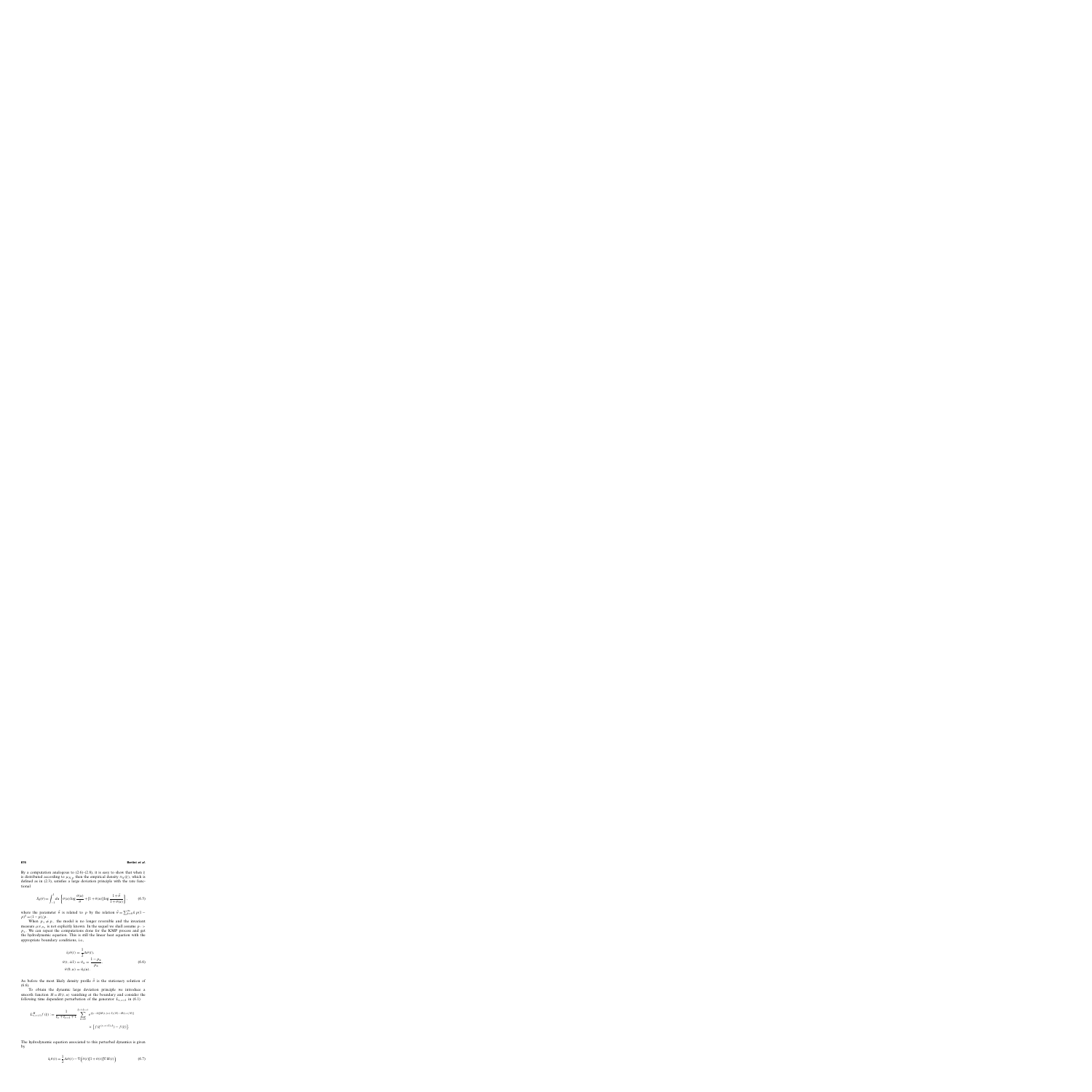By a computation analogous to (2.6)–(2.8), it is easy to show that when  $\xi$ is distributed according to  $\mu_{N,p}$  then the empirical density  $\pi_N(\xi)$ , which is defined as in (2.3), satisfies a large deviation principle with the rate functional

$$
S_0(\theta) = \int_{-1}^{1} du \left\{ \theta(u) \log \frac{\theta(u)}{\bar{\theta}} + [1 + \theta(u)] \log \frac{1 + \bar{\theta}}{1 + \theta(u)} \right\},
$$
 (6.5)

where the parameter  $\bar{\theta}$  is related to p by the relation  $\bar{\theta} = \sum_{k=0}^{\infty} k p(1 - \bar{\theta})$  $p)^k = (1-p)/p$ .

When  $p_+ \neq p_-$  the model is no longer reversible and the invariant measure  $\mu_{N, p+}$  is not explicitly known. In the sequel we shall assume  $p =$  $p_{+}$ . We can repeat the computations done for the KMP process and get the hydrodynamic equation. This is still the linear heat equation with the appropriate boundary conditions, i.e.,

$$
\partial_t \theta(t) = \frac{1}{2} \Delta \theta(t),
$$
  
\n
$$
\theta(t, \pm 1) = \theta_{\pm} = \frac{1 - p_{\pm}}{p_{\pm}},
$$
  
\n
$$
\theta(0, u) = \theta_0(u).
$$
\n(6.6)

As before the most likely density profile  $\bar{\theta}$  is the stationary solution of (6.6).

To obtain the dynamic large deviation principle we introduce a smooth function  $H = H(t, u)$  vanishing at the boundary and consider the following time dependent perturbation of the generator  $L_{x,x+1}$  in (6.1)

$$
L_{x,x+1}^H f(\xi) := \frac{1}{\xi_x + \xi_{x+1} + 1} \sum_{k=0}^{\xi_x + \xi_{x+1}} e^{(\xi_x - k)[H(t,(x+1)/N) - H(t,x/N)]} \times [f(\xi^{(x,x+1),k}) - f(\xi)].
$$

The hydrodynamic equation associated to this perturbed dynamics is given by

$$
\partial_t \theta(t) = \frac{1}{2} \Delta \theta(t) - \nabla \left( \theta(t) [1 + \theta(t)] \nabla H(t) \right)
$$
(6.7)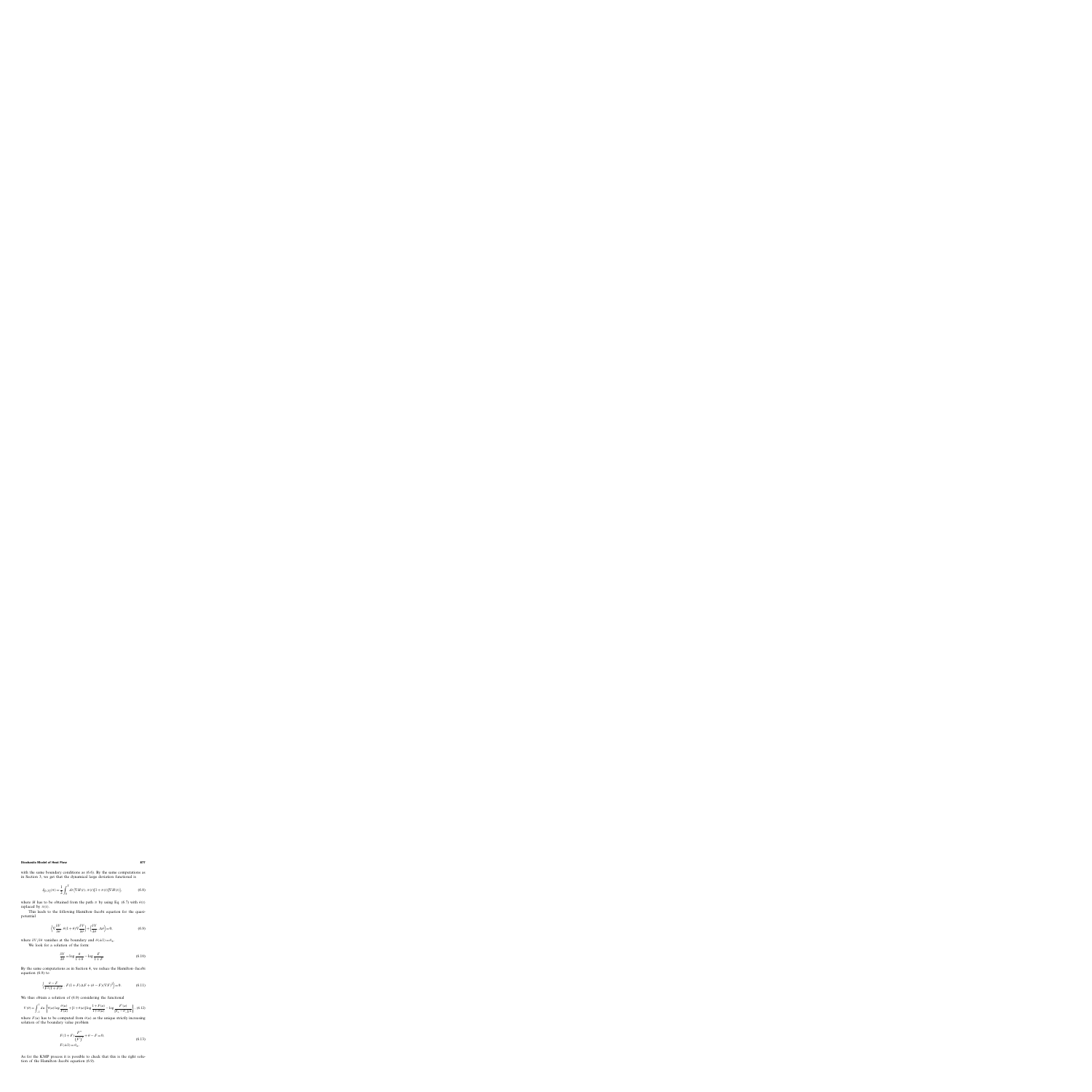with the same boundary conditions as (6.6). By the same computations as in Section 3, we get that the dynamical large deviation functional is

$$
J_{[0,T]}(\pi) = \frac{1}{2} \int_0^T dt \, \langle \nabla H(t), \pi(t) [1 + \pi(t)] \nabla H(t) \rangle, \tag{6.8}
$$

where H has to be obtained from the path  $\pi$  by using Eq. (6.7) with  $\theta(t)$ replaced by  $\pi(t)$ .

This leads to the following Hamilton–Jacobi equation for the quasipotential

$$
\left\langle \nabla \frac{\delta V}{\delta \theta}, \theta (1 + \theta) \nabla \frac{\delta V}{\delta \theta} \right\rangle + \left\langle \frac{\delta V}{\delta \theta}, \Delta \theta \right\rangle = 0, \tag{6.9}
$$

where  $\delta V/\delta \theta$  vanishes at the boundary and  $\theta(\pm 1)=\theta_{\pm}$ .

We look for a solution of the form:

$$
\frac{\delta V}{\delta \theta} = \log \frac{\theta}{1 + \theta} - \log \frac{F}{1 + F}.
$$
\n(6.10)

By the same computations as in Section 4, we reduce the Hamilton–Jacobi equation (6.9) to

$$
\left\langle \frac{\theta - F}{F^2 (1 + F)^2}, F(1 + F) \Delta F + (\theta - F) (\nabla F)^2 \right\rangle = 0.
$$
 (6.11)

We thus obtain a solution of  $(6.9)$  considering the functional

$$
V(\theta) = \int_{-1}^{1} du \left\{ \theta(u) \log \frac{\theta(u)}{F(u)} + [1 + \theta(u)] \log \frac{1 + F(u)}{1 + \theta(u)} - \log \frac{F'(u)}{[\theta_{+} - \theta_{-}]/2} \right\}, (6.12)
$$

where  $F(u)$  has to be computed from  $\theta(u)$  as the unique strictly increasing solution of the boundary value problem

$$
F(1+F)\frac{F''}{(F')}^{2} + \theta - F = 0,
$$
  
(6.13)  

$$
F(\pm 1) = \theta_{\pm}.
$$

As for the KMP process it is possible to check that this is the right solution of the Hamilton–Jacobi equation (6.9).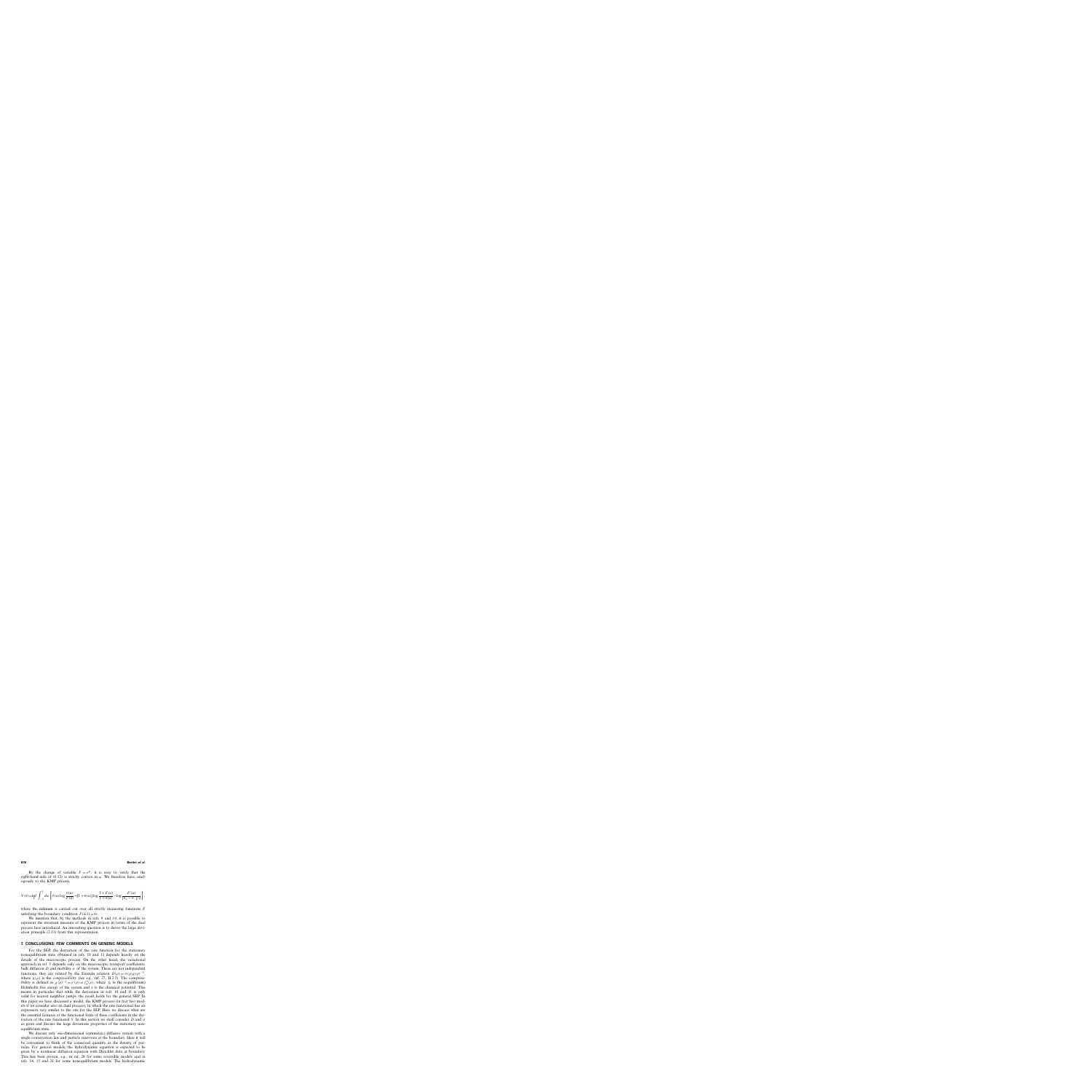By the change of variable  $F = e^{\varphi}$ , it is easy to verify that the right-hand side of (6.12) is strictly convex in  $\varphi$ . We therefore have, analogously to the KMP process,

$$
V(\theta) = \inf_{F} \int_{-1}^{1} du \left\{ \theta(u) \log \frac{\theta(u)}{F(u)} + [1 + \theta(u)] \log \frac{1 + F(u)}{1 + \theta(u)} - \log \frac{F'(u)}{[\theta_{+} - \theta_{-}]/2} \right\},\,
$$

where the infimum is carried out over all strictly increasing functions  $F$ satisfying the boundary condition  $F(\pm 1)=\theta_+$ .

We mention that, by the methods in refs. 9 and 19, it is possible to represent the invariant measure of the KMP process in terms of the dual process here introduced. An interesting question is to derive the large deviation principle (2.13) from this representation.

# **7. CONCLUSIONS: FEW COMMENTS ON GENERIC MODELS**

For the SEP, the derivation of the rate function for the stationary nonequilibrium state obtained in refs. 10 and 11 depends heavily on the details of the microscopic process. On the other hand, the variational approach in ref. 5 depends only on the macroscopic transport coefficients, bulk diffusion D and mobility  $\sigma$  of the system. These are not independent functions, they are related by the Einstein relation  $D(\rho) = \sigma(\rho)\chi(\rho)^{-1}$ , where  $\chi(\rho)$  is the *compressibility* (see e.g., ref. 27, II.2.5). The compressibility is defined as  $\chi(\rho)^{-1} = \lambda'(\rho) = f_0''(\rho)$ , where  $f_0$  is the (equilibrium) Helmholtz free energy of the system and  $\lambda$  is the chemical potential. This means in particular that while the derivation in refs. 10 and 11 is only valid for nearest neighbor jumps, the result holds for the general SEP. In this paper we have discussed a model, the KMP process (in fact two models if we consider also its dual process), in which the rate functional has an expression very similar to the one for the SEP. Here we discuss what are the essential features of the functional form of these coefficients in the derivation of the rate functional S. In this section we shall consider D and  $\sigma$ as given and discuss the large deviations properties of the stationary nonequilibrium state.

We discuss only one-dimensional (symmetric) diffusive system with a single conservation law and particle reservoirs at the boundary. Here it will be convenient to think of the conserved quantity as the density of particles. For general models, the hydrodynamic equation is expected to be given by a nonlinear diffusion equation with Dirichlet data at boundary. This has been proven, e.g., in ref. 28 for some reversible models and in refs. 14, 15 and 21 for some nonequilibrium models. The hydrodynamic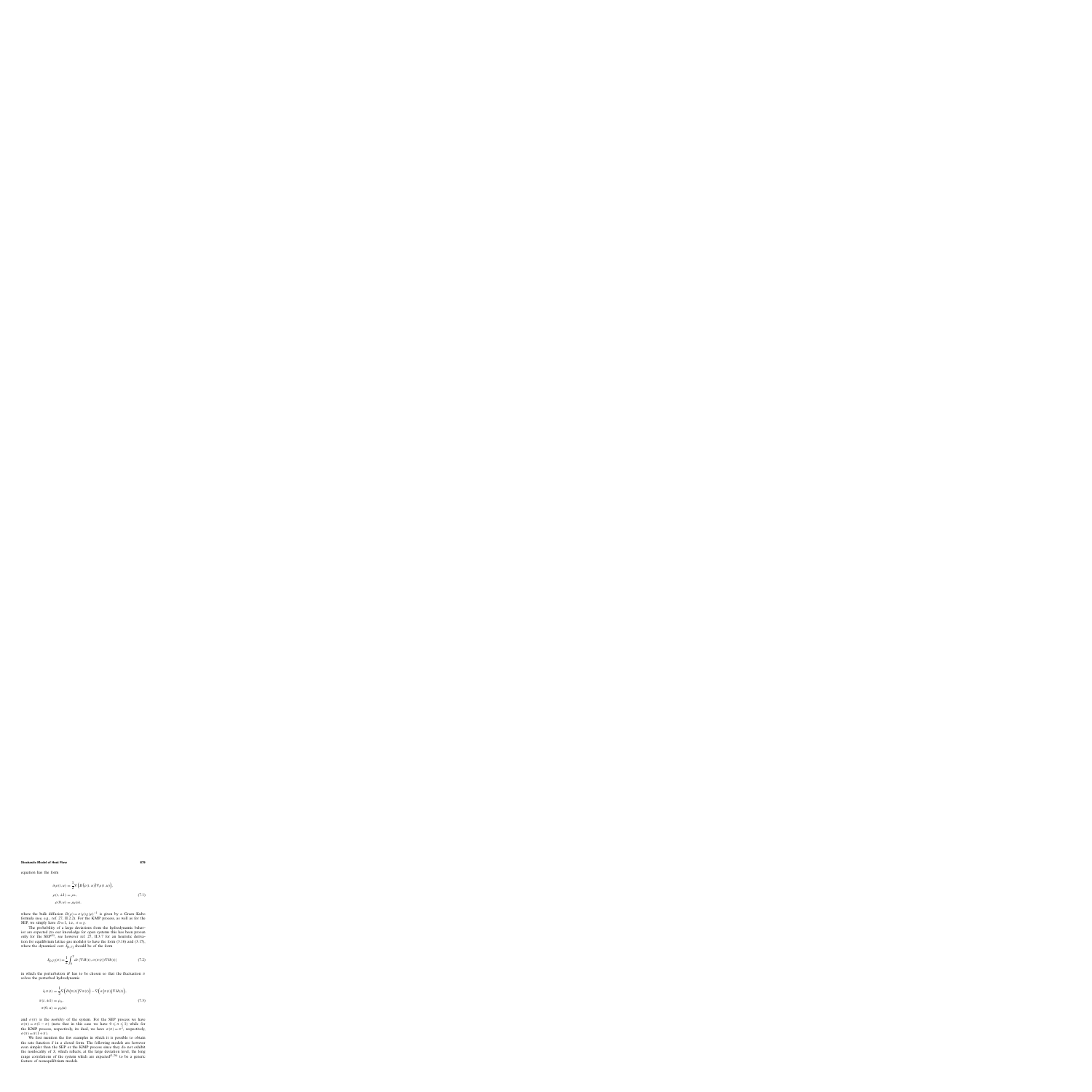equation has the form

$$
\partial_t \rho(t, u) = \frac{1}{2} \nabla \Big( D(\rho(t, u)) \nabla \rho(t, u) \Big),
$$
  
\n
$$
\rho(t, \pm 1) = \rho_{\pm},
$$
  
\n
$$
\rho(0, u) = \rho_0(u),
$$
\n(7.1)

where the bulk diffusion  $D(\rho) = \sigma(\rho)\chi(\rho)^{-1}$  is given by a Green–Kubo formula (see, e.g., ref. 27, II.2.2). For the KMP process, as well as for the SEP, we simply have  $D = 1$ , i.e.,  $\sigma = \chi$ .

The probability of a large deviations from the hydrodynamic behavior are expected (to our knowledge for open systems this has been proven only for the  $SEP^{(6)}$ , see however ref. 27, II.3.7 for an heuristic derivation for equilibrium lattice gas models) to have the form (3.16) and (3.17), where the dynamical cost  $J_{[0, T]}$  should be of the form

$$
J_{[0,T]}(\pi) = \frac{1}{2} \int_0^T dt \langle \nabla H(t), \sigma(\pi(t)) \nabla H(t) \rangle \tag{7.2}
$$

in which the perturbation H has to be chosen so that the fluctuation  $\pi$ solves the perturbed hydrodynamic

$$
\partial_t \pi(t) = \frac{1}{2} \nabla \Big( D(\pi(t)) \nabla \pi(t) \Big) - \nabla \Big( \sigma \big( \pi(t) \big) \nabla H(t) \Big),
$$
  

$$
\pi(t, \pm 1) = \rho_{\pm},
$$
  

$$
\pi(0, u) = \rho_0(u)
$$
 (7.3)

and  $\sigma(\pi)$  is the *mobility* of the system. For the SEP process we have  $\sigma(\pi) = \pi(1 - \pi)$  (note that in this case we have  $0 \le \pi \le 1$ ) while for the KMP process, respectively, its dual, we have  $\sigma(\pi) = \pi^2$ , respectively,  $\sigma(\pi) = \pi(1+\pi)$ .

We first mention the few examples in which it is possible to obtain the rate function S in a closed form. The following models are however even simpler than the SEP or the KMP process since they do not exhibit the nonlocality of S, which reflects, at the large deviation level, the long range correlations of the system which are expected<sup> $(1, 26)$ </sup> to be a generic feature of nonequilibrium models.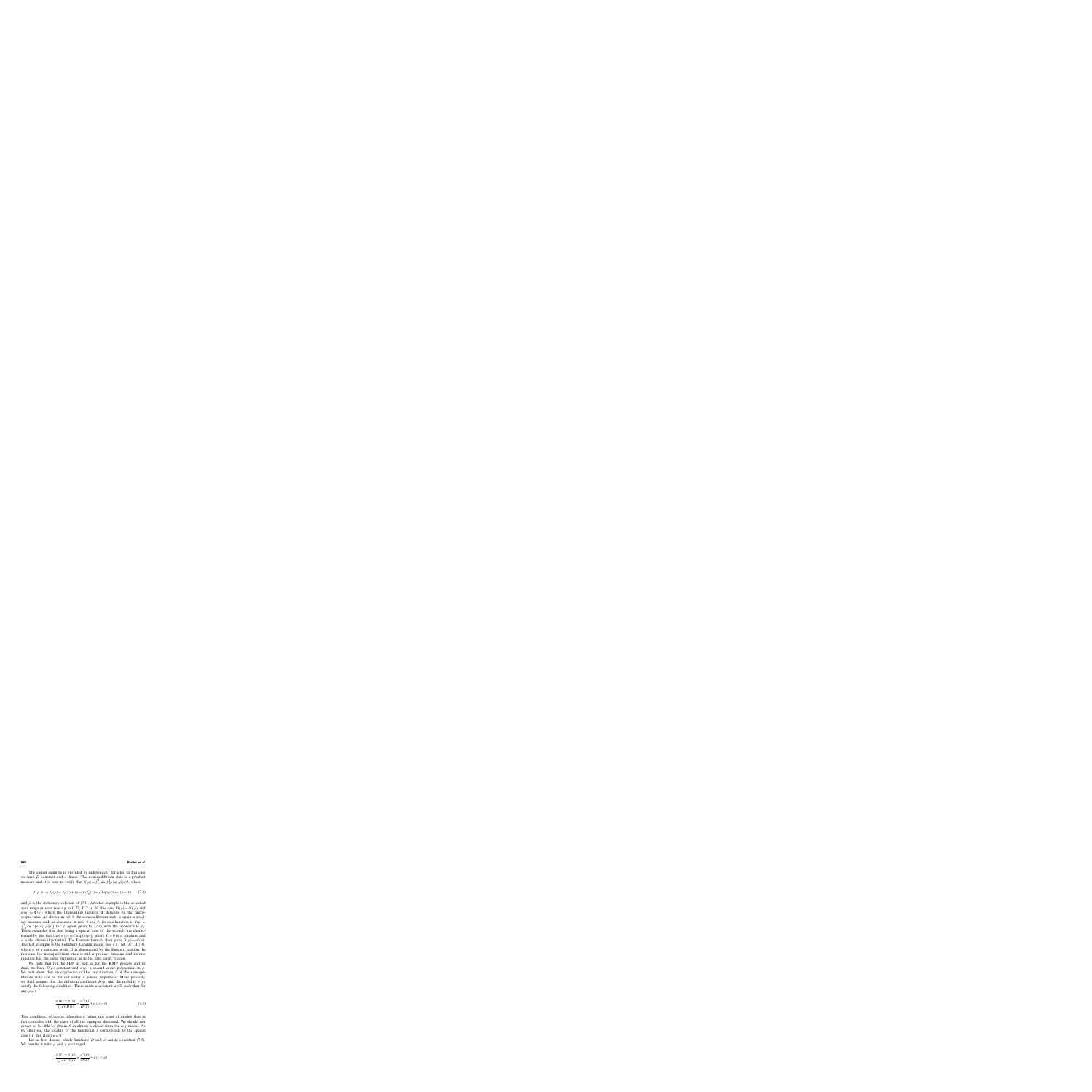The easiest example is provided by independent particles. In this case we have D constant and  $\sigma$  linear. The nonequilibrium state is a product measure and it is easy to verify that  $S(\rho) = \int_{-1}^{1} du f(\rho(u), \bar{\rho}(u))$ , where

$$
f(\rho, \tau) = f_0(\rho) - f_0(\tau) + (\rho - \tau) f_0'(\tau) = \rho \log(\rho/\tau) - (\rho - \tau)
$$
 (7.4)

and  $\bar{\rho}$  is the stationary solution of (7.1). Another example is the so called zero range process (see e.g. ref. 27, II.7.1). In this case  $D(\rho) = \Phi'(\rho)$  and  $\sigma(\rho) = \Phi(\rho)$ , where the (increasing) function  $\Phi$  depends on the microscopic rates. As shown in ref. 8 the nonequilibrium state is again a product measure and, as discussed in refs. 4 and 5, its rate function is  $S(\rho)$  =  $\int_{-1}^{1} du f(\rho(u), \bar{\rho}(u))$  for f again given by (7.4) with the appropriate f<sub>0</sub>. These examples (the first being a special case of the second) are characterized by the fact that  $\sigma(\rho) = C \exp{\lambda(\rho)}$ , where  $C > 0$  is a constant and λ is the chemical potential. The Einstein formula then gives  $D(\rho) = \sigma'(\rho)$ . The last example is the Ginzburg–Landau model (see e.g., ref. 27, II.7.3), where  $\sigma$  is a constant while D is determined by the Einstein relation. In this case the nonequilibrium state is still a product measure and its rate function has the same expression as in the zero range process.

We note that for the SEP, as well as for the KMP process and its dual, we have  $D(\rho)$  constant and  $\sigma(\rho)$  a second order polynomial in  $\rho$ . We next show that an expression of the rate function  $S$  of the nonequilibrium state can be derived under a general hypothesis. More precisely, we shall assume that the diffusion coefficient  $D(\rho)$  and the mobility  $\sigma(\rho)$ satisfy the following condition. There exists a constant  $a \in \mathbb{R}$  such that for any  $\rho \neq \tau$ 

$$
\frac{\sigma(\rho) - \sigma(\tau)}{\int_{\tau}^{\rho} dr \, D(r)} = \frac{\sigma'(\tau)}{D(\tau)} + a \, (\rho - \tau). \tag{7.5}
$$

This condition, of course, identifies a rather tiny class of models that in fact coincides with the class of all the examples discussed. We should not expect to be able to obtain S in almost a closed form for *any* model. As we shall see, the locality of the functional S corresponds to the special case (in this class)  $a = 0$ .

Let us first discuss which functions D and  $\sigma$  satisfy condition (7.5). We rewrite it with  $\rho$  and  $\tau$  exchanged

$$
\frac{\sigma(\tau) - \sigma(\rho)}{\int_{\rho}^{\tau} dr \ D(r)} = \frac{\sigma'(\rho)}{D(\rho)} + a(\tau - \rho).
$$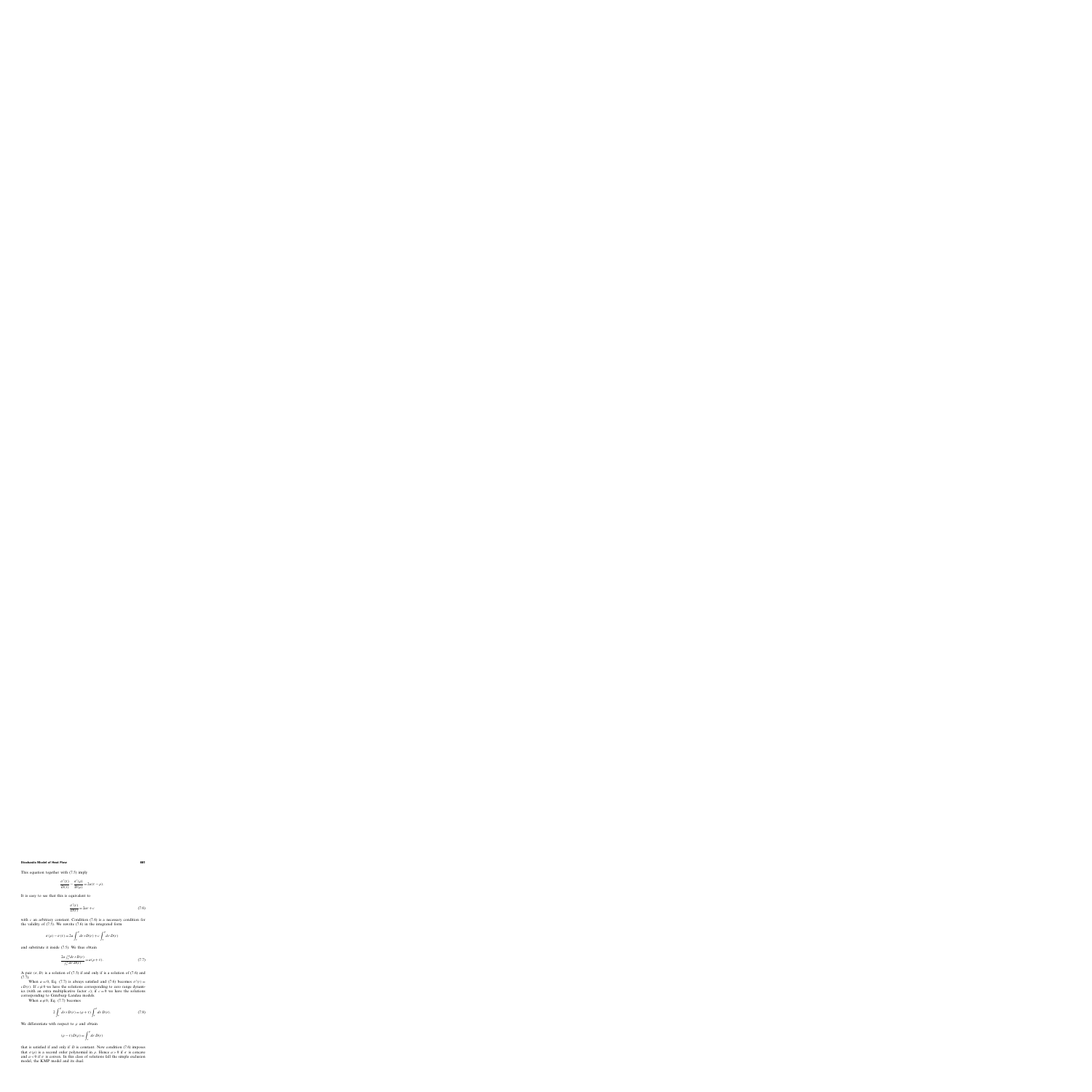This equation together with (7.5) imply

$$
\frac{\sigma'(\tau)}{D(\tau)} - \frac{\sigma'(\rho)}{D(\rho)} = 2a(\tau - \rho).
$$

It is easy to see that this is equivalent to

$$
\frac{\sigma'(r)}{D(r)} = 2ar + c \tag{7.6}
$$

with  $c$  an arbitrary constant. Condition  $(7.6)$  is a necessary condition for the validity of (7.5). We rewrite (7.6) in the integrated form

$$
\sigma(\rho) - \sigma(\tau) = 2a \int_{\tau}^{\rho} dr \, r D(r) + c \int_{\tau}^{\rho} dr \, D(r)
$$

and substitute it inside (7.5). We thus obtain

$$
\frac{2a\int_{\tau}^{\rho} dr \, r D(r)}{\int_{\tau}^{\rho} dr \, D(r)} = a(\rho + \tau). \tag{7.7}
$$

A pair  $(\sigma, D)$  is a solution of (7.5) if and only if is a solution of (7.6) and (7.7).

When  $a = 0$ , Eq. (7.7) is always satisfied and (7.6) becomes  $\sigma'(r) =$  $cD(r)$ . If  $c\neq 0$  we have the solutions corresponding to zero range dynamics (with an extra multiplicative factor c); if  $c = 0$  we have the solutions corresponding to Ginzburg–Landau models.

When  $a \neq 0$ , Eq. (7.7) becomes

$$
2\int_{\tau}^{\rho} dr \, r D(r) = (\rho + \tau) \int_{\tau}^{\rho} dr \, D(r). \tag{7.8}
$$

We differentiate with respect to  $\rho$  and obtain

$$
(\rho - \tau)D(\rho) = \int_{\tau}^{\rho} dr D(r)
$$

that is satisfied if and only if  $D$  is constant. Now condition  $(7.6)$  imposes that  $\sigma(\rho)$  is a second order polynomial in  $\rho$ . Hence  $a > 0$  if  $\sigma$  is concave and  $a < 0$  if  $\sigma$  is convex. In this class of solutions fall the simple exclusion model, the KMP model and its dual.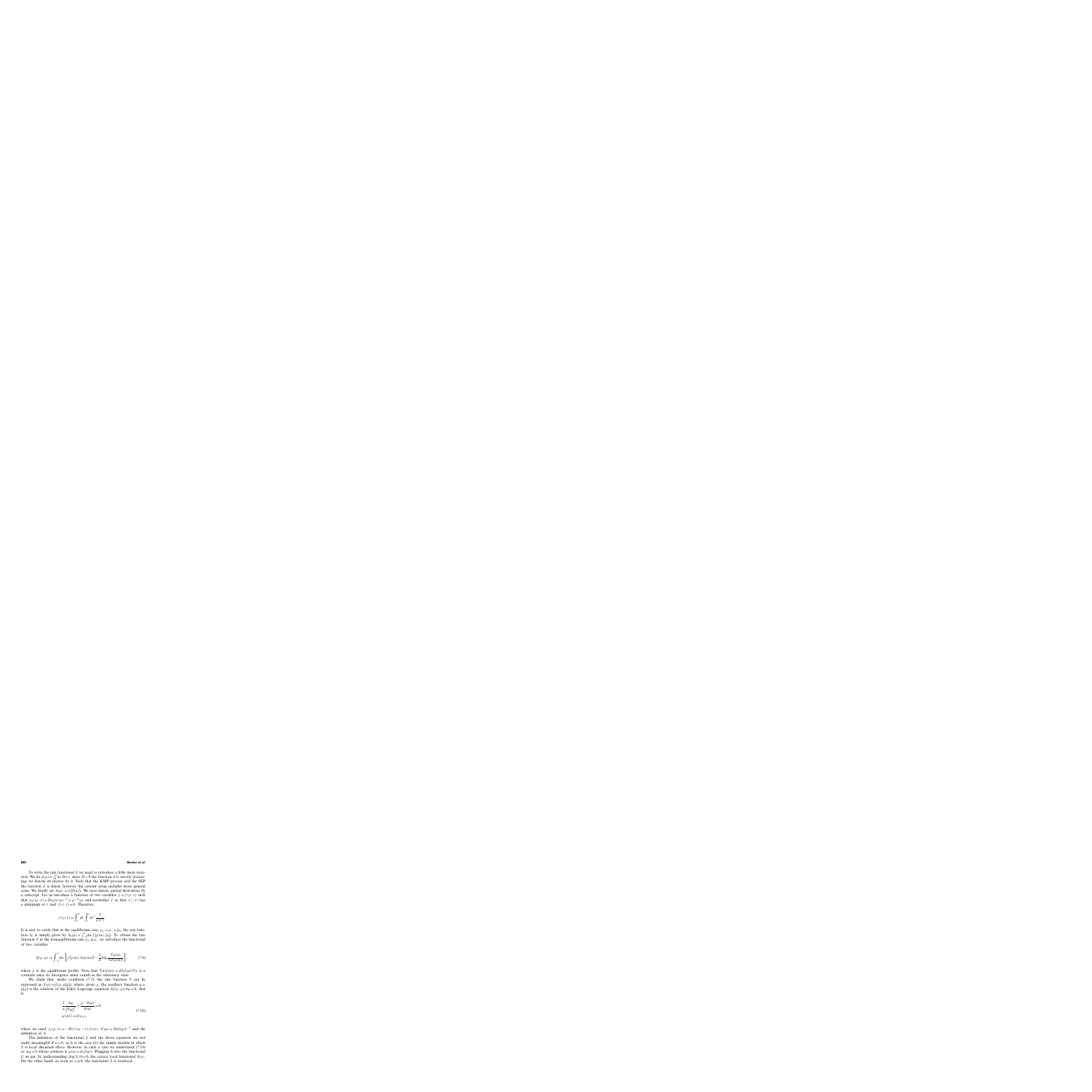To write the rate functional S we need to introduce a little more notation. We let  $d(\rho) = \int_0^{\rho} dr D(r)$ , since  $D > 0$  the function d is strictly increasing; we denote its inverse by  $b$ . Note that the KMP process and the SEP the function  $d$  is linear, however the current setup includes more general cases. We finally set  $A(\varphi) := \sigma(b(\varphi))$ . We next denote partial derivatives by a subscript. Let us introduce a function of two variables  $f = f(\rho, \tau)$  such that  $f_{\rho\rho}(\rho, \tau) = D(\rho)\sigma(\rho)^{-1} = \chi^{-1}(\rho)$  and normalize f so that  $f(\cdot, \tau)$  has a minimum at  $\tau$  and  $f(\tau, \tau) = 0$ . Therefore,

$$
f(\rho,\tau) = \int_{\tau}^{\rho} dr \int_{\tau}^{r} dr' \frac{1}{\chi(r')}.
$$

It is easy to verify that in the equilibrium case,  $\rho_{+} = \rho_{-} = \bar{\rho}_0$ , the rate function  $S_0$  is simply given by  $S_0(\rho) = \int_{-1}^{1} du f(\rho(u), \bar{\rho}_0)$ . To obtain the rate function S in the nonequilibrium case  $\rho_+ \neq \rho_-$  we introduce the functional of two variables

$$
\mathcal{G}(\rho,\varphi) := \int_{-1}^{1} du \left\{ f\big(\rho(u), b(\varphi(u))\big) - \frac{1}{a} \log \frac{\nabla \varphi(u)}{\nabla d(\bar{\rho}(u))} \right\},\tag{7.9}
$$

where  $\bar{\rho}$  is the equilibrium profile. Note that  $\nabla d(\bar{\rho}(u)) = D(\bar{\rho}(u)) \nabla u$  is a constant since its divergence must vanish in the stationary state.

We claim that, under condition  $(7.5)$ , the rate function S can be expressed as  $S(\rho) = \mathcal{G}(\rho, \varphi[\rho])$ , where, given  $\rho$ , the auxiliary function  $\varphi =$  $\varphi[\rho]$  is the solution of the Euler–Lagrange equation  $\delta \mathcal{G}(\rho, \varphi)/\delta \varphi = 0$ , that is

$$
\frac{1}{a} \frac{\Delta \varphi}{(\nabla \varphi)^2} + \frac{\rho - b(\varphi)}{A(\varphi)} = 0,
$$
\n
$$
\varphi(\pm 1) = d(\rho_{\pm}),
$$
\n(7.10)

where we used  $f_{\tau}(\rho, \tau) = -D(\tau)(\rho - \tau)/\sigma(\tau)$ ,  $b'(\varphi) = D(b(\varphi))^{-1}$  and the definition of A.

The definition of the functional  $G$  and the above equation are not really meaningful if  $a = 0$ , as it is the case for the simple models in which S is local discussed above. However, in such a case we understand (7.10) as  $\Delta \varphi = 0$  whose solution is  $\varphi(u) = d(\bar{\rho}(u))$ . Plugging it into the functional G we get, by understanding  $(\log 1)/0 = 0$ , the correct local functional  $S(\rho)$ . On the other hand, as soon as  $a \neq 0$ , the functional S is nonlocal.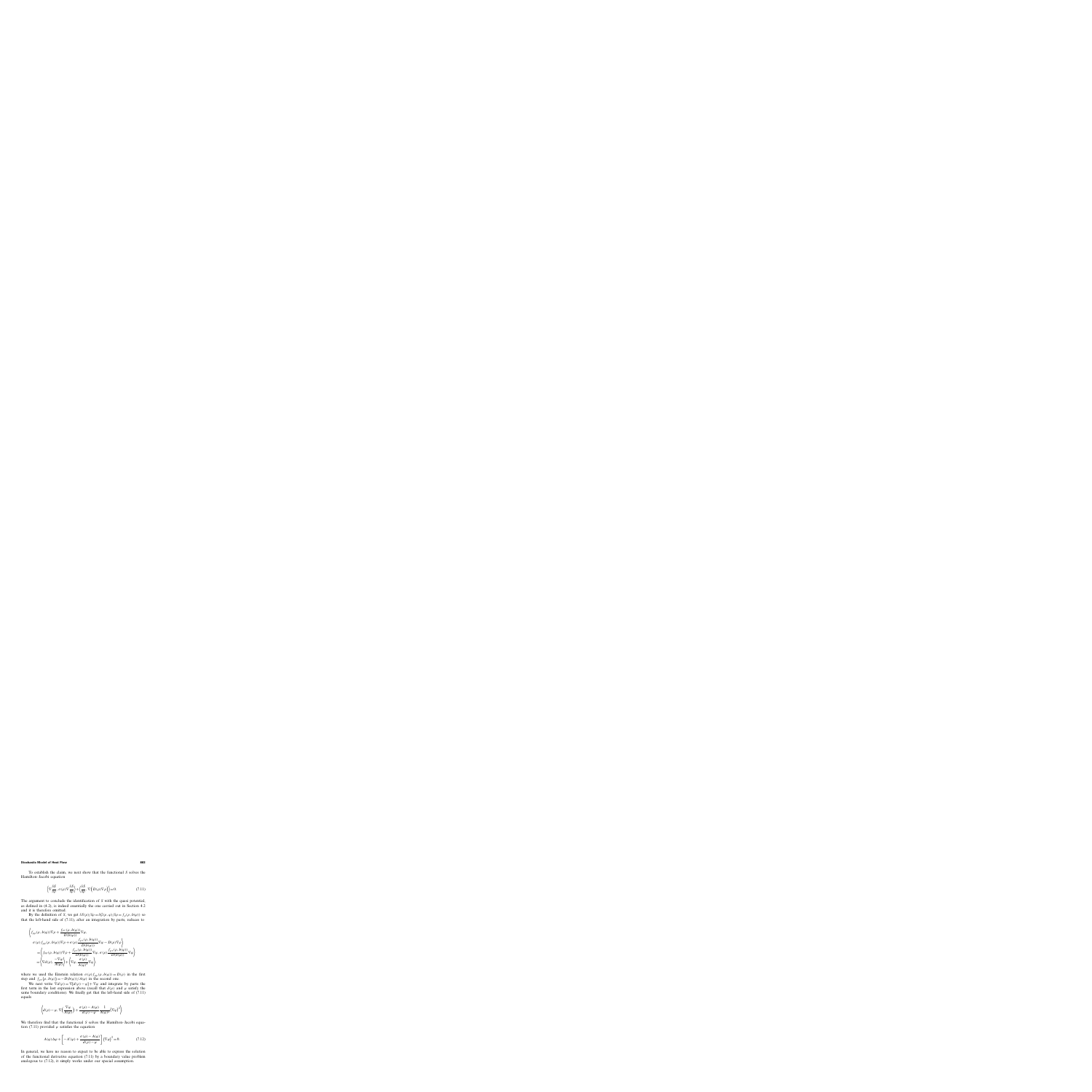To establish the claim, we next show that the functional S solves the Hamilton–Jacobi equation

$$
\left\langle \nabla \frac{\delta S}{\delta \rho}, \sigma(\rho) \nabla \frac{\delta S}{\delta \rho} \right\rangle + \left\langle \frac{\delta S}{\delta \rho}, \nabla \left( D(\rho) \nabla \rho \right) \right\rangle = 0. \tag{7.11}
$$

The argument to conclude the identification of S with the quasi potential, as defined in (4.2), is indeed essentially the one carried out in Section 4.2 and it is therefore omitted.

By the definition of S, we get  $\delta S(\rho)/\delta \rho = \delta \mathcal{G}(\rho, \varphi)/\delta \rho = f_{\rho}(\rho, b(\varphi))$  so that the left-hand side of (7.11), after an integration by parts, reduces to

$$
\left\langle f_{\rho\rho}(\rho, b(\varphi))\nabla\rho + \frac{f_{\rho\tau}(\rho, b(\varphi))}{D(b(\varphi))}\nabla\varphi, \n\sigma(\rho)f_{\rho\rho}(\rho, b(\varphi))\nabla\rho + \sigma(\rho)\frac{f_{\rho\tau}(\rho, b(\varphi))}{D(b(\varphi))}\nabla\varphi - D(\rho)\nabla\rho \right\rangle \n= \left\langle f_{\rho\rho}(\rho, b(\varphi))\nabla\rho + \frac{f_{\rho\tau}(\rho, b(\varphi))}{D(b(\varphi))}\nabla\varphi, \sigma(\rho)\frac{f_{\rho\tau}(\rho, b(\varphi))}{D(b(\varphi))}\nabla\varphi \right\rangle \n= \left\langle \nabla d(\rho), \frac{-\nabla\varphi}{A(\varphi)} \right\rangle + \left\langle \nabla\varphi, \frac{\sigma(\rho)}{A(\varphi)^2}\nabla\varphi \right\rangle,
$$

where we used the Einstein relation  $\sigma(\rho) f_{\rho\rho}(\rho, b(\varphi)) = D(\rho)$  in the first step and  $f_{\rho\tau}(\rho, b(\varphi)) = -D(b(\varphi))/A(\varphi)$  in the second one.

We next write  $\nabla d(\rho) = \nabla [d(\rho) - \varphi] + \nabla \varphi$  and integrate by parts the first term in the last expression above (recall that  $d(\rho)$  and  $\varphi$  satisfy the same boundary conditions). We finally get that the left-hand side of (7.11) equals

$$
\left\langle d(\rho) - \varphi, \nabla \left( \frac{\nabla \varphi}{A(\varphi)} \right) + \frac{\sigma(\rho) - A(\varphi)}{d(\rho) - \varphi} \frac{1}{A(\varphi)^2} (\nabla \varphi)^2 \right\rangle.
$$

We therefore find that the functional S solves the Hamilton–Jacobi equation (7.11) provided  $\varphi$  satisfies the equation

$$
A(\varphi)\Delta\varphi + \left[ -A'(\varphi) + \frac{\sigma(\rho) - A(\varphi)}{d(\rho) - \varphi} \right] (\nabla\varphi)^2 = 0.
$$
 (7.12)

In general, we have no reason to expect to be able to express the solution of the functional derivative equation (7.11) by a boundary value problem analogous to (7.12), it simply works under our special assumption.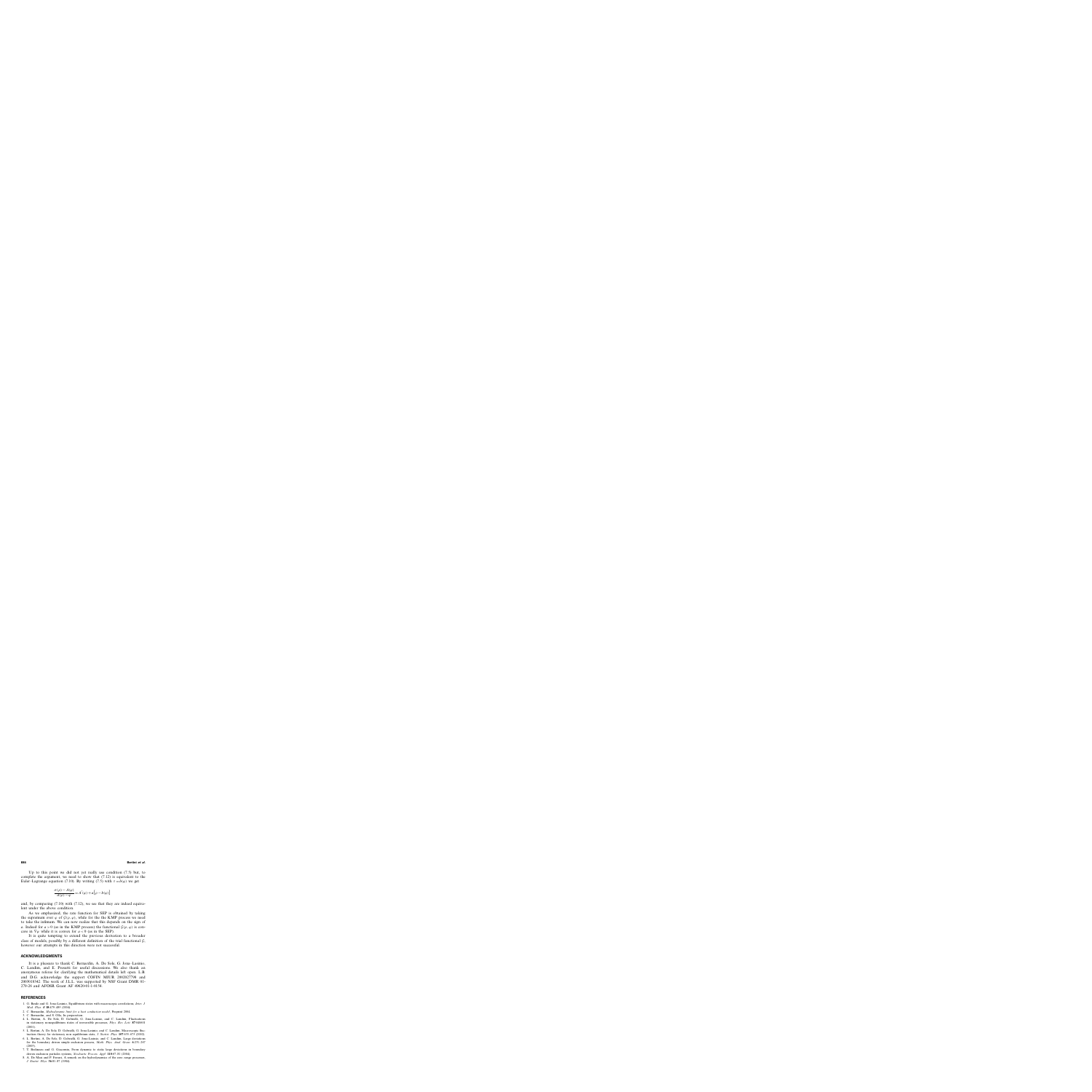Up to this point we did not yet really use condition (7.5) but, to complete the argument, we need to show that  $(7.12)$  is equivalent to the Euler–Lagrange equation (7.10). By writing (7.5) with  $\tau = b(\varphi)$  we get

$$
\frac{\sigma(\rho) - A(\varphi)}{d(\rho) - \varphi} = A'(\varphi) + a[\rho - b(\varphi)]
$$

and, by comparing (7.10) with (7.12), we see that they are indeed equivalent under the above condition.

As we emphasized, the rate function for SEP is obtained by taking the supremum over  $\varphi$  of  $\mathcal{G}(\rho, \varphi)$ , while for the the KMP process we need to take the infimum. We can now realize that this depends on the sign of a. Indeed for  $a > 0$  (as in the KMP process) the functional  $\mathcal{G}(\rho, \varphi)$  is concave in  $\nabla \varphi$  while it is convex for  $a < 0$  (as in the SEP).

It is quite tempting to extend the previous derivation to a broader class of models, possibly by a different definition of the trial functional  $\mathcal{G}$ , however our attempts in this direction were not successful.

## **ACKNOWLEDGMENTS**

It is a pleasure to thank C. Bernardin, A. De Sole, G. Jona–Lasinio, C. Landim, and E. Presutti for useful discussions. We also thank an anonymous referee for clarifying the mathematical details left open. L.B. and D.G. acknowledge the support COFIN MIUR 2002027798 and 2003018342. The work of J.L.L. was supported by NSF Grant DMR 01- 279-26 and AFOSR Grant AF 49620-01-1-0154.

## **REFERENCES**

- 1. G. Basile and G. Jona-Lasinio, Equilibrium states with macroscopic correlations, *Inter. J. Mod. Phys. B* **18**:479–485 (2004).
- 2. C. Bernardin, *Hydrodynamic limit for a heat conduction model*, Preprint 2004.
- 3. C. Bernardin, and S. Olla, In preparation.
- 4. L. Bertini, A. De Sole, D. Gabrielli, G. Jona-Lasinio, and C. Landim, Fluctuations in stationary nonequilibrium states of irreversible processes, *Phys. Rev. Lett.* **87**:040601 (2001).
- 5. L. Bertini, A. De Sole, D. Gabrielli, G. Jona-Lasinio, and C. Landim, Macroscopic fluctuation theory for stationary non equilibrium state, *J. Statist. Phys.* **107**:635–675 (2002).
- 6. L. Bertini, A. De Sole, D. Gabrielli, G. Jona-Lasinio, and C. Landim, Large deviations for the boundary driven simple exclusion process, *Math. Phys. Anal. Geom.* **6**:231–267 (2003).
- 7. T. Bodineau and G. Giacomin, From dynamic to static large deviations in boundary driven exclusion particles systems, *Stochastic Process. Appl.* **110**:67–81 (2004).
- 8. A. De Masi and P. Ferrari, A remark on the hydrodynamics of the zero–range processes, *J. Statist. Phys.* **36**:81–87 (1984).